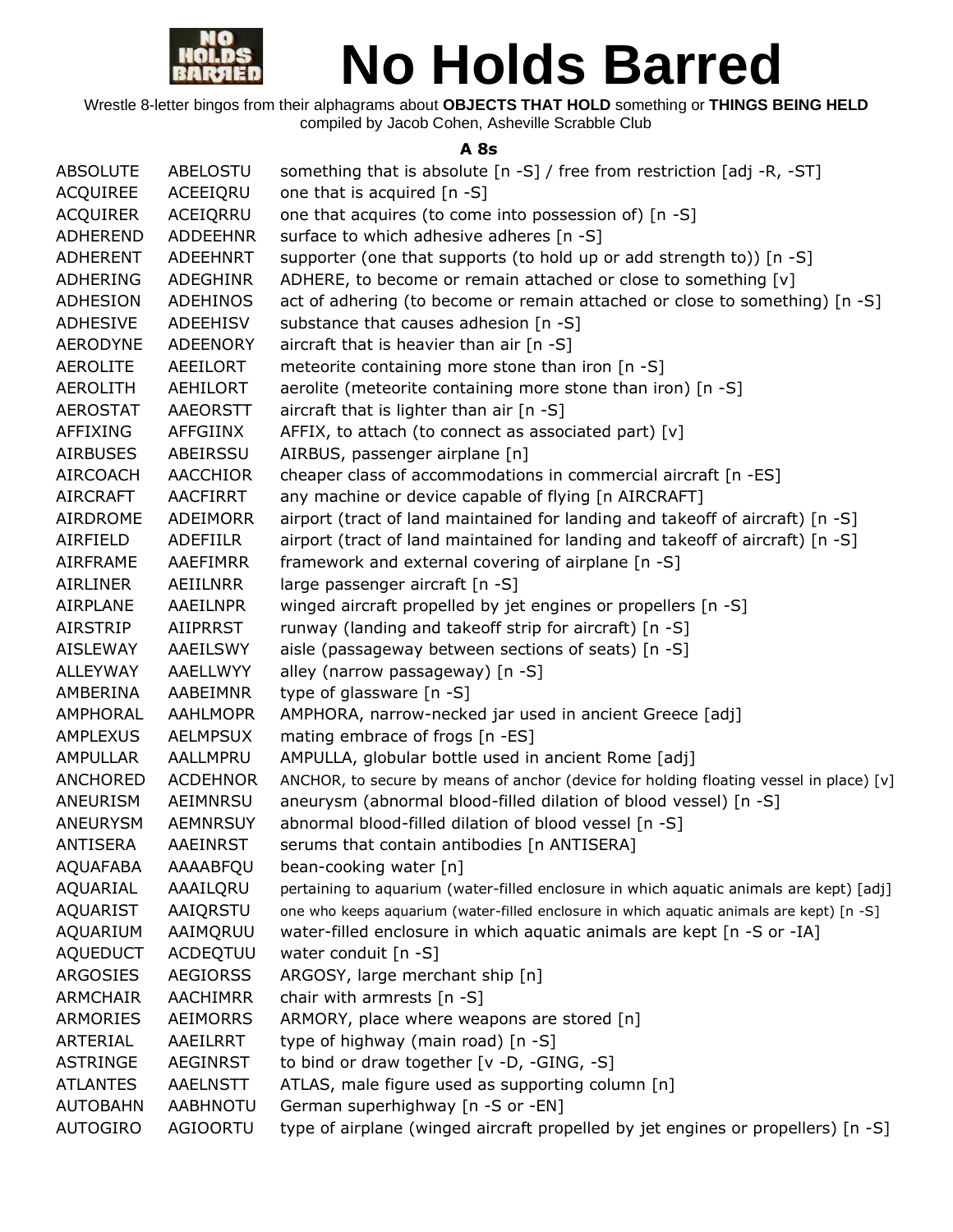

Wrestle 8-letter bingos from their alphagrams about **OBJECTS THAT HOLD** something or **THINGS BEING HELD** compiled by Jacob Cohen, Asheville Scrabble Club

#### **A 8s**

| <b>ABSOLUTE</b> | ABELOSTU        | something that is absolute [n -S] / free from restriction [adj -R, -ST]                  |
|-----------------|-----------------|------------------------------------------------------------------------------------------|
| <b>ACQUIREE</b> | ACEEIQRU        | one that is acquired [n -S]                                                              |
| <b>ACQUIRER</b> | ACEIQRRU        | one that acquires (to come into possession of) [n -S]                                    |
| ADHEREND        | <b>ADDEEHNR</b> | surface to which adhesive adheres [n -S]                                                 |
| <b>ADHERENT</b> | <b>ADEEHNRT</b> | supporter (one that supports (to hold up or add strength to)) [n -S]                     |
| ADHERING        | ADEGHINR        | ADHERE, to become or remain attached or close to something [v]                           |
| ADHESION        | <b>ADEHINOS</b> | act of adhering (to become or remain attached or close to something) [n -S]              |
| <b>ADHESIVE</b> | ADEEHISV        | substance that causes adhesion [n -S]                                                    |
| <b>AERODYNE</b> | <b>ADEENORY</b> | aircraft that is heavier than air [n -S]                                                 |
| <b>AEROLITE</b> | AEEILORT        | meteorite containing more stone than iron [n -S]                                         |
| <b>AEROLITH</b> | AEHILORT        | aerolite (meteorite containing more stone than iron) [n -S]                              |
| <b>AEROSTAT</b> | <b>AAEORSTT</b> | aircraft that is lighter than air $[n -S]$                                               |
| AFFIXING        | AFFGIINX        | AFFIX, to attach (to connect as associated part) [v]                                     |
| <b>AIRBUSES</b> | ABEIRSSU        | AIRBUS, passenger airplane [n]                                                           |
| <b>AIRCOACH</b> | <b>AACCHIOR</b> | cheaper class of accommodations in commercial aircraft [n -ES]                           |
| <b>AIRCRAFT</b> | <b>AACFIRRT</b> | any machine or device capable of flying [n AIRCRAFT]                                     |
| AIRDROME        | ADEIMORR        | airport (tract of land maintained for landing and takeoff of aircraft) [n -S]            |
| AIRFIELD        | <b>ADEFIILR</b> | airport (tract of land maintained for landing and takeoff of aircraft) [n -S]            |
| <b>AIRFRAME</b> | AAEFIMRR        | framework and external covering of airplane [n -S]                                       |
| <b>AIRLINER</b> | AEIILNRR        | large passenger aircraft [n -S]                                                          |
| AIRPLANE        | AAEILNPR        | winged aircraft propelled by jet engines or propellers [n -S]                            |
| <b>AIRSTRIP</b> | AIIPRRST        | runway (landing and takeoff strip for aircraft) [n -S]                                   |
| <b>AISLEWAY</b> | AAEILSWY        | aisle (passageway between sections of seats) [n -S]                                      |
| ALLEYWAY        | AAELLWYY        | alley (narrow passageway) [n -S]                                                         |
| AMBERINA        | AABEIMNR        | type of glassware [n -S]                                                                 |
| AMPHORAL        | <b>AAHLMOPR</b> | AMPHORA, narrow-necked jar used in ancient Greece [adj]                                  |
| <b>AMPLEXUS</b> | <b>AELMPSUX</b> | mating embrace of frogs [n -ES]                                                          |
| <b>AMPULLAR</b> | AALLMPRU        | AMPULLA, globular bottle used in ancient Rome [adj]                                      |
| ANCHORED        | <b>ACDEHNOR</b> | ANCHOR, to secure by means of anchor (device for holding floating vessel in place) [v]   |
| ANEURISM        | AEIMNRSU        | aneurysm (abnormal blood-filled dilation of blood vessel) [n -S]                         |
| ANEURYSM        | <b>AEMNRSUY</b> | abnormal blood-filled dilation of blood vessel [n -S]                                    |
| ANTISERA        | AAEINRST        | serums that contain antibodies [n ANTISERA]                                              |
| <b>AQUAFABA</b> | AAAABFQU        | bean-cooking water [n]                                                                   |
| AQUARIAL        | AAAILQRU        | pertaining to aquarium (water-filled enclosure in which aquatic animals are kept) [adj]  |
| <b>AQUARIST</b> | AAIQRSTU        | one who keeps aquarium (water-filled enclosure in which aquatic animals are kept) [n -S] |
| AQUARIUM        | AAIMQRUU        | water-filled enclosure in which aquatic animals are kept [n -S or -IA]                   |
| <b>AQUEDUCT</b> | ACDEQTUU        | water conduit $[n - S]$                                                                  |
| <b>ARGOSIES</b> | <b>AEGIORSS</b> | ARGOSY, large merchant ship [n]                                                          |
| ARMCHAIR        | AACHIMRR        | chair with armrests $[n -S]$                                                             |
| ARMORIES        | <b>AEIMORRS</b> | ARMORY, place where weapons are stored [n]                                               |
| ARTERIAL        | AAEILRRT        | type of highway (main road) [n -S]                                                       |
| <b>ASTRINGE</b> | <b>AEGINRST</b> | to bind or draw together [v -D, -GING, -S]                                               |
| <b>ATLANTES</b> | <b>AAELNSTT</b> | ATLAS, male figure used as supporting column [n]                                         |
| <b>AUTOBAHN</b> | <b>AABHNOTU</b> | German superhighway [n -S or -EN]                                                        |
| <b>AUTOGIRO</b> | AGIOORTU        | type of airplane (winged aircraft propelled by jet engines or propellers) [n -S]         |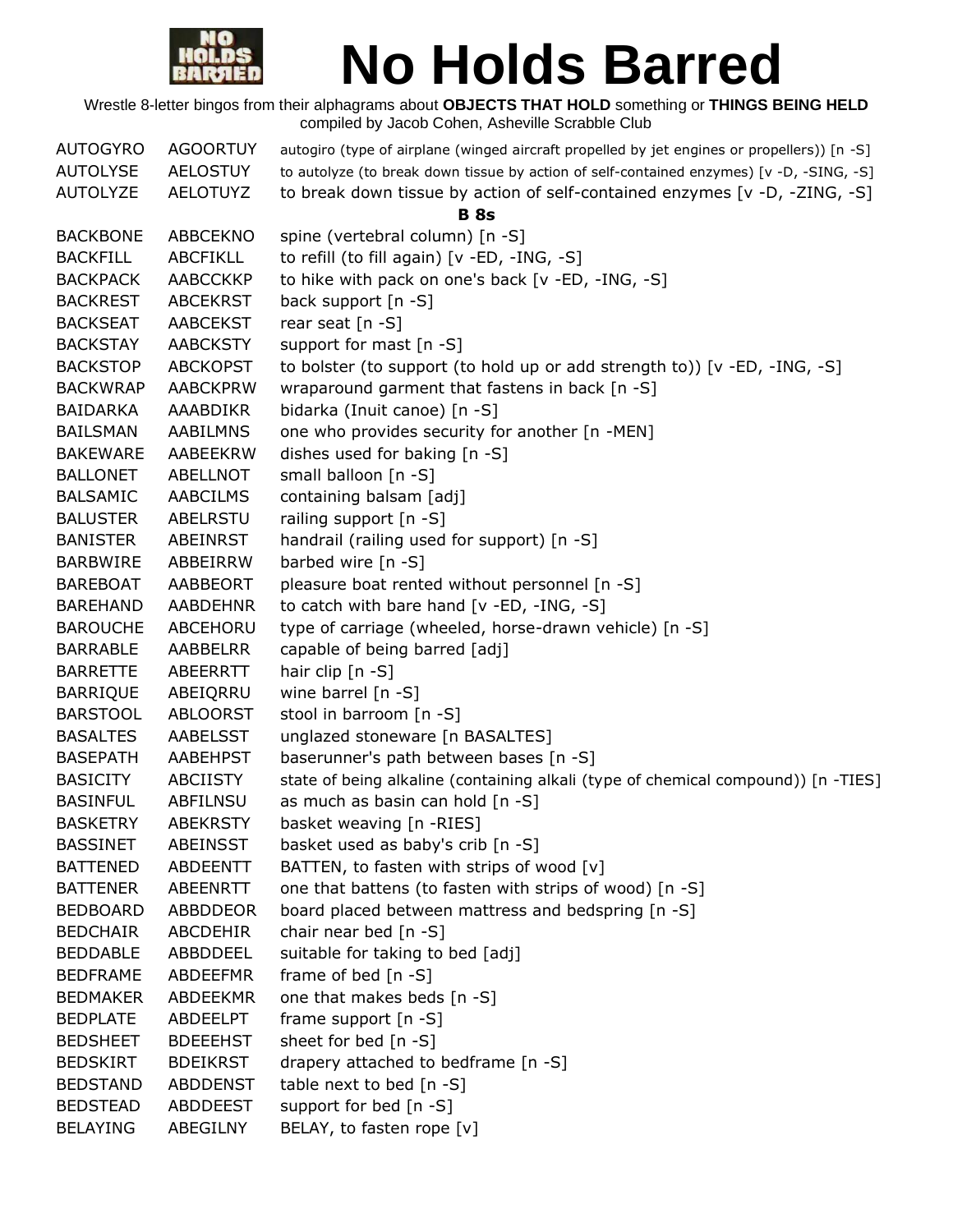

| <b>AUTOGYRO</b> | <b>AGOORTUY</b> | autogiro (type of airplane (winged aircraft propelled by jet engines or propellers)) [n -S] |
|-----------------|-----------------|---------------------------------------------------------------------------------------------|
| <b>AUTOLYSE</b> | <b>AELOSTUY</b> | to autolyze (to break down tissue by action of self-contained enzymes) [v -D, -SING, -S]    |
| <b>AUTOLYZE</b> | <b>AELOTUYZ</b> | to break down tissue by action of self-contained enzymes [v -D, -ZING, -S]                  |
|                 |                 | <b>B</b> 8s                                                                                 |
| <b>BACKBONE</b> | ABBCEKNO        | spine (vertebral column) [n -S]                                                             |
| <b>BACKFILL</b> | <b>ABCFIKLL</b> | to refill (to fill again) [v -ED, -ING, -S]                                                 |
| <b>BACKPACK</b> | <b>AABCCKKP</b> | to hike with pack on one's back [v -ED, -ING, -S]                                           |
| <b>BACKREST</b> | <b>ABCEKRST</b> | back support [n -S]                                                                         |
| <b>BACKSEAT</b> | <b>AABCEKST</b> | rear seat [n -S]                                                                            |
| <b>BACKSTAY</b> | <b>AABCKSTY</b> | support for mast [n -S]                                                                     |
| <b>BACKSTOP</b> | <b>ABCKOPST</b> | to bolster (to support (to hold up or add strength to)) [v -ED, -ING, -S]                   |
| <b>BACKWRAP</b> | <b>AABCKPRW</b> | wraparound garment that fastens in back [n -S]                                              |
| <b>BAIDARKA</b> | AAABDIKR        | bidarka (Inuit canoe) [n -S]                                                                |
| <b>BAILSMAN</b> | <b>AABILMNS</b> | one who provides security for another [n -MEN]                                              |
| <b>BAKEWARE</b> | AABEEKRW        | dishes used for baking [n -S]                                                               |
| <b>BALLONET</b> | ABELLNOT        | small balloon [n -S]                                                                        |
| <b>BALSAMIC</b> | <b>AABCILMS</b> | containing balsam [adj]                                                                     |
| <b>BALUSTER</b> | ABELRSTU        | railing support [n -S]                                                                      |
| <b>BANISTER</b> | ABEINRST        | handrail (railing used for support) [n -S]                                                  |
| <b>BARBWIRE</b> | ABBEIRRW        | barbed wire [n -S]                                                                          |
| <b>BAREBOAT</b> | AABBEORT        | pleasure boat rented without personnel [n -S]                                               |
| <b>BAREHAND</b> | <b>AABDEHNR</b> | to catch with bare hand [v -ED, -ING, -S]                                                   |
| <b>BAROUCHE</b> | ABCEHORU        | type of carriage (wheeled, horse-drawn vehicle) [n -S]                                      |
| <b>BARRABLE</b> | AABBELRR        | capable of being barred [adj]                                                               |
| <b>BARRETTE</b> | ABEERRTT        | hair clip [n -S]                                                                            |
| <b>BARRIQUE</b> | ABEIQRRU        | wine barrel [n -S]                                                                          |
| <b>BARSTOOL</b> | <b>ABLOORST</b> | stool in barroom [n -S]                                                                     |
| <b>BASALTES</b> | AABELSST        | unglazed stoneware [n BASALTES]                                                             |
| <b>BASEPATH</b> | AABEHPST        | baserunner's path between bases [n -S]                                                      |
| <b>BASICITY</b> | <b>ABCIISTY</b> | state of being alkaline (containing alkali (type of chemical compound)) [n -TIES]           |
| <b>BASINFUL</b> | ABFILNSU        | as much as basin can hold [n -S]                                                            |
| <b>BASKETRY</b> | <b>ABEKRSTY</b> | basket weaving [n -RIES]                                                                    |
| <b>BASSINET</b> | <b>ABEINSST</b> | basket used as baby's crib [n -S]                                                           |
| <b>BATTENED</b> | ABDEENTT        | BATTEN, to fasten with strips of wood [v]                                                   |
| <b>BATTENER</b> | ABEENRTT        | one that battens (to fasten with strips of wood) [n -S]                                     |
| <b>BEDBOARD</b> | ABBDDEOR        | board placed between mattress and bedspring [n -S]                                          |
| <b>BEDCHAIR</b> | ABCDEHIR        | chair near bed $[n -S]$                                                                     |
| <b>BEDDABLE</b> | ABBDDEEL        | suitable for taking to bed [adj]                                                            |
| <b>BEDFRAME</b> | <b>ABDEEFMR</b> | frame of bed $[n - S]$                                                                      |
| <b>BEDMAKER</b> | ABDEEKMR        | one that makes beds [n -S]                                                                  |
| <b>BEDPLATE</b> | ABDEELPT        | frame support [n -S]                                                                        |
| <b>BEDSHEET</b> | <b>BDEEEHST</b> | sheet for bed [n -S]                                                                        |
| <b>BEDSKIRT</b> | <b>BDEIKRST</b> | drapery attached to bedframe [n -S]                                                         |
| <b>BEDSTAND</b> | <b>ABDDENST</b> | table next to bed [n -S]                                                                    |
| <b>BEDSTEAD</b> | <b>ABDDEEST</b> | support for bed [n -S]                                                                      |
| <b>BELAYING</b> | ABEGILNY        | BELAY, to fasten rope [v]                                                                   |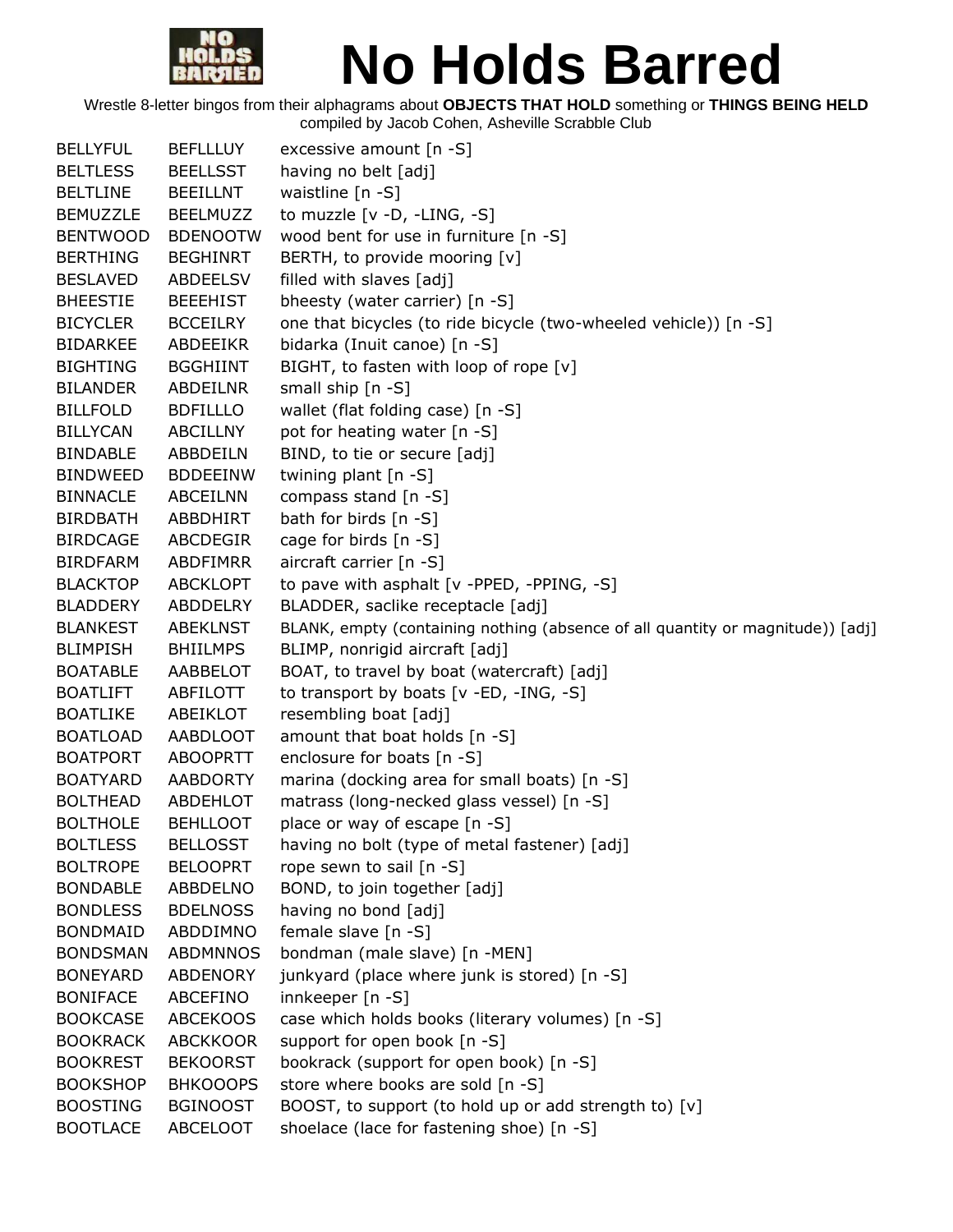

| <b>BELLYFUL</b> | <b>BEFLLLUY</b> | excessive amount [n -S]                                                        |
|-----------------|-----------------|--------------------------------------------------------------------------------|
| <b>BELTLESS</b> | <b>BEELLSST</b> | having no belt [adj]                                                           |
| <b>BELTLINE</b> | <b>BEEILLNT</b> | waistline $[n -S]$                                                             |
| <b>BEMUZZLE</b> | <b>BEELMUZZ</b> | to muzzle [v -D, -LING, -S]                                                    |
| <b>BENTWOOD</b> | <b>BDENOOTW</b> | wood bent for use in furniture [n -S]                                          |
| <b>BERTHING</b> | <b>BEGHINRT</b> | BERTH, to provide mooring [v]                                                  |
| <b>BESLAVED</b> | ABDEELSV        | filled with slaves [adj]                                                       |
| <b>BHEESTIE</b> | <b>BEEEHIST</b> | bheesty (water carrier) [n -S]                                                 |
| <b>BICYCLER</b> | <b>BCCEILRY</b> | one that bicycles (to ride bicycle (two-wheeled vehicle)) [n -S]               |
| <b>BIDARKEE</b> | <b>ABDEEIKR</b> | bidarka (Inuit canoe) [n -S]                                                   |
| <b>BIGHTING</b> | <b>BGGHIINT</b> | BIGHT, to fasten with loop of rope [v]                                         |
| <b>BILANDER</b> | ABDEILNR        | small ship [n -S]                                                              |
| <b>BILLFOLD</b> | <b>BDFILLLO</b> | wallet (flat folding case) [n -S]                                              |
| <b>BILLYCAN</b> | <b>ABCILLNY</b> | pot for heating water [n -S]                                                   |
| <b>BINDABLE</b> | ABBDEILN        | BIND, to tie or secure [adj]                                                   |
| <b>BINDWEED</b> | <b>BDDEEINW</b> | twining plant [n -S]                                                           |
| <b>BINNACLE</b> | <b>ABCEILNN</b> | compass stand [n -S]                                                           |
| <b>BIRDBATH</b> | ABBDHIRT        | bath for birds $[n -S]$                                                        |
| <b>BIRDCAGE</b> | ABCDEGIR        | cage for birds [n -S]                                                          |
| <b>BIRDFARM</b> | ABDFIMRR        | aircraft carrier [n -S]                                                        |
| <b>BLACKTOP</b> | <b>ABCKLOPT</b> | to pave with asphalt [v -PPED, -PPING, -S]                                     |
| <b>BLADDERY</b> | ABDDELRY        | BLADDER, saclike receptacle [adj]                                              |
| <b>BLANKEST</b> | <b>ABEKLNST</b> | BLANK, empty (containing nothing (absence of all quantity or magnitude)) [adj] |
| <b>BLIMPISH</b> | <b>BHIILMPS</b> | BLIMP, nonrigid aircraft [adj]                                                 |
| <b>BOATABLE</b> | AABBELOT        | BOAT, to travel by boat (watercraft) [adj]                                     |
| <b>BOATLIFT</b> | ABFILOTT        | to transport by boats $[v - ED, -ING, -S]$                                     |
| <b>BOATLIKE</b> | ABEIKLOT        | resembling boat [adj]                                                          |
| <b>BOATLOAD</b> | AABDLOOT        | amount that boat holds $[n -S]$                                                |
| <b>BOATPORT</b> | <b>ABOOPRTT</b> | enclosure for boats [n -S]                                                     |
| <b>BOATYARD</b> | <b>AABDORTY</b> | marina (docking area for small boats) [n -S]                                   |
| <b>BOLTHEAD</b> | ABDEHLOT        | matrass (long-necked glass vessel) [n -S]                                      |
| <b>BOLTHOLE</b> | <b>BEHLLOOT</b> | place or way of escape [n -S]                                                  |
| <b>BOLTLESS</b> | <b>BELLOSST</b> | having no bolt (type of metal fastener) [adj]                                  |
| <b>BOLTROPE</b> | <b>BELOOPRT</b> | rope sewn to sail [n -S]                                                       |
| <b>BONDABLE</b> | ABBDELNO        | BOND, to join together [adj]                                                   |
| <b>BONDLESS</b> | <b>BDELNOSS</b> | having no bond [adj]                                                           |
| <b>BONDMAID</b> | ABDDIMNO        | female slave [n -S]                                                            |
| <b>BONDSMAN</b> | <b>ABDMNNOS</b> | bondman (male slave) [n -MEN]                                                  |
| <b>BONEYARD</b> | ABDENORY        | junkyard (place where junk is stored) [n -S]                                   |
| <b>BONIFACE</b> | ABCEFINO        | innkeeper $[n -S]$                                                             |
| <b>BOOKCASE</b> | <b>ABCEKOOS</b> | case which holds books (literary volumes) [n -S]                               |
| <b>BOOKRACK</b> | <b>ABCKKOOR</b> | support for open book [n -S]                                                   |
| <b>BOOKREST</b> | <b>BEKOORST</b> | bookrack (support for open book) [n -S]                                        |
| <b>BOOKSHOP</b> | <b>BHKOOOPS</b> | store where books are sold [n -S]                                              |
| <b>BOOSTING</b> | <b>BGINOOST</b> | BOOST, to support (to hold up or add strength to) [v]                          |
| <b>BOOTLACE</b> | ABCELOOT        | shoelace (lace for fastening shoe) [n -S]                                      |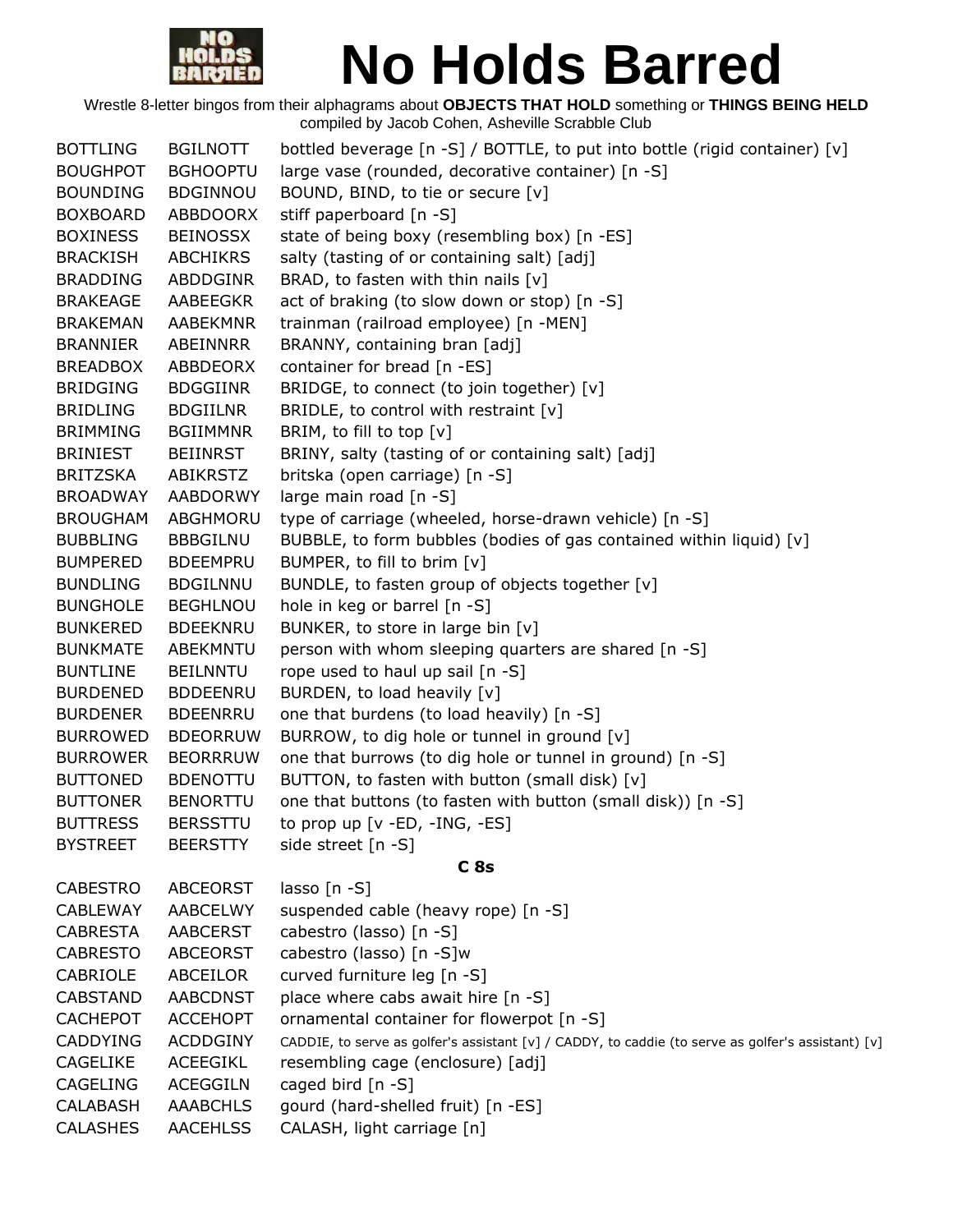

| <b>BOTTLING</b> | <b>BGILNOTT</b> | bottled beverage [n -S] / BOTTLE, to put into bottle (rigid container) [v]                         |
|-----------------|-----------------|----------------------------------------------------------------------------------------------------|
| <b>BOUGHPOT</b> | <b>BGHOOPTU</b> | large vase (rounded, decorative container) [n -S]                                                  |
| <b>BOUNDING</b> | <b>BDGINNOU</b> | BOUND, BIND, to tie or secure [v]                                                                  |
| <b>BOXBOARD</b> | ABBDOORX        | stiff paperboard [n -S]                                                                            |
| <b>BOXINESS</b> | <b>BEINOSSX</b> | state of being boxy (resembling box) [n -ES]                                                       |
| <b>BRACKISH</b> | <b>ABCHIKRS</b> | salty (tasting of or containing salt) [adj]                                                        |
| <b>BRADDING</b> | ABDDGINR        | BRAD, to fasten with thin nails $[v]$                                                              |
| <b>BRAKEAGE</b> | AABEEGKR        | act of braking (to slow down or stop) [n -S]                                                       |
| <b>BRAKEMAN</b> | AABEKMNR        | trainman (railroad employee) [n -MEN]                                                              |
| <b>BRANNIER</b> | ABEINNRR        | BRANNY, containing bran [adj]                                                                      |
| <b>BREADBOX</b> | ABBDEORX        | container for bread [n -ES]                                                                        |
| <b>BRIDGING</b> | <b>BDGGIINR</b> | BRIDGE, to connect (to join together) [v]                                                          |
| <b>BRIDLING</b> | <b>BDGIILNR</b> | BRIDLE, to control with restraint $[v]$                                                            |
| <b>BRIMMING</b> | <b>BGIIMMNR</b> | BRIM, to fill to top [v]                                                                           |
| <b>BRINIEST</b> | <b>BEIINRST</b> | BRINY, salty (tasting of or containing salt) [adj]                                                 |
| <b>BRITZSKA</b> | ABIKRSTZ        | britska (open carriage) [n -S]                                                                     |
| <b>BROADWAY</b> | <b>AABDORWY</b> | large main road [n -S]                                                                             |
| <b>BROUGHAM</b> | ABGHMORU        | type of carriage (wheeled, horse-drawn vehicle) [n -S]                                             |
| <b>BUBBLING</b> | <b>BBBGILNU</b> | BUBBLE, to form bubbles (bodies of gas contained within liquid) [v]                                |
| <b>BUMPERED</b> | <b>BDEEMPRU</b> | BUMPER, to fill to brim [v]                                                                        |
| <b>BUNDLING</b> | <b>BDGILNNU</b> | BUNDLE, to fasten group of objects together [v]                                                    |
| <b>BUNGHOLE</b> | <b>BEGHLNOU</b> | hole in keg or barrel [n -S]                                                                       |
| <b>BUNKERED</b> | <b>BDEEKNRU</b> | BUNKER, to store in large bin [v]                                                                  |
| <b>BUNKMATE</b> | ABEKMNTU        | person with whom sleeping quarters are shared [n -S]                                               |
| <b>BUNTLINE</b> | <b>BEILNNTU</b> | rope used to haul up sail [n -S]                                                                   |
| <b>BURDENED</b> | <b>BDDEENRU</b> | BURDEN, to load heavily [v]                                                                        |
| <b>BURDENER</b> | <b>BDEENRRU</b> | one that burdens (to load heavily) [n -S]                                                          |
| <b>BURROWED</b> | <b>BDEORRUW</b> | BURROW, to dig hole or tunnel in ground [v]                                                        |
| <b>BURROWER</b> | <b>BEORRRUW</b> | one that burrows (to dig hole or tunnel in ground) [n -S]                                          |
| <b>BUTTONED</b> | <b>BDENOTTU</b> | BUTTON, to fasten with button (small disk) [v]                                                     |
| <b>BUTTONER</b> | <b>BENORTTU</b> | one that buttons (to fasten with button (small disk)) [n -S]                                       |
| <b>BUTTRESS</b> | <b>BERSSTTU</b> | to prop up [v -ED, -ING, -ES]                                                                      |
| <b>BYSTREET</b> | <b>BEERSTTY</b> | side street [n -S]                                                                                 |
|                 |                 | C8s                                                                                                |
| <b>CABESTRO</b> | ABCEORST        | lasso $[n - S]$                                                                                    |
| <b>CABLEWAY</b> | <b>AABCELWY</b> | suspended cable (heavy rope) [n -S]                                                                |
| <b>CABRESTA</b> | <b>AABCERST</b> | cabestro (lasso) [n -S]                                                                            |
| <b>CABRESTO</b> | <b>ABCEORST</b> | cabestro (lasso) [n -S]w                                                                           |
| CABRIOLE        | ABCEILOR        | curved furniture leg [n -S]                                                                        |
| <b>CABSTAND</b> | <b>AABCDNST</b> | place where cabs await hire [n -S]                                                                 |
| <b>CACHEPOT</b> | <b>ACCEHOPT</b> | ornamental container for flowerpot [n -S]                                                          |
| <b>CADDYING</b> | ACDDGINY        | CADDIE, to serve as golfer's assistant [v] / CADDY, to caddie (to serve as golfer's assistant) [v] |
| CAGELIKE        | ACEEGIKL        | resembling cage (enclosure) [adj]                                                                  |
| CAGELING        | <b>ACEGGILN</b> | caged bird $[n -S]$                                                                                |
| <b>CALABASH</b> | <b>AAABCHLS</b> | gourd (hard-shelled fruit) [n -ES]                                                                 |
| <b>CALASHES</b> | <b>AACEHLSS</b> | CALASH, light carriage [n]                                                                         |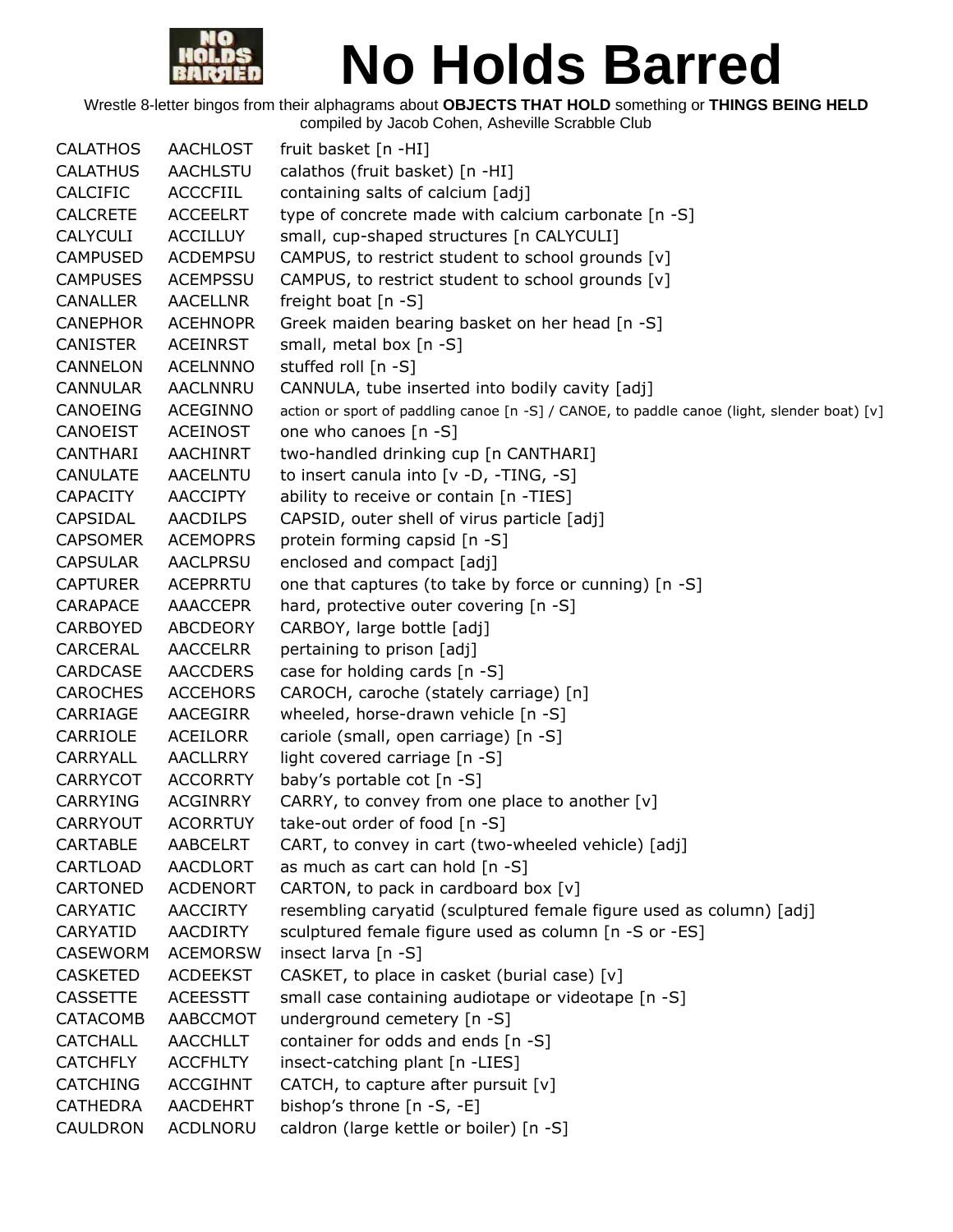

Wrestle 8-letter bingos from their alphagrams about **OBJECTS THAT HOLD** something or **THINGS BEING HELD** compiled by Jacob Cohen, Asheville Scrabble Club

CALATHOS AACHLOST fruit basket [n -HI] CALATHUS AACHLSTU calathos (fruit basket) [n -HI] CALCIFIC ACCCFIIL containing salts of calcium [adj] CALCRETE ACCEELRT type of concrete made with calcium carbonate [n -S] CALYCULI ACCILLUY small, cup-shaped structures [n CALYCULI] CAMPUSED ACDEMPSU CAMPUS, to restrict student to school grounds [v] CAMPUSES ACEMPSSU CAMPUS, to restrict student to school grounds [v] CANALLER AACELLNR freight boat [n -S] CANEPHOR ACEHNOPR Greek maiden bearing basket on her head [n -S] CANISTER ACEINRST small, metal box [n -S] CANNELON ACELNNNO stuffed roll [n -S] CANNULAR AACLNNRU CANNULA, tube inserted into bodily cavity [adj] CANOEING ACEGINNO action or sport of paddling canoe [n -S] / CANOE, to paddle canoe (light, slender boat) [v] CANOEIST ACEINOST one who canoes [n -S] CANTHARI AACHINRT two-handled drinking cup [n CANTHARI] CANULATE AACELNTU to insert canula into [v -D, -TING, -S] CAPACITY AACCIPTY ability to receive or contain [n -TIES] CAPSIDAL AACDILPS CAPSID, outer shell of virus particle [adj] CAPSOMER ACEMOPRS protein forming capsid [n -S] CAPSULAR AACLPRSU enclosed and compact [adj] CAPTURER ACEPRRTU one that captures (to take by force or cunning) [n -S] CARAPACE AAACCEPR hard, protective outer covering [n -S] CARBOYED ABCDEORY CARBOY, large bottle [adj] CARCERAL AACCELRR pertaining to prison [adj] CARDCASE AACCDERS case for holding cards [n -S] CAROCHES ACCEHORS CAROCH, caroche (stately carriage) [n] CARRIAGE AACEGIRR wheeled, horse-drawn vehicle [n -S] CARRIOLE ACEILORR cariole (small, open carriage) [n -S] CARRYALL AACLLRRY light covered carriage [n -S] CARRYCOT ACCORRTY baby's portable cot [n -S] CARRYING ACGINRRY CARRY, to convey from one place to another  $[v]$ CARRYOUT ACORRTUY take-out order of food [n -S] CARTABLE AABCELRT CART, to convey in cart (two-wheeled vehicle) [adj] CARTLOAD AACDLORT as much as cart can hold [n -S] CARTONED ACDENORT CARTON, to pack in cardboard box [v] CARYATIC AACCIRTY resembling caryatid (sculptured female figure used as column) [adj] CARYATID AACDIRTY sculptured female figure used as column [n -S or -ES] CASEWORM ACEMORSW insect larva [n -S] CASKETED ACDEEKST CASKET, to place in casket (burial case) [v] CASSETTE ACEESSTT small case containing audiotape or videotape [n -S] CATACOMB AABCCMOT underground cemetery [n -S] CATCHALL AACCHLLT container for odds and ends [n -S] CATCHFLY ACCFHLTY insect-catching plant [n -LIES] CATCHING ACCGIHNT CATCH, to capture after pursuit [v] CATHEDRA AACDEHRT bishop's throne [n -S, -E] CAULDRON ACDLNORU caldron (large kettle or boiler) [n -S]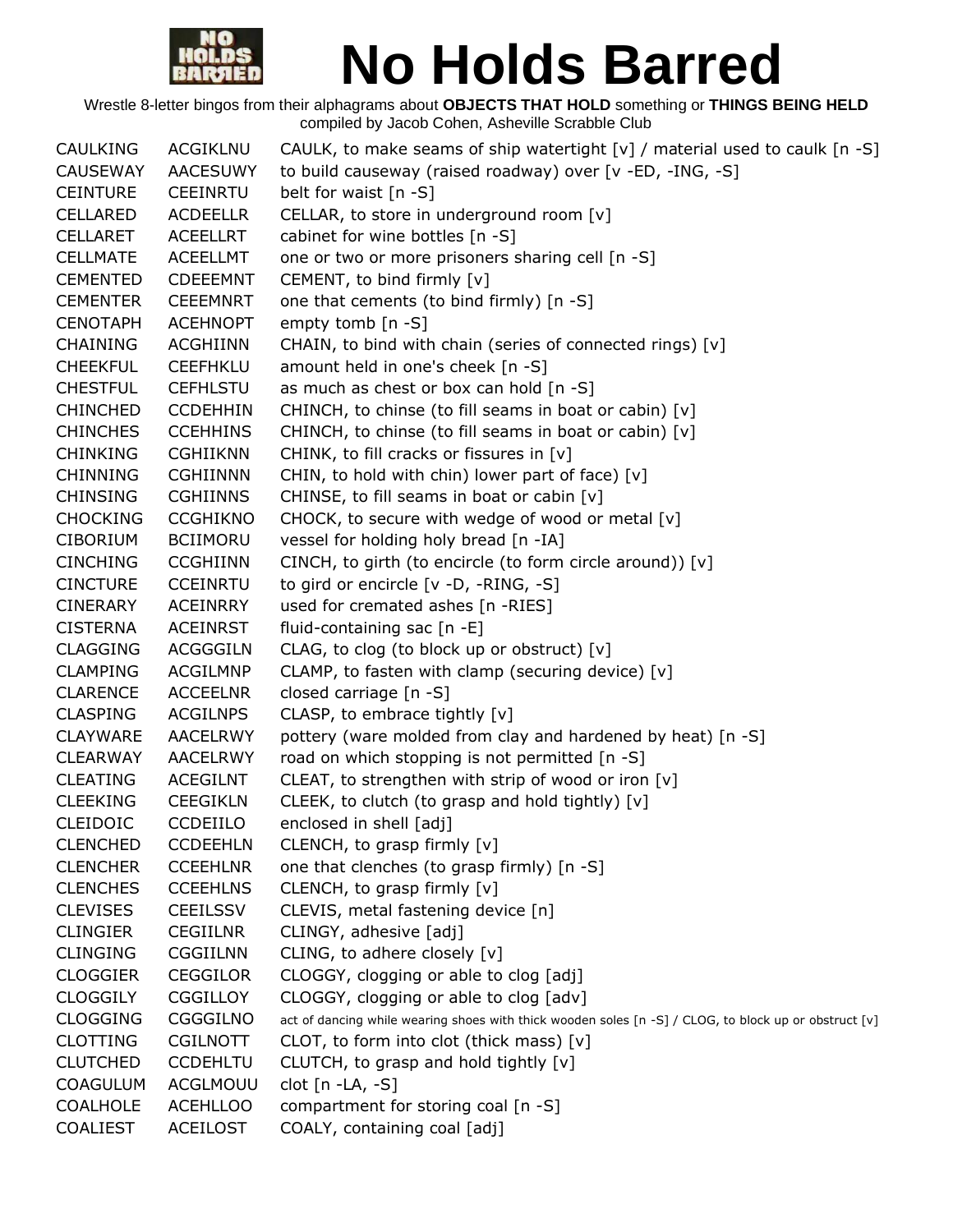

| <b>CAULKING</b> | <b>ACGIKLNU</b> | CAULK, to make seams of ship watertight [v] / material used to caulk [n -S]                           |
|-----------------|-----------------|-------------------------------------------------------------------------------------------------------|
| <b>CAUSEWAY</b> | <b>AACESUWY</b> | to build causeway (raised roadway) over [v -ED, -ING, -S]                                             |
| <b>CEINTURE</b> | <b>CEEINRTU</b> | belt for waist [n -S]                                                                                 |
| <b>CELLARED</b> | <b>ACDEELLR</b> | CELLAR, to store in underground room [v]                                                              |
| <b>CELLARET</b> | <b>ACEELLRT</b> | cabinet for wine bottles [n -S]                                                                       |
| <b>CELLMATE</b> | <b>ACEELLMT</b> | one or two or more prisoners sharing cell [n -S]                                                      |
| <b>CEMENTED</b> | <b>CDEEEMNT</b> | CEMENT, to bind firmly [v]                                                                            |
| <b>CEMENTER</b> | <b>CEEEMNRT</b> | one that cements (to bind firmly) [n -S]                                                              |
| <b>CENOTAPH</b> | <b>ACEHNOPT</b> | empty tomb $[n - S]$                                                                                  |
| <b>CHAINING</b> | <b>ACGHIINN</b> | CHAIN, to bind with chain (series of connected rings) [v]                                             |
| <b>CHEEKFUL</b> | <b>CEEFHKLU</b> | amount held in one's cheek [n -S]                                                                     |
| <b>CHESTFUL</b> | <b>CEFHLSTU</b> | as much as chest or box can hold [n -S]                                                               |
| <b>CHINCHED</b> | <b>CCDEHHIN</b> | CHINCH, to chinse (to fill seams in boat or cabin) [v]                                                |
| <b>CHINCHES</b> | <b>CCEHHINS</b> | CHINCH, to chinse (to fill seams in boat or cabin) [v]                                                |
| <b>CHINKING</b> | <b>CGHIIKNN</b> | CHINK, to fill cracks or fissures in [v]                                                              |
| <b>CHINNING</b> | <b>CGHIINNN</b> | CHIN, to hold with chin) lower part of face) [v]                                                      |
| <b>CHINSING</b> | <b>CGHIINNS</b> | CHINSE, to fill seams in boat or cabin [v]                                                            |
| <b>CHOCKING</b> | <b>CCGHIKNO</b> | CHOCK, to secure with wedge of wood or metal [v]                                                      |
| <b>CIBORIUM</b> | <b>BCIIMORU</b> | vessel for holding holy bread [n -IA]                                                                 |
| <b>CINCHING</b> | <b>CCGHIINN</b> | CINCH, to girth (to encircle (to form circle around)) [v]                                             |
| <b>CINCTURE</b> | <b>CCEINRTU</b> | to gird or encircle [v -D, -RING, -S]                                                                 |
| <b>CINERARY</b> | <b>ACEINRRY</b> | used for cremated ashes [n -RIES]                                                                     |
| <b>CISTERNA</b> | <b>ACEINRST</b> | fluid-containing sac $[n -E]$                                                                         |
| <b>CLAGGING</b> | <b>ACGGGILN</b> | CLAG, to clog (to block up or obstruct) [v]                                                           |
| <b>CLAMPING</b> | <b>ACGILMNP</b> | CLAMP, to fasten with clamp (securing device) [v]                                                     |
| <b>CLARENCE</b> | <b>ACCEELNR</b> | closed carriage [n -S]                                                                                |
| <b>CLASPING</b> | <b>ACGILNPS</b> | CLASP, to embrace tightly [v]                                                                         |
| <b>CLAYWARE</b> | <b>AACELRWY</b> | pottery (ware molded from clay and hardened by heat) [n -S]                                           |
| <b>CLEARWAY</b> | <b>AACELRWY</b> | road on which stopping is not permitted [n -S]                                                        |
| <b>CLEATING</b> | <b>ACEGILNT</b> | CLEAT, to strengthen with strip of wood or iron [v]                                                   |
| <b>CLEEKING</b> | <b>CEEGIKLN</b> | CLEEK, to clutch (to grasp and hold tightly) [v]                                                      |
| CLEIDOIC        | CCDEIILO        | enclosed in shell [adj]                                                                               |
| <b>CLENCHED</b> | <b>CCDEEHLN</b> | CLENCH, to grasp firmly [v]                                                                           |
| <b>CLENCHER</b> | <b>CCEEHLNR</b> | one that clenches (to grasp firmly) [n -S]                                                            |
| <b>CLENCHES</b> | <b>CCEEHLNS</b> | CLENCH, to grasp firmly [v]                                                                           |
| <b>CLEVISES</b> | <b>CEEILSSV</b> | CLEVIS, metal fastening device [n]                                                                    |
| <b>CLINGIER</b> | <b>CEGIILNR</b> | CLINGY, adhesive [adj]                                                                                |
| <b>CLINGING</b> | CGGIILNN        | CLING, to adhere closely [v]                                                                          |
| <b>CLOGGIER</b> | <b>CEGGILOR</b> | CLOGGY, clogging or able to clog [adj]                                                                |
| <b>CLOGGILY</b> | <b>CGGILLOY</b> | CLOGGY, clogging or able to clog [adv]                                                                |
| <b>CLOGGING</b> | CGGGILNO        | act of dancing while wearing shoes with thick wooden soles [n -S] / CLOG, to block up or obstruct [v] |
| <b>CLOTTING</b> | <b>CGILNOTT</b> | CLOT, to form into clot (thick mass) [v]                                                              |
| <b>CLUTCHED</b> | <b>CCDEHLTU</b> | CLUTCH, to grasp and hold tightly [v]                                                                 |
| <b>COAGULUM</b> | ACGLMOUU        | clot [n -LA, -S]                                                                                      |
| <b>COALHOLE</b> | <b>ACEHLLOO</b> | compartment for storing coal [n -S]                                                                   |
| <b>COALIEST</b> | <b>ACEILOST</b> | COALY, containing coal [adj]                                                                          |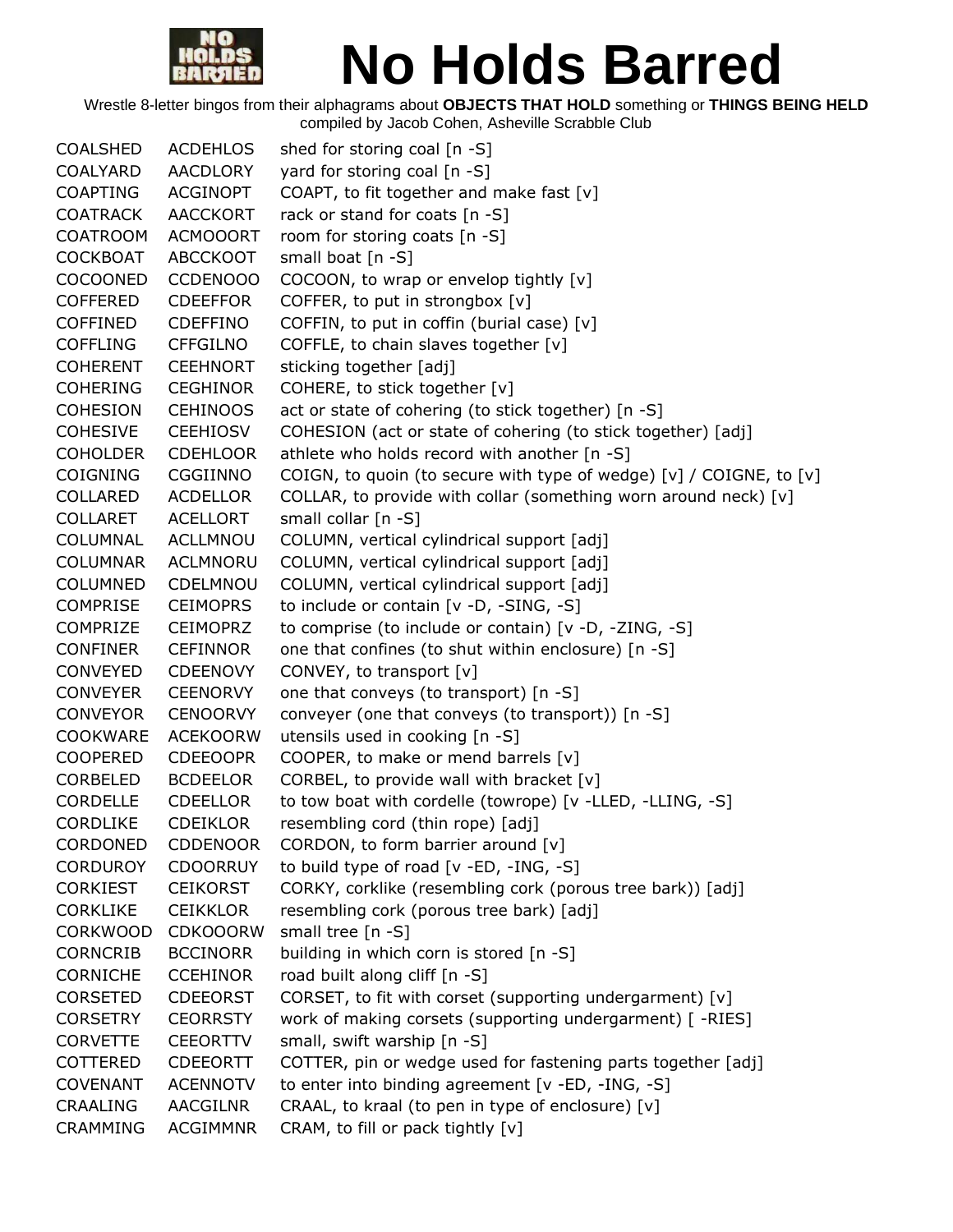

| <b>COALSHED</b> | <b>ACDEHLOS</b> | shed for storing coal [n -S]                                        |
|-----------------|-----------------|---------------------------------------------------------------------|
| COALYARD        | AACDLORY        | yard for storing coal [n -S]                                        |
| <b>COAPTING</b> | <b>ACGINOPT</b> | COAPT, to fit together and make fast [v]                            |
| <b>COATRACK</b> | <b>AACCKORT</b> | rack or stand for coats [n -S]                                      |
| <b>COATROOM</b> | <b>ACMOOORT</b> | room for storing coats [n -S]                                       |
| <b>COCKBOAT</b> | <b>ABCCKOOT</b> | small boat [n -S]                                                   |
| COCOONED        | <b>CCDENOOO</b> | COCOON, to wrap or envelop tightly [v]                              |
| <b>COFFERED</b> | <b>CDEEFFOR</b> | COFFER, to put in strongbox [v]                                     |
| <b>COFFINED</b> | <b>CDEFFINO</b> | COFFIN, to put in coffin (burial case) [v]                          |
| <b>COFFLING</b> | <b>CFFGILNO</b> | COFFLE, to chain slaves together [v]                                |
| <b>COHERENT</b> | <b>CEEHNORT</b> | sticking together [adj]                                             |
| <b>COHERING</b> | <b>CEGHINOR</b> | COHERE, to stick together [v]                                       |
| <b>COHESION</b> | <b>CEHINOOS</b> | act or state of cohering (to stick together) [n -S]                 |
| <b>COHESIVE</b> | <b>CEEHIOSV</b> | COHESION (act or state of cohering (to stick together) [adj]        |
| <b>COHOLDER</b> | <b>CDEHLOOR</b> | athlete who holds record with another [n -S]                        |
| <b>COIGNING</b> | CGGIINNO        | COIGN, to quoin (to secure with type of wedge) [v] / COIGNE, to [v] |
| <b>COLLARED</b> | <b>ACDELLOR</b> | COLLAR, to provide with collar (something worn around neck) [v]     |
| <b>COLLARET</b> | <b>ACELLORT</b> | small collar $[n -S]$                                               |
| COLUMNAL        | ACLLMNOU        | COLUMN, vertical cylindrical support [adj]                          |
| <b>COLUMNAR</b> | ACLMNORU        | COLUMN, vertical cylindrical support [adj]                          |
| <b>COLUMNED</b> | CDELMNOU        | COLUMN, vertical cylindrical support [adj]                          |
| <b>COMPRISE</b> | <b>CEIMOPRS</b> | to include or contain [v -D, -SING, -S]                             |
| <b>COMPRIZE</b> | <b>CEIMOPRZ</b> | to comprise (to include or contain) [v -D, -ZING, -S]               |
| <b>CONFINER</b> | <b>CEFINNOR</b> | one that confines (to shut within enclosure) [n -S]                 |
| <b>CONVEYED</b> | <b>CDEENOVY</b> | CONVEY, to transport [v]                                            |
| <b>CONVEYER</b> | <b>CEENORVY</b> | one that conveys (to transport) [n -S]                              |
| <b>CONVEYOR</b> | <b>CENOORVY</b> | conveyer (one that conveys (to transport)) [n -S]                   |
| <b>COOKWARE</b> | <b>ACEKOORW</b> | utensils used in cooking [n -S]                                     |
| <b>COOPERED</b> | <b>CDEEOOPR</b> | COOPER, to make or mend barrels [v]                                 |
| <b>CORBELED</b> | <b>BCDEELOR</b> | CORBEL, to provide wall with bracket [v]                            |
| <b>CORDELLE</b> | <b>CDEELLOR</b> |                                                                     |
| <b>CORDLIKE</b> | <b>CDEIKLOR</b> | to tow boat with cordelle (towrope) [v -LLED, -LLING, -S]           |
| CORDONED        | <b>CDDENOOR</b> | resembling cord (thin rope) [adj]                                   |
|                 |                 | CORDON, to form barrier around [v]                                  |
| <b>CORDUROY</b> | <b>CDOORRUY</b> | to build type of road [v -ED, -ING, -S]                             |
| <b>CORKIEST</b> | <b>CEIKORST</b> | CORKY, corklike (resembling cork (porous tree bark)) [adj]          |
| <b>CORKLIKE</b> | <b>CEIKKLOR</b> | resembling cork (porous tree bark) [adj]                            |
| <b>CORKWOOD</b> | <b>CDKOOORW</b> | small tree [n -S]                                                   |
| <b>CORNCRIB</b> | <b>BCCINORR</b> | building in which corn is stored [n -S]                             |
| <b>CORNICHE</b> | <b>CCEHINOR</b> | road built along cliff [n -S]                                       |
| <b>CORSETED</b> | <b>CDEEORST</b> | CORSET, to fit with corset (supporting undergarment) [v]            |
| <b>CORSETRY</b> | <b>CEORRSTY</b> | work of making corsets (supporting undergarment) [-RIES]            |
| <b>CORVETTE</b> | <b>CEEORTTV</b> | small, swift warship [n -S]                                         |
| <b>COTTERED</b> | <b>CDEEORTT</b> | COTTER, pin or wedge used for fastening parts together [adj]        |
| <b>COVENANT</b> | <b>ACENNOTV</b> | to enter into binding agreement [v -ED, -ING, -S]                   |
| <b>CRAALING</b> | <b>AACGILNR</b> | CRAAL, to kraal (to pen in type of enclosure) [v]                   |
| <b>CRAMMING</b> | <b>ACGIMMNR</b> | CRAM, to fill or pack tightly [v]                                   |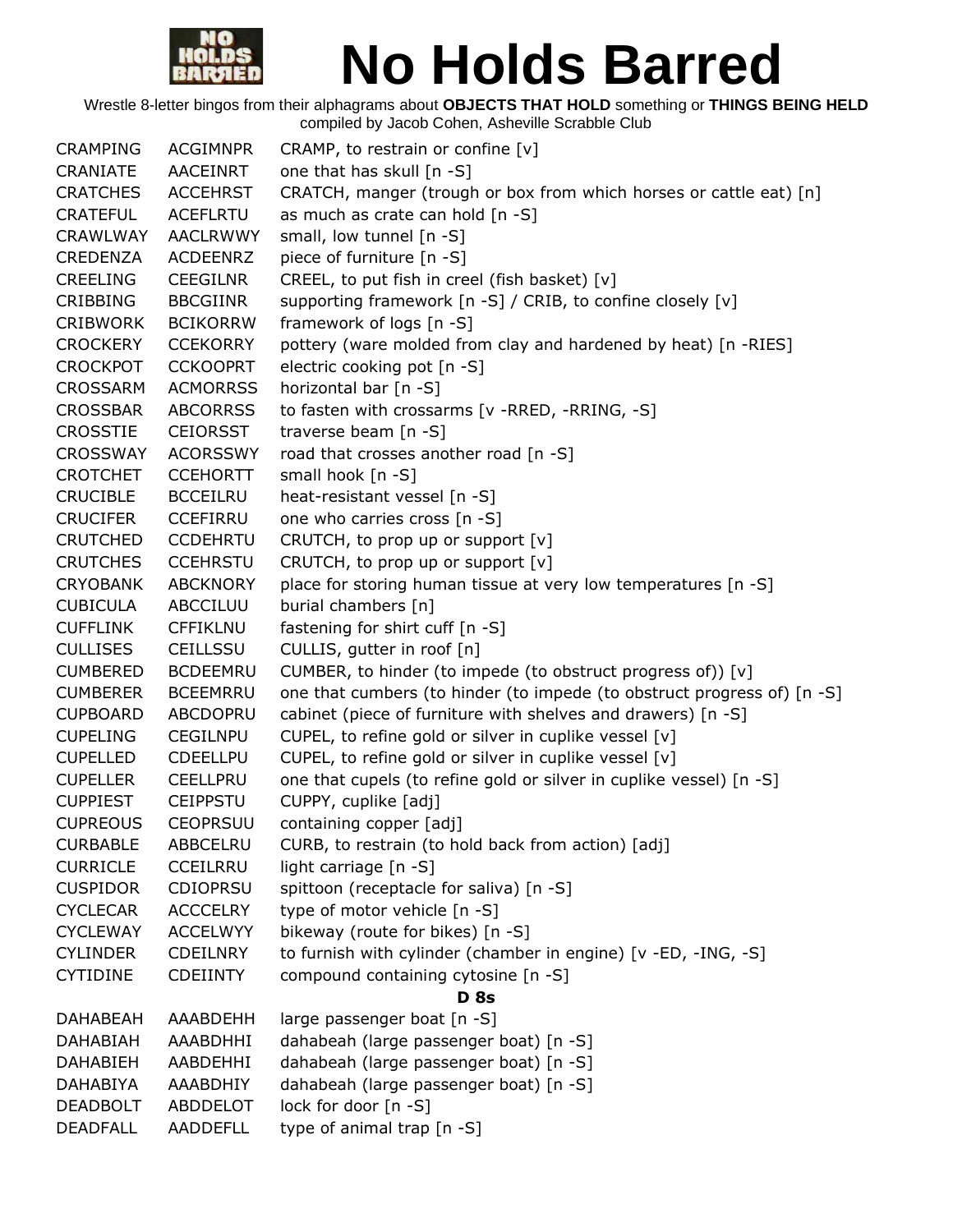

| <b>CRAMPING</b> | <b>ACGIMNPR</b> | CRAMP, to restrain or confine $[v]$                                     |
|-----------------|-----------------|-------------------------------------------------------------------------|
| CRANIATE        | AACEINRT        | one that has skull [n -S]                                               |
| <b>CRATCHES</b> | <b>ACCEHRST</b> | CRATCH, manger (trough or box from which horses or cattle eat) [n]      |
| <b>CRATEFUL</b> | <b>ACEFLRTU</b> | as much as crate can hold [n -S]                                        |
| <b>CRAWLWAY</b> | <b>AACLRWWY</b> | small, low tunnel [n -S]                                                |
| <b>CREDENZA</b> | <b>ACDEENRZ</b> | piece of furniture [n -S]                                               |
| <b>CREELING</b> | <b>CEEGILNR</b> | CREEL, to put fish in creel (fish basket) [v]                           |
| <b>CRIBBING</b> | <b>BBCGIINR</b> | supporting framework [n -S] / CRIB, to confine closely [v]              |
| <b>CRIBWORK</b> | <b>BCIKORRW</b> | framework of logs [n -S]                                                |
| <b>CROCKERY</b> | <b>CCEKORRY</b> | pottery (ware molded from clay and hardened by heat) [n -RIES]          |
| <b>CROCKPOT</b> | <b>CCKOOPRT</b> | electric cooking pot [n -S]                                             |
| <b>CROSSARM</b> | <b>ACMORRSS</b> | horizontal bar [n -S]                                                   |
| <b>CROSSBAR</b> | <b>ABCORRSS</b> | to fasten with crossarms [v -RRED, -RRING, -S]                          |
| <b>CROSSTIE</b> | <b>CEIORSST</b> | traverse beam [n -S]                                                    |
| <b>CROSSWAY</b> | <b>ACORSSWY</b> | road that crosses another road [n -S]                                   |
| <b>CROTCHET</b> | <b>CCEHORTT</b> | small hook [n -S]                                                       |
| <b>CRUCIBLE</b> | <b>BCCEILRU</b> | heat-resistant vessel [n -S]                                            |
| <b>CRUCIFER</b> | <b>CCEFIRRU</b> | one who carries cross [n -S]                                            |
| <b>CRUTCHED</b> | <b>CCDEHRTU</b> | CRUTCH, to prop up or support [v]                                       |
| <b>CRUTCHES</b> | <b>CCEHRSTU</b> | CRUTCH, to prop up or support [v]                                       |
| <b>CRYOBANK</b> | <b>ABCKNORY</b> | place for storing human tissue at very low temperatures [n -S]          |
| <b>CUBICULA</b> | ABCCILUU        | burial chambers [n]                                                     |
| <b>CUFFLINK</b> | <b>CFFIKLNU</b> | fastening for shirt cuff [n -S]                                         |
| <b>CULLISES</b> | CEILLSSU        | CULLIS, gutter in roof [n]                                              |
| <b>CUMBERED</b> | <b>BCDEEMRU</b> | CUMBER, to hinder (to impede (to obstruct progress of)) [v]             |
| <b>CUMBERER</b> | <b>BCEEMRRU</b> | one that cumbers (to hinder (to impede (to obstruct progress of) [n -S] |
| <b>CUPBOARD</b> | ABCDOPRU        | cabinet (piece of furniture with shelves and drawers) [n -S]            |
| <b>CUPELING</b> | CEGILNPU        | CUPEL, to refine gold or silver in cuplike vessel [v]                   |
| <b>CUPELLED</b> | <b>CDEELLPU</b> | CUPEL, to refine gold or silver in cuplike vessel [v]                   |
| <b>CUPELLER</b> | <b>CEELLPRU</b> | one that cupels (to refine gold or silver in cuplike vessel) [n -S]     |
| <b>CUPPIEST</b> | <b>CEIPPSTU</b> | CUPPY, cuplike [adj]                                                    |
| <b>CUPREOUS</b> | <b>CEOPRSUU</b> | containing copper [adj]                                                 |
| <b>CURBABLE</b> | ABBCELRU        | CURB, to restrain (to hold back from action) [adj]                      |
| <b>CURRICLE</b> | <b>CCEILRRU</b> | light carriage $[n -S]$                                                 |
| <b>CUSPIDOR</b> | <b>CDIOPRSU</b> | spittoon (receptacle for saliva) [n -S]                                 |
| <b>CYCLECAR</b> | <b>ACCCELRY</b> | type of motor vehicle [n -S]                                            |
| <b>CYCLEWAY</b> | <b>ACCELWYY</b> | bikeway (route for bikes) [n -S]                                        |
| <b>CYLINDER</b> | <b>CDEILNRY</b> | to furnish with cylinder (chamber in engine) [v -ED, -ING, -S]          |
| <b>CYTIDINE</b> | <b>CDEIINTY</b> | compound containing cytosine [n -S]                                     |
|                 |                 | <b>D</b> 8s                                                             |
| DAHABEAH        | AAABDEHH        | large passenger boat [n -S]                                             |
| DAHABIAH        | AAABDHHI        | dahabeah (large passenger boat) [n -S]                                  |
| DAHABIEH        | AABDEHHI        | dahabeah (large passenger boat) [n -S]                                  |
| <b>DAHABIYA</b> | AAABDHIY        | dahabeah (large passenger boat) [n -S]                                  |
| <b>DEADBOLT</b> | ABDDELOT        | lock for door [n -S]                                                    |
| <b>DEADFALL</b> | <b>AADDEFLL</b> | type of animal trap [n -S]                                              |
|                 |                 |                                                                         |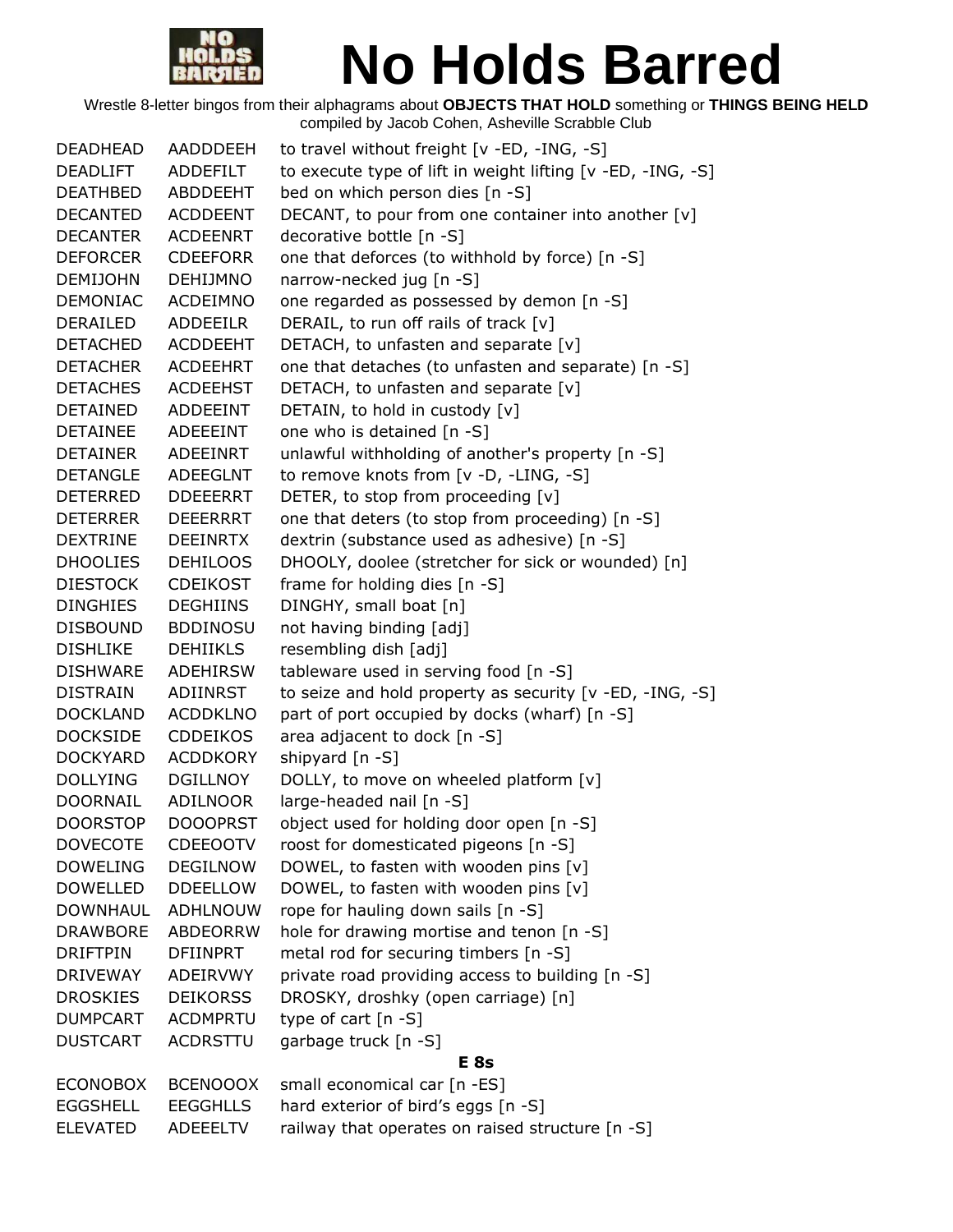

| <b>DEADHEAD</b> | AADDDEEH        | to travel without freight [v -ED, -ING, -S]                 |
|-----------------|-----------------|-------------------------------------------------------------|
| DEADLIFT        | <b>ADDEFILT</b> | to execute type of lift in weight lifting [v -ED, -ING, -S] |
| <b>DEATHBED</b> | <b>ABDDEEHT</b> | bed on which person dies [n -S]                             |
| <b>DECANTED</b> | <b>ACDDEENT</b> | DECANT, to pour from one container into another [v]         |
| <b>DECANTER</b> | <b>ACDEENRT</b> | decorative bottle [n -S]                                    |
| <b>DEFORCER</b> | <b>CDEEFORR</b> | one that deforces (to withhold by force) [n -S]             |
| <b>DEMIJOHN</b> | <b>DEHIJMNO</b> | narrow-necked jug [n -S]                                    |
| <b>DEMONIAC</b> | ACDEIMNO        | one regarded as possessed by demon [n -S]                   |
| DERAILED        | ADDEEILR        | DERAIL, to run off rails of track [v]                       |
| <b>DETACHED</b> | <b>ACDDEEHT</b> | DETACH, to unfasten and separate [v]                        |
| <b>DETACHER</b> | <b>ACDEEHRT</b> | one that detaches (to unfasten and separate) [n -S]         |
| <b>DETACHES</b> | <b>ACDEEHST</b> | DETACH, to unfasten and separate [v]                        |
| DETAINED        | <b>ADDEEINT</b> | DETAIN, to hold in custody [v]                              |
| <b>DETAINEE</b> | ADEEEINT        | one who is detained [n -S]                                  |
| <b>DETAINER</b> | ADEEINRT        | unlawful withholding of another's property [n -S]           |
| <b>DETANGLE</b> | <b>ADEEGLNT</b> | to remove knots from [v -D, -LING, -S]                      |
| <b>DETERRED</b> | <b>DDEEERRT</b> | DETER, to stop from proceeding [v]                          |
| <b>DETERRER</b> | <b>DEEERRRT</b> | one that deters (to stop from proceeding) [n -S]            |
| <b>DEXTRINE</b> | <b>DEEINRTX</b> | dextrin (substance used as adhesive) [n -S]                 |
| <b>DHOOLIES</b> | <b>DEHILOOS</b> | DHOOLY, doolee (stretcher for sick or wounded) [n]          |
| <b>DIESTOCK</b> | <b>CDEIKOST</b> | frame for holding dies [n -S]                               |
| <b>DINGHIES</b> | <b>DEGHIINS</b> | DINGHY, small boat [n]                                      |
| <b>DISBOUND</b> | <b>BDDINOSU</b> | not having binding [adj]                                    |
| <b>DISHLIKE</b> | <b>DEHIIKLS</b> | resembling dish [adj]                                       |
| <b>DISHWARE</b> | ADEHIRSW        | tableware used in serving food [n -S]                       |
| <b>DISTRAIN</b> | ADIINRST        | to seize and hold property as security [v -ED, -ING, -S]    |
| <b>DOCKLAND</b> | <b>ACDDKLNO</b> | part of port occupied by docks (wharf) [n -S]               |
| <b>DOCKSIDE</b> | <b>CDDEIKOS</b> | area adjacent to dock [n -S]                                |
| <b>DOCKYARD</b> | <b>ACDDKORY</b> | shipyard [n -S]                                             |
| <b>DOLLYING</b> | DGILLNOY        | DOLLY, to move on wheeled platform [v]                      |
| DOORNAIL        | ADILNOOR        | large-headed nail [n -S]                                    |
| <b>DOORSTOP</b> | <b>DOOOPRST</b> | object used for holding door open [n -S]                    |
| <b>DOVECOTE</b> | <b>CDEEOOTV</b> | roost for domesticated pigeons [n -S]                       |
| <b>DOWELING</b> | <b>DEGILNOW</b> | DOWEL, to fasten with wooden pins [v]                       |
| <b>DOWELLED</b> | <b>DDEELLOW</b> | DOWEL, to fasten with wooden pins [v]                       |
| <b>DOWNHAUL</b> | <b>ADHLNOUW</b> | rope for hauling down sails [n -S]                          |
| <b>DRAWBORE</b> | ABDEORRW        | hole for drawing mortise and tenon [n -S]                   |
| <b>DRIFTPIN</b> | <b>DFIINPRT</b> | metal rod for securing timbers [n -S]                       |
| <b>DRIVEWAY</b> | ADEIRVWY        | private road providing access to building [n -S]            |
| <b>DROSKIES</b> | <b>DEIKORSS</b> | DROSKY, droshky (open carriage) [n]                         |
| <b>DUMPCART</b> | <b>ACDMPRTU</b> | type of cart $[n - S]$                                      |
| <b>DUSTCART</b> | <b>ACDRSTTU</b> | garbage truck [n -S]                                        |
|                 |                 | E <sub>8s</sub>                                             |
| <b>ECONOBOX</b> | <b>BCENOOOX</b> | small economical car [n -ES]                                |
| <b>EGGSHELL</b> | <b>EEGGHLLS</b> | hard exterior of bird's eggs [n -S]                         |
| <b>ELEVATED</b> | <b>ADEEELTV</b> | railway that operates on raised structure [n -S]            |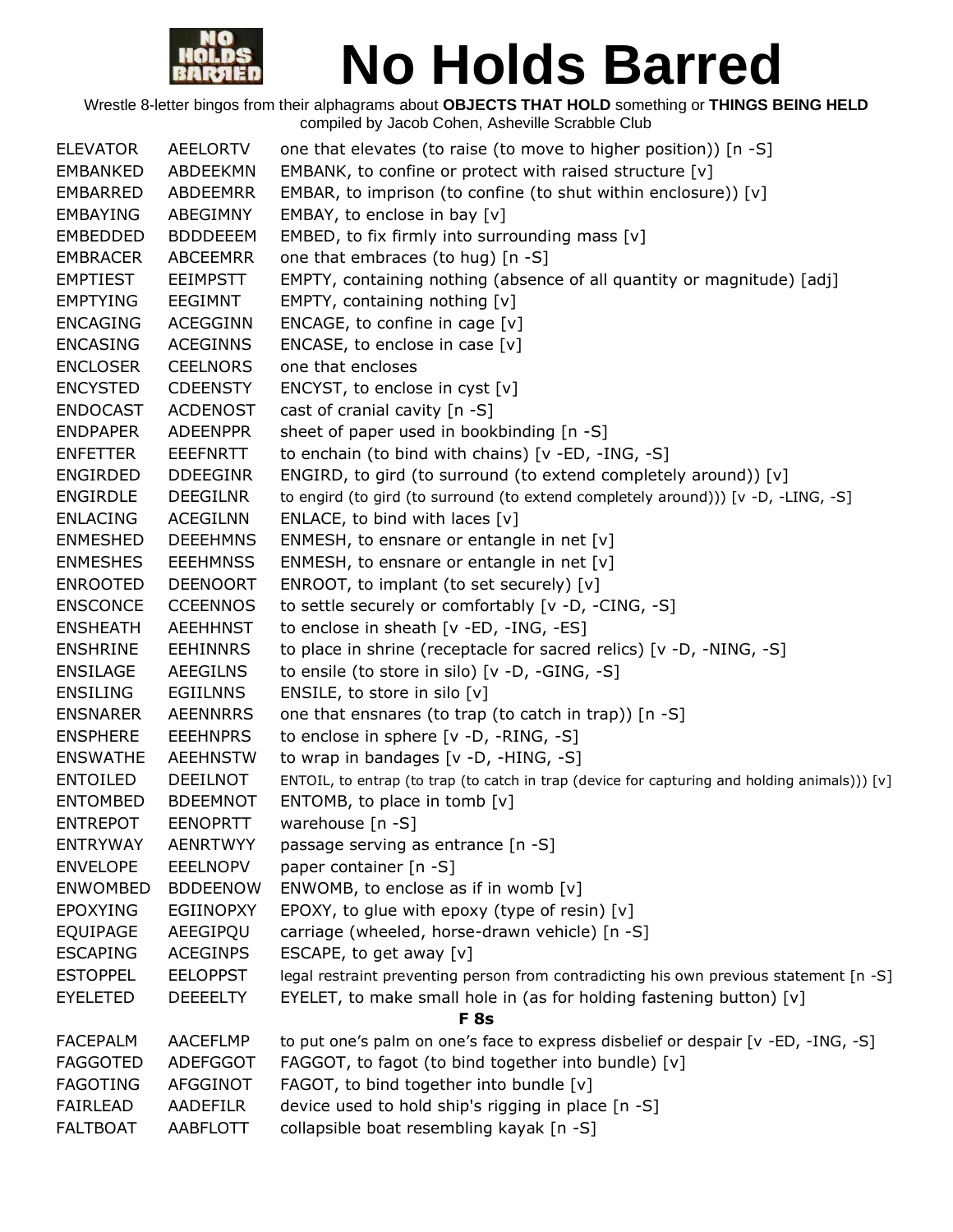

| <b>ELEVATOR</b> | <b>AEELORTV</b> | one that elevates (to raise (to move to higher position)) [n -S]                              |
|-----------------|-----------------|-----------------------------------------------------------------------------------------------|
| <b>EMBANKED</b> | ABDEEKMN        | EMBANK, to confine or protect with raised structure [v]                                       |
| <b>EMBARRED</b> | ABDEEMRR        | EMBAR, to imprison (to confine (to shut within enclosure)) [v]                                |
| <b>EMBAYING</b> | ABEGIMNY        | EMBAY, to enclose in bay $[v]$                                                                |
| <b>EMBEDDED</b> | <b>BDDDEEEM</b> | EMBED, to fix firmly into surrounding mass $[v]$                                              |
| <b>EMBRACER</b> | <b>ABCEEMRR</b> | one that embraces (to hug) [n -S]                                                             |
| <b>EMPTIEST</b> | <b>EEIMPSTT</b> | EMPTY, containing nothing (absence of all quantity or magnitude) [adj]                        |
| <b>EMPTYING</b> | EEGIMNT         | EMPTY, containing nothing [v]                                                                 |
| <b>ENCAGING</b> | <b>ACEGGINN</b> | ENCAGE, to confine in cage $[v]$                                                              |
| <b>ENCASING</b> | <b>ACEGINNS</b> | ENCASE, to enclose in case $[v]$                                                              |
| <b>ENCLOSER</b> | <b>CEELNORS</b> | one that encloses                                                                             |
| <b>ENCYSTED</b> | <b>CDEENSTY</b> | ENCYST, to enclose in cyst [v]                                                                |
| <b>ENDOCAST</b> | <b>ACDENOST</b> | cast of cranial cavity [n -S]                                                                 |
| <b>ENDPAPER</b> | <b>ADEENPPR</b> | sheet of paper used in bookbinding [n -S]                                                     |
| <b>ENFETTER</b> | <b>EEEFNRTT</b> | to enchain (to bind with chains) [v -ED, -ING, -S]                                            |
| <b>ENGIRDED</b> | <b>DDEEGINR</b> | ENGIRD, to gird (to surround (to extend completely around)) [v]                               |
| <b>ENGIRDLE</b> | <b>DEEGILNR</b> | to engird (to gird (to surround (to extend completely around))) [v -D, -LING, -S]             |
| <b>ENLACING</b> | <b>ACEGILNN</b> | ENLACE, to bind with laces $[v]$                                                              |
| <b>ENMESHED</b> | <b>DEEEHMNS</b> | ENMESH, to ensnare or entangle in net $[v]$                                                   |
| <b>ENMESHES</b> | <b>EEEHMNSS</b> | ENMESH, to ensnare or entangle in net $[v]$                                                   |
| <b>ENROOTED</b> | <b>DEENOORT</b> | ENROOT, to implant (to set securely) [v]                                                      |
| <b>ENSCONCE</b> | <b>CCEENNOS</b> | to settle securely or comfortably [v -D, -CING, -S]                                           |
| <b>ENSHEATH</b> | <b>AEEHHNST</b> | to enclose in sheath [v -ED, -ING, -ES]                                                       |
| <b>ENSHRINE</b> | <b>EEHINNRS</b> | to place in shrine (receptacle for sacred relics) [v -D, -NING, -S]                           |
| <b>ENSILAGE</b> | <b>AEEGILNS</b> | to ensile (to store in silo) [v -D, -GING, -S]                                                |
| <b>ENSILING</b> | <b>EGIILNNS</b> | ENSILE, to store in silo [v]                                                                  |
| <b>ENSNARER</b> | <b>AEENNRRS</b> | one that ensnares (to trap (to catch in trap)) [n -S]                                         |
| <b>ENSPHERE</b> | <b>EEEHNPRS</b> | to enclose in sphere $[v -D, -RING, -S]$                                                      |
| <b>ENSWATHE</b> | <b>AEEHNSTW</b> | to wrap in bandages $[v -D, -HING, -S]$                                                       |
| <b>ENTOILED</b> | <b>DEEILNOT</b> | ENTOIL, to entrap (to trap (to catch in trap (device for capturing and holding animals))) [v] |
| <b>ENTOMBED</b> | <b>BDEEMNOT</b> | ENTOMB, to place in tomb $[v]$                                                                |
| <b>ENTREPOT</b> | <b>EENOPRTT</b> | warehouse $[n -S]$                                                                            |
| <b>ENTRYWAY</b> | <b>AENRTWYY</b> | passage serving as entrance [n -S]                                                            |
| <b>ENVELOPE</b> | <b>EEELNOPV</b> | paper container [n -S]                                                                        |
| <b>ENWOMBED</b> | <b>BDDEENOW</b> | ENWOMB, to enclose as if in womb $[v]$                                                        |
| <b>EPOXYING</b> | EGIINOPXY       | EPOXY, to glue with epoxy (type of resin) [v]                                                 |
| <b>EQUIPAGE</b> | AEEGIPQU        | carriage (wheeled, horse-drawn vehicle) [n -S]                                                |
| <b>ESCAPING</b> | <b>ACEGINPS</b> | ESCAPE, to get away $[v]$                                                                     |
| <b>ESTOPPEL</b> | <b>EELOPPST</b> | legal restraint preventing person from contradicting his own previous statement [n -S]        |
| EYELETED        | <b>DEEEELTY</b> | EYELET, to make small hole in (as for holding fastening button) [v]                           |
|                 |                 | <b>F</b> 8s                                                                                   |
| <b>FACEPALM</b> | <b>AACEFLMP</b> | to put one's palm on one's face to express disbelief or despair [v -ED, -ING, -S]             |
| <b>FAGGOTED</b> | <b>ADEFGGOT</b> | FAGGOT, to fagot (to bind together into bundle) [v]                                           |
| <b>FAGOTING</b> | AFGGINOT        | FAGOT, to bind together into bundle [v]                                                       |
| <b>FAIRLEAD</b> | AADEFILR        | device used to hold ship's rigging in place [n -S]                                            |
| <b>FALTBOAT</b> | AABFLOTT        | collapsible boat resembling kayak [n -S]                                                      |
|                 |                 |                                                                                               |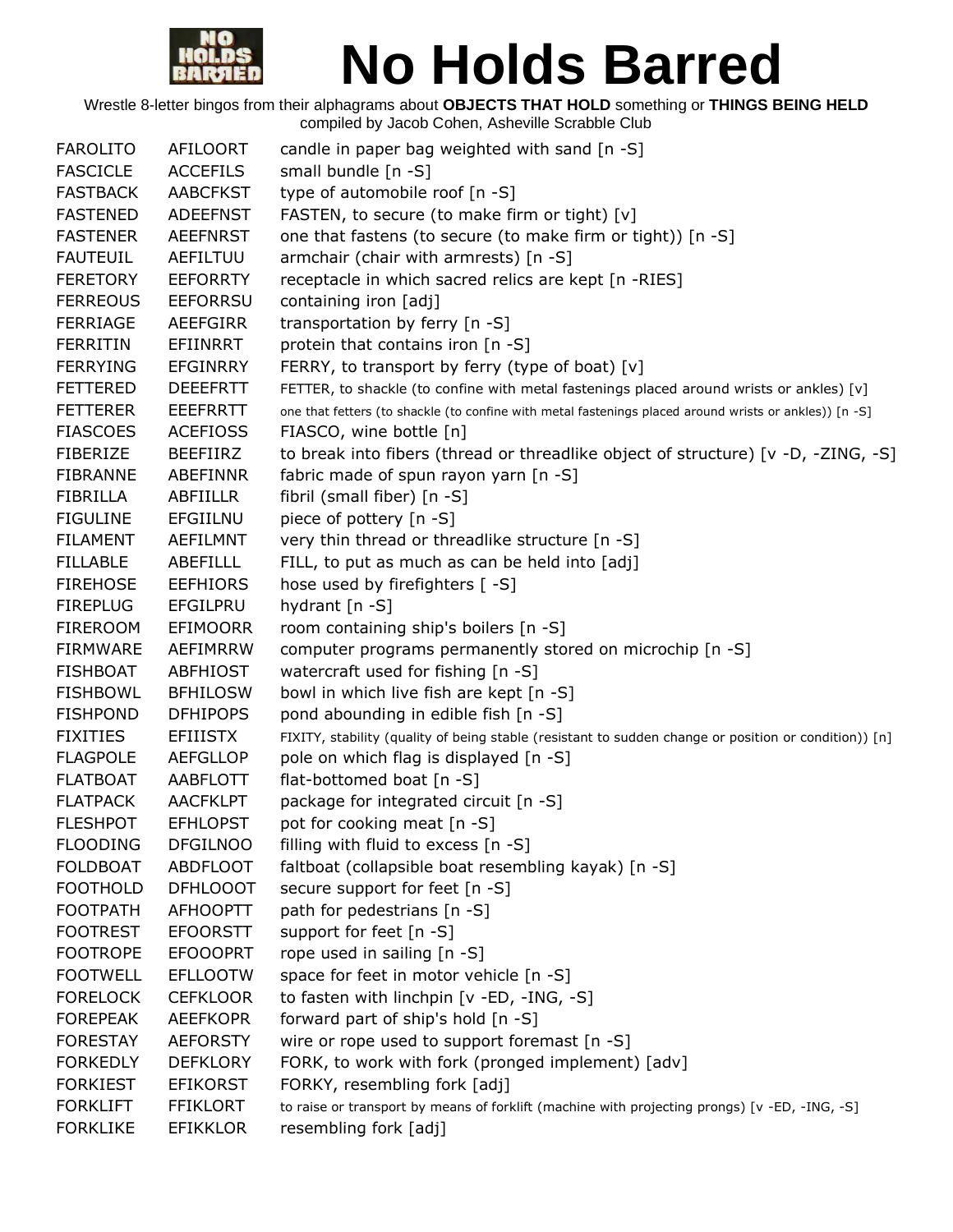

| <b>FAROLITO</b> | AFILOORT        | candle in paper bag weighted with sand [n -S]                                                          |
|-----------------|-----------------|--------------------------------------------------------------------------------------------------------|
| <b>FASCICLE</b> | <b>ACCEFILS</b> | small bundle [n -S]                                                                                    |
| <b>FASTBACK</b> | <b>AABCFKST</b> | type of automobile roof [n -S]                                                                         |
| <b>FASTENED</b> | <b>ADEEFNST</b> | FASTEN, to secure (to make firm or tight) [v]                                                          |
| <b>FASTENER</b> | <b>AEEFNRST</b> | one that fastens (to secure (to make firm or tight)) [n -S]                                            |
| <b>FAUTEUIL</b> | AEFILTUU        | armchair (chair with armrests) [n -S]                                                                  |
| <b>FERETORY</b> | <b>EEFORRTY</b> | receptacle in which sacred relics are kept [n -RIES]                                                   |
| <b>FERREOUS</b> | <b>EEFORRSU</b> | containing iron [adj]                                                                                  |
| <b>FERRIAGE</b> | <b>AEEFGIRR</b> | transportation by ferry [n -S]                                                                         |
| <b>FERRITIN</b> | EFIINRRT        | protein that contains iron [n -S]                                                                      |
| <b>FERRYING</b> | <b>EFGINRRY</b> | FERRY, to transport by ferry (type of boat) [v]                                                        |
| <b>FETTERED</b> | <b>DEEEFRTT</b> | FETTER, to shackle (to confine with metal fastenings placed around wrists or ankles) [v]               |
| <b>FETTERER</b> | <b>EEEFRRTT</b> | one that fetters (to shackle (to confine with metal fastenings placed around wrists or ankles)) [n -S] |
| <b>FIASCOES</b> | <b>ACEFIOSS</b> | FIASCO, wine bottle [n]                                                                                |
| <b>FIBERIZE</b> | <b>BEEFIIRZ</b> | to break into fibers (thread or threadlike object of structure) [v -D, -ZING, -S]                      |
| <b>FIBRANNE</b> | ABEFINNR        | fabric made of spun rayon yarn [n -S]                                                                  |
| <b>FIBRILLA</b> | <b>ABFIILLR</b> | fibril (small fiber) [n -S]                                                                            |
| <b>FIGULINE</b> | EFGIILNU        | piece of pottery [n -S]                                                                                |
| <b>FILAMENT</b> | AEFILMNT        | very thin thread or threadlike structure [n -S]                                                        |
| <b>FILLABLE</b> | <b>ABEFILLL</b> | FILL, to put as much as can be held into [adj]                                                         |
| <b>FIREHOSE</b> | <b>EEFHIORS</b> | hose used by firefighters [-S]                                                                         |
| <b>FIREPLUG</b> | EFGILPRU        | hydrant [n -S]                                                                                         |
| <b>FIREROOM</b> | <b>EFIMOORR</b> | room containing ship's boilers [n -S]                                                                  |
| <b>FIRMWARE</b> | <b>AEFIMRRW</b> | computer programs permanently stored on microchip [n -S]                                               |
| <b>FISHBOAT</b> | ABFHIOST        | watercraft used for fishing [n -S]                                                                     |
| <b>FISHBOWL</b> | <b>BFHILOSW</b> | bowl in which live fish are kept [n -S]                                                                |
| <b>FISHPOND</b> | <b>DFHIPOPS</b> | pond abounding in edible fish [n -S]                                                                   |
| <b>FIXITIES</b> | <b>EFIIISTX</b> | FIXITY, stability (quality of being stable (resistant to sudden change or position or condition)) [n]  |
| <b>FLAGPOLE</b> | <b>AEFGLLOP</b> | pole on which flag is displayed [n -S]                                                                 |
| <b>FLATBOAT</b> | AABFLOTT        | flat-bottomed boat [n -S]                                                                              |
| <b>FLATPACK</b> | <b>AACFKLPT</b> | package for integrated circuit [n -S]                                                                  |
| <b>FLESHPOT</b> | <b>EFHLOPST</b> | pot for cooking meat [n -S]                                                                            |
| <b>FLOODING</b> | <b>DFGILNOO</b> | filling with fluid to excess [n -S]                                                                    |
| <b>FOLDBOAT</b> | <b>ABDFLOOT</b> | faltboat (collapsible boat resembling kayak) [n -S]                                                    |
| <b>FOOTHOLD</b> | <b>DFHLOOOT</b> | secure support for feet [n -S]                                                                         |
| <b>FOOTPATH</b> | <b>AFHOOPTT</b> | path for pedestrians [n -S]                                                                            |
| <b>FOOTREST</b> | <b>EFOORSTT</b> | support for feet [n -S]                                                                                |
| <b>FOOTROPE</b> | <b>EFOOOPRT</b> | rope used in sailing [n -S]                                                                            |
| <b>FOOTWELL</b> | <b>EFLLOOTW</b> | space for feet in motor vehicle [n -S]                                                                 |
| <b>FORELOCK</b> | <b>CEFKLOOR</b> | to fasten with linchpin [v -ED, -ING, -S]                                                              |
| <b>FOREPEAK</b> | <b>AEEFKOPR</b> | forward part of ship's hold [n -S]                                                                     |
| <b>FORESTAY</b> | <b>AEFORSTY</b> | wire or rope used to support foremast [n -S]                                                           |
| <b>FORKEDLY</b> | <b>DEFKLORY</b> | FORK, to work with fork (pronged implement) [adv]                                                      |
| <b>FORKIEST</b> | <b>EFIKORST</b> | FORKY, resembling fork [adj]                                                                           |
| <b>FORKLIFT</b> | <b>FFIKLORT</b> | to raise or transport by means of forklift (machine with projecting prongs) [v -ED, -ING, -S]          |
| <b>FORKLIKE</b> | <b>EFIKKLOR</b> | resembling fork [adj]                                                                                  |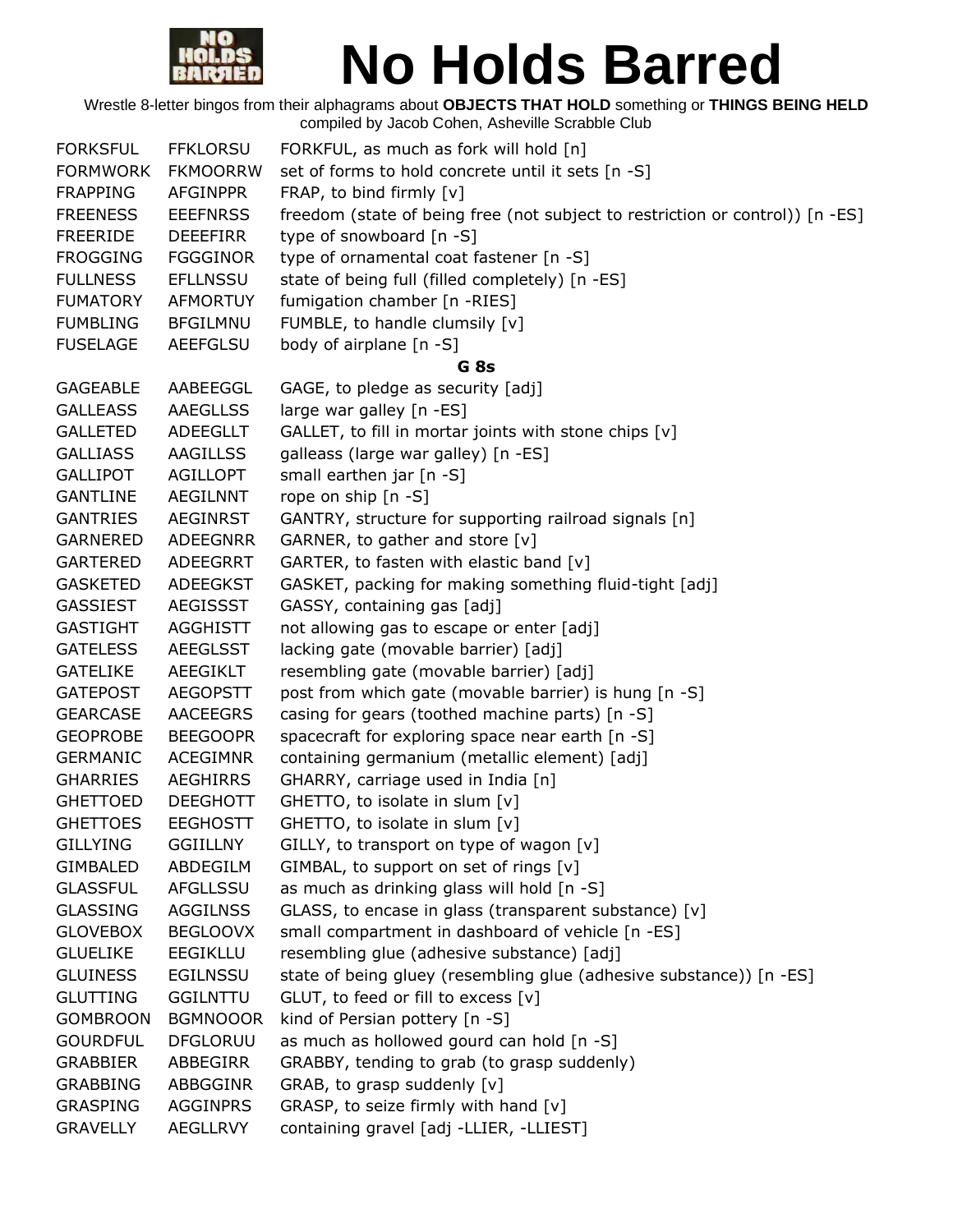

| <b>FORKSFUL</b> | <b>FFKLORSU</b> | FORKFUL, as much as fork will hold [n]                                        |
|-----------------|-----------------|-------------------------------------------------------------------------------|
| <b>FORMWORK</b> | <b>FKMOORRW</b> | set of forms to hold concrete until it sets [n -S]                            |
| <b>FRAPPING</b> | <b>AFGINPPR</b> | FRAP, to bind firmly [v]                                                      |
| <b>FREENESS</b> | <b>EEEFNRSS</b> | freedom (state of being free (not subject to restriction or control)) [n -ES] |
| <b>FREERIDE</b> | <b>DEEEFIRR</b> | type of snowboard [n -S]                                                      |
| <b>FROGGING</b> | <b>FGGGINOR</b> | type of ornamental coat fastener [n -S]                                       |
| <b>FULLNESS</b> | <b>EFLLNSSU</b> | state of being full (filled completely) [n -ES]                               |
| <b>FUMATORY</b> | AFMORTUY        | fumigation chamber [n -RIES]                                                  |
| <b>FUMBLING</b> | <b>BFGILMNU</b> | FUMBLE, to handle clumsily [v]                                                |
| <b>FUSELAGE</b> | <b>AEEFGLSU</b> | body of airplane [n -S]                                                       |
|                 |                 | G <sub>8s</sub>                                                               |
| <b>GAGEABLE</b> | AABEEGGL        | GAGE, to pledge as security [adj]                                             |
| <b>GALLEASS</b> | <b>AAEGLLSS</b> | large war galley [n -ES]                                                      |
| <b>GALLETED</b> | ADEEGLLT        | GALLET, to fill in mortar joints with stone chips [v]                         |
| <b>GALLIASS</b> | <b>AAGILLSS</b> | galleass (large war galley) [n -ES]                                           |
| <b>GALLIPOT</b> | <b>AGILLOPT</b> | small earthen jar [n -S]                                                      |
| <b>GANTLINE</b> | <b>AEGILNNT</b> | rope on ship [n -S]                                                           |
| <b>GANTRIES</b> | AEGINRST        | GANTRY, structure for supporting railroad signals [n]                         |
| <b>GARNERED</b> | <b>ADEEGNRR</b> | GARNER, to gather and store [v]                                               |
| <b>GARTERED</b> | ADEEGRRT        | GARTER, to fasten with elastic band [v]                                       |
| <b>GASKETED</b> | ADEEGKST        | GASKET, packing for making something fluid-tight [adj]                        |
| <b>GASSIEST</b> | <b>AEGISSST</b> | GASSY, containing gas [adj]                                                   |
| <b>GASTIGHT</b> | AGGHISTT        | not allowing gas to escape or enter [adj]                                     |
| <b>GATELESS</b> | <b>AEEGLSST</b> | lacking gate (movable barrier) [adj]                                          |
| <b>GATELIKE</b> | AEEGIKLT        | resembling gate (movable barrier) [adj]                                       |
| <b>GATEPOST</b> | <b>AEGOPSTT</b> | post from which gate (movable barrier) is hung [n -S]                         |
| <b>GEARCASE</b> | AACEEGRS        | casing for gears (toothed machine parts) [n -S]                               |
| <b>GEOPROBE</b> | <b>BEEGOOPR</b> | spacecraft for exploring space near earth [n -S]                              |
| <b>GERMANIC</b> | <b>ACEGIMNR</b> | containing germanium (metallic element) [adj]                                 |
| <b>GHARRIES</b> | AEGHIRRS        | GHARRY, carriage used in India [n]                                            |
| <b>GHETTOED</b> | <b>DEEGHOTT</b> | GHETTO, to isolate in slum [v]                                                |
| <b>GHETTOES</b> | <b>EEGHOSTT</b> | GHETTO, to isolate in slum [v]                                                |
| <b>GILLYING</b> | <b>GGIILLNY</b> | GILLY, to transport on type of wagon [v]                                      |
| <b>GIMBALED</b> | ABDEGILM        | GIMBAL, to support on set of rings [v]                                        |
| <b>GLASSFUL</b> | AFGLLSSU        | as much as drinking glass will hold [n -S]                                    |
| <b>GLASSING</b> | <b>AGGILNSS</b> | GLASS, to encase in glass (transparent substance) [v]                         |
| <b>GLOVEBOX</b> | <b>BEGLOOVX</b> | small compartment in dashboard of vehicle [n -ES]                             |
| <b>GLUELIKE</b> | <b>EEGIKLLU</b> | resembling glue (adhesive substance) [adj]                                    |
| <b>GLUINESS</b> | <b>EGILNSSU</b> | state of being gluey (resembling glue (adhesive substance)) [n -ES]           |
| <b>GLUTTING</b> | <b>GGILNTTU</b> | GLUT, to feed or fill to excess [v]                                           |
| <b>GOMBROON</b> | <b>BGMNOOOR</b> | kind of Persian pottery [n -S]                                                |
| <b>GOURDFUL</b> | <b>DFGLORUU</b> | as much as hollowed gourd can hold [n -S]                                     |
| <b>GRABBIER</b> | ABBEGIRR        | GRABBY, tending to grab (to grasp suddenly)                                   |
| <b>GRABBING</b> | ABBGGINR        | GRAB, to grasp suddenly [v]                                                   |
| <b>GRASPING</b> | <b>AGGINPRS</b> | GRASP, to seize firmly with hand [v]                                          |
| <b>GRAVELLY</b> | <b>AEGLLRVY</b> | containing gravel [adj -LLIER, -LLIEST]                                       |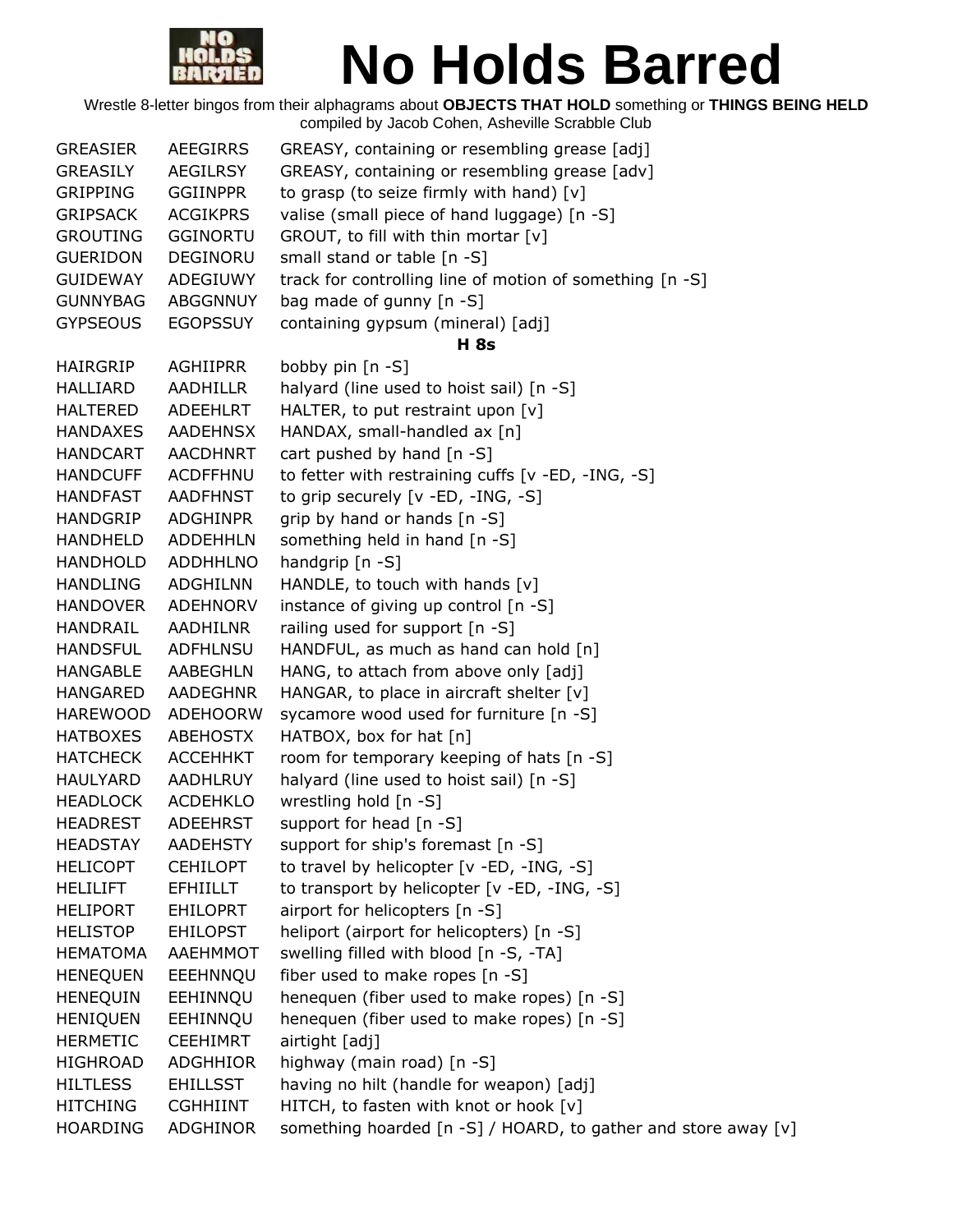

| <b>GREASIER</b> | AEEGIRRS        | GREASY, containing or resembling grease [adj]                  |
|-----------------|-----------------|----------------------------------------------------------------|
| <b>GREASILY</b> | <b>AEGILRSY</b> | GREASY, containing or resembling grease [adv]                  |
| <b>GRIPPING</b> | <b>GGIINPPR</b> | to grasp (to seize firmly with hand) $[v]$                     |
| <b>GRIPSACK</b> | <b>ACGIKPRS</b> | valise (small piece of hand luggage) [n -S]                    |
| <b>GROUTING</b> | <b>GGINORTU</b> | GROUT, to fill with thin mortar [v]                            |
| <b>GUERIDON</b> | DEGINORU        | small stand or table [n -S]                                    |
| <b>GUIDEWAY</b> | ADEGIUWY        | track for controlling line of motion of something [n -S]       |
| <b>GUNNYBAG</b> | ABGGNNUY        | bag made of gunny [n -S]                                       |
| <b>GYPSEOUS</b> | <b>EGOPSSUY</b> | containing gypsum (mineral) [adj]                              |
|                 |                 | <b>H</b> 8s                                                    |
| HAIRGRIP        | AGHIIPRR        | bobby pin [n -S]                                               |
| HALLIARD        | <b>AADHILLR</b> | halyard (line used to hoist sail) [n -S]                       |
| HALTERED        | ADEEHLRT        | HALTER, to put restraint upon [v]                              |
| <b>HANDAXES</b> | AADEHNSX        | HANDAX, small-handled ax [n]                                   |
| <b>HANDCART</b> | <b>AACDHNRT</b> | cart pushed by hand [n -S]                                     |
| <b>HANDCUFF</b> | <b>ACDFFHNU</b> | to fetter with restraining cuffs [v -ED, -ING, -S]             |
| <b>HANDFAST</b> | AADFHNST        | to grip securely [v -ED, -ING, -S]                             |
| <b>HANDGRIP</b> | ADGHINPR        | grip by hand or hands $[n -S]$                                 |
| <b>HANDHELD</b> | ADDEHHLN        | something held in hand [n -S]                                  |
| <b>HANDHOLD</b> | <b>ADDHHLNO</b> | handgrip [n -S]                                                |
| <b>HANDLING</b> | <b>ADGHILNN</b> | HANDLE, to touch with hands [v]                                |
| <b>HANDOVER</b> | ADEHNORV        | instance of giving up control [n -S]                           |
| HANDRAIL        | AADHILNR        | railing used for support [n -S]                                |
| <b>HANDSFUL</b> | <b>ADFHLNSU</b> | HANDFUL, as much as hand can hold [n]                          |
| <b>HANGABLE</b> | AABEGHLN        | HANG, to attach from above only [adj]                          |
| <b>HANGARED</b> | <b>AADEGHNR</b> | HANGAR, to place in aircraft shelter [v]                       |
| <b>HAREWOOD</b> | <b>ADEHOORW</b> | sycamore wood used for furniture [n -S]                        |
| <b>HATBOXES</b> | ABEHOSTX        | HATBOX, box for hat [n]                                        |
| <b>HATCHECK</b> | <b>ACCEHHKT</b> | room for temporary keeping of hats [n -S]                      |
| <b>HAULYARD</b> | AADHLRUY        | halyard (line used to hoist sail) [n -S]                       |
| <b>HEADLOCK</b> | ACDEHKLO        | wrestling hold [n -S]                                          |
| <b>HEADREST</b> | <b>ADEEHRST</b> | support for head [n -S]                                        |
| <b>HEADSTAY</b> | <b>AADEHSTY</b> | support for ship's foremast [n -S]                             |
| <b>HELICOPT</b> | <b>CEHILOPT</b> | to travel by helicopter [v -ED, -ING, -S]                      |
| <b>HELILIFT</b> | <b>EFHIILLT</b> | to transport by helicopter [v -ED, -ING, -S]                   |
| <b>HELIPORT</b> | <b>EHILOPRT</b> | airport for helicopters [n -S]                                 |
| <b>HELISTOP</b> | <b>EHILOPST</b> | heliport (airport for helicopters) [n -S]                      |
| <b>HEMATOMA</b> | <b>AAEHMMOT</b> | swelling filled with blood [n -S, -TA]                         |
| <b>HENEQUEN</b> | EEEHNNQU        | fiber used to make ropes [n -S]                                |
| <b>HENEQUIN</b> | EEHINNQU        | henequen (fiber used to make ropes) [n -S]                     |
| <b>HENIQUEN</b> | EEHINNQU        | henequen (fiber used to make ropes) [n -S]                     |
| <b>HERMETIC</b> | <b>CEEHIMRT</b> | airtight [adj]                                                 |
| <b>HIGHROAD</b> | ADGHHIOR        | highway (main road) [n -S]                                     |
| <b>HILTLESS</b> | <b>EHILLSST</b> | having no hilt (handle for weapon) [adj]                       |
| <b>HITCHING</b> | <b>CGHHIINT</b> | HITCH, to fasten with knot or hook [v]                         |
| <b>HOARDING</b> | ADGHINOR        | something hoarded [n -S] / HOARD, to gather and store away [v] |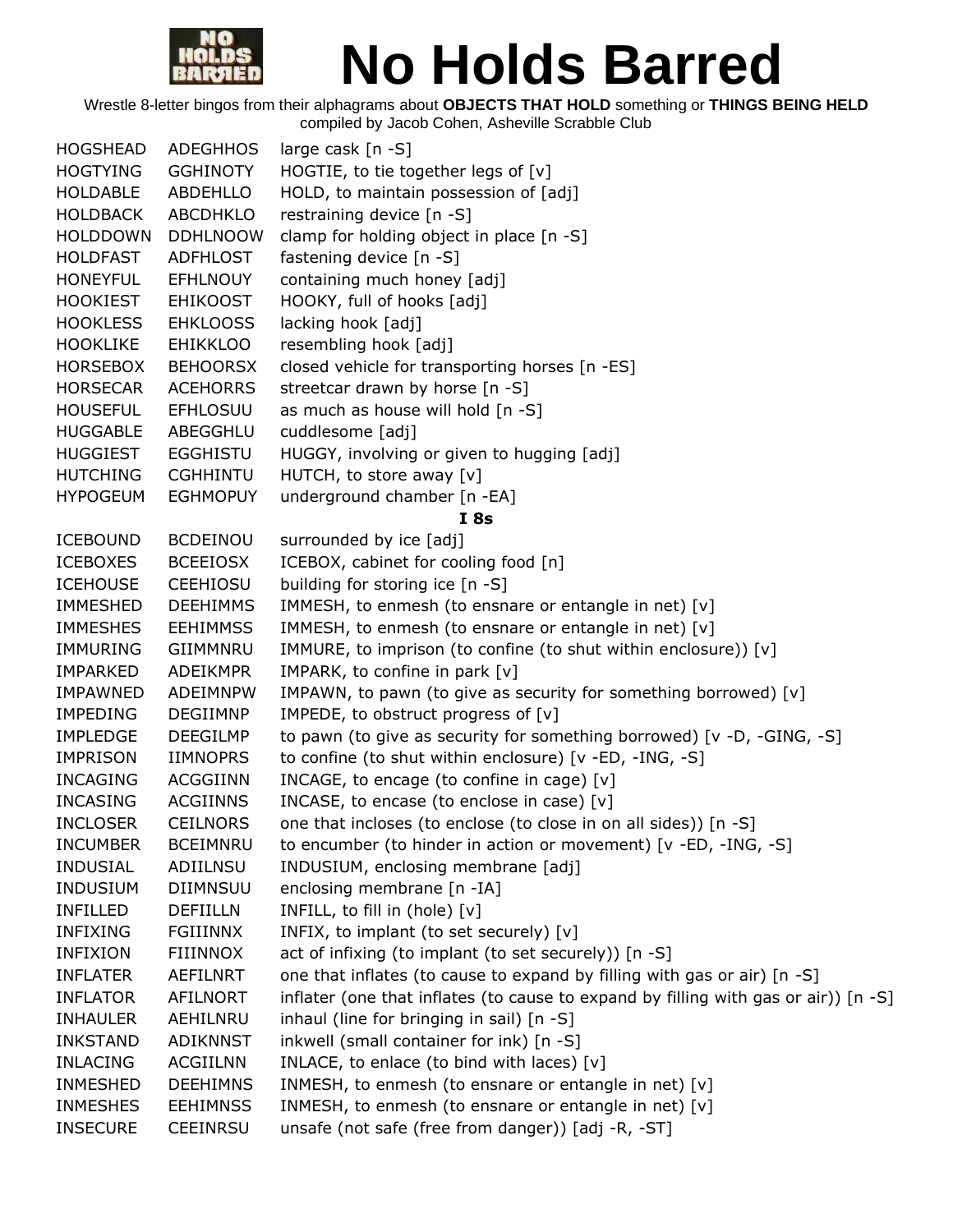

| <b>HOGSHEAD</b> | <b>ADEGHHOS</b> | large cask [n -S]                                                                   |
|-----------------|-----------------|-------------------------------------------------------------------------------------|
| <b>HOGTYING</b> | <b>GGHINOTY</b> | HOGTIE, to tie together legs of [v]                                                 |
| <b>HOLDABLE</b> | ABDEHLLO        | HOLD, to maintain possession of [adj]                                               |
| <b>HOLDBACK</b> | <b>ABCDHKLO</b> | restraining device [n -S]                                                           |
| <b>HOLDDOWN</b> | <b>DDHLNOOW</b> | clamp for holding object in place [n -S]                                            |
| <b>HOLDFAST</b> | <b>ADFHLOST</b> | fastening device [n -S]                                                             |
| <b>HONEYFUL</b> | <b>EFHLNOUY</b> | containing much honey [adj]                                                         |
| <b>HOOKIEST</b> | <b>EHIKOOST</b> | HOOKY, full of hooks [adj]                                                          |
| <b>HOOKLESS</b> | <b>EHKLOOSS</b> | lacking hook [adj]                                                                  |
| <b>HOOKLIKE</b> | <b>EHIKKLOO</b> | resembling hook [adj]                                                               |
| <b>HORSEBOX</b> | <b>BEHOORSX</b> | closed vehicle for transporting horses [n -ES]                                      |
| <b>HORSECAR</b> | <b>ACEHORRS</b> | streetcar drawn by horse [n -S]                                                     |
| <b>HOUSEFUL</b> | EFHLOSUU        | as much as house will hold [n -S]                                                   |
| <b>HUGGABLE</b> | ABEGGHLU        | cuddlesome [adj]                                                                    |
| <b>HUGGIEST</b> | <b>EGGHISTU</b> | HUGGY, involving or given to hugging [adj]                                          |
| <b>HUTCHING</b> | <b>CGHHINTU</b> | HUTCH, to store away $[v]$                                                          |
| <b>HYPOGEUM</b> | <b>EGHMOPUY</b> | underground chamber [n -EA]                                                         |
|                 |                 | I8s                                                                                 |
| <b>ICEBOUND</b> | <b>BCDEINOU</b> | surrounded by ice [adj]                                                             |
| <b>ICEBOXES</b> | <b>BCEEIOSX</b> | ICEBOX, cabinet for cooling food [n]                                                |
| <b>ICEHOUSE</b> | <b>CEEHIOSU</b> | building for storing ice [n -S]                                                     |
| <b>IMMESHED</b> | <b>DEEHIMMS</b> | IMMESH, to enmesh (to ensnare or entangle in net) [v]                               |
| <b>IMMESHES</b> | <b>EEHIMMSS</b> | IMMESH, to enmesh (to ensnare or entangle in net) [v]                               |
| IMMURING        | GIIMMNRU        | IMMURE, to imprison (to confine (to shut within enclosure)) [v]                     |
| <b>IMPARKED</b> | <b>ADEIKMPR</b> | IMPARK, to confine in park [v]                                                      |
| <b>IMPAWNED</b> | <b>ADEIMNPW</b> | IMPAWN, to pawn (to give as security for something borrowed) [v]                    |
| IMPEDING        | DEGIIMNP        | IMPEDE, to obstruct progress of [v]                                                 |
| <b>IMPLEDGE</b> | <b>DEEGILMP</b> | to pawn (to give as security for something borrowed) [v -D, -GING, -S]              |
| <b>IMPRISON</b> | <b>IIMNOPRS</b> | to confine (to shut within enclosure) [v -ED, -ING, -S]                             |
| <b>INCAGING</b> | <b>ACGGIINN</b> | INCAGE, to encage (to confine in cage) [v]                                          |
| <b>INCASING</b> | <b>ACGIINNS</b> | INCASE, to encase (to enclose in case) [v]                                          |
| <b>INCLOSER</b> | <b>CEILNORS</b> | one that incloses (to enclose (to close in on all sides)) [n -S]                    |
| <b>INCUMBER</b> | <b>BCEIMNRU</b> | to encumber (to hinder in action or movement) [v -ED, -ING, -S]                     |
| <b>INDUSIAL</b> | ADIILNSU        | INDUSIUM, enclosing membrane [adj]                                                  |
| <b>INDUSIUM</b> | <b>DIIMNSUU</b> | enclosing membrane [n -IA]                                                          |
| <b>INFILLED</b> | <b>DEFIILLN</b> | INFILL, to fill in (hole) [v]                                                       |
| <b>INFIXING</b> | <b>FGIIINNX</b> | INFIX, to implant (to set securely) [v]                                             |
| <b>INFIXION</b> | <b>FIIINNOX</b> | act of infixing (to implant (to set securely)) [n -S]                               |
| <b>INFLATER</b> | AEFILNRT        | one that inflates (to cause to expand by filling with gas or air) [n -S]            |
| <b>INFLATOR</b> | AFILNORT        | inflater (one that inflates (to cause to expand by filling with gas or air)) [n -S] |
| <b>INHAULER</b> | AEHILNRU        | inhaul (line for bringing in sail) $[n - S]$                                        |
| <b>INKSTAND</b> | ADIKNNST        | inkwell (small container for ink) [n -S]                                            |
| <b>INLACING</b> | <b>ACGIILNN</b> | INLACE, to enlace (to bind with laces) [v]                                          |
| <b>INMESHED</b> | <b>DEEHIMNS</b> | INMESH, to enmesh (to ensnare or entangle in net) [v]                               |
| <b>INMESHES</b> | <b>EEHIMNSS</b> | INMESH, to enmesh (to ensnare or entangle in net) [v]                               |
| <b>INSECURE</b> | CEEINRSU        | unsafe (not safe (free from danger)) [adj -R, -ST]                                  |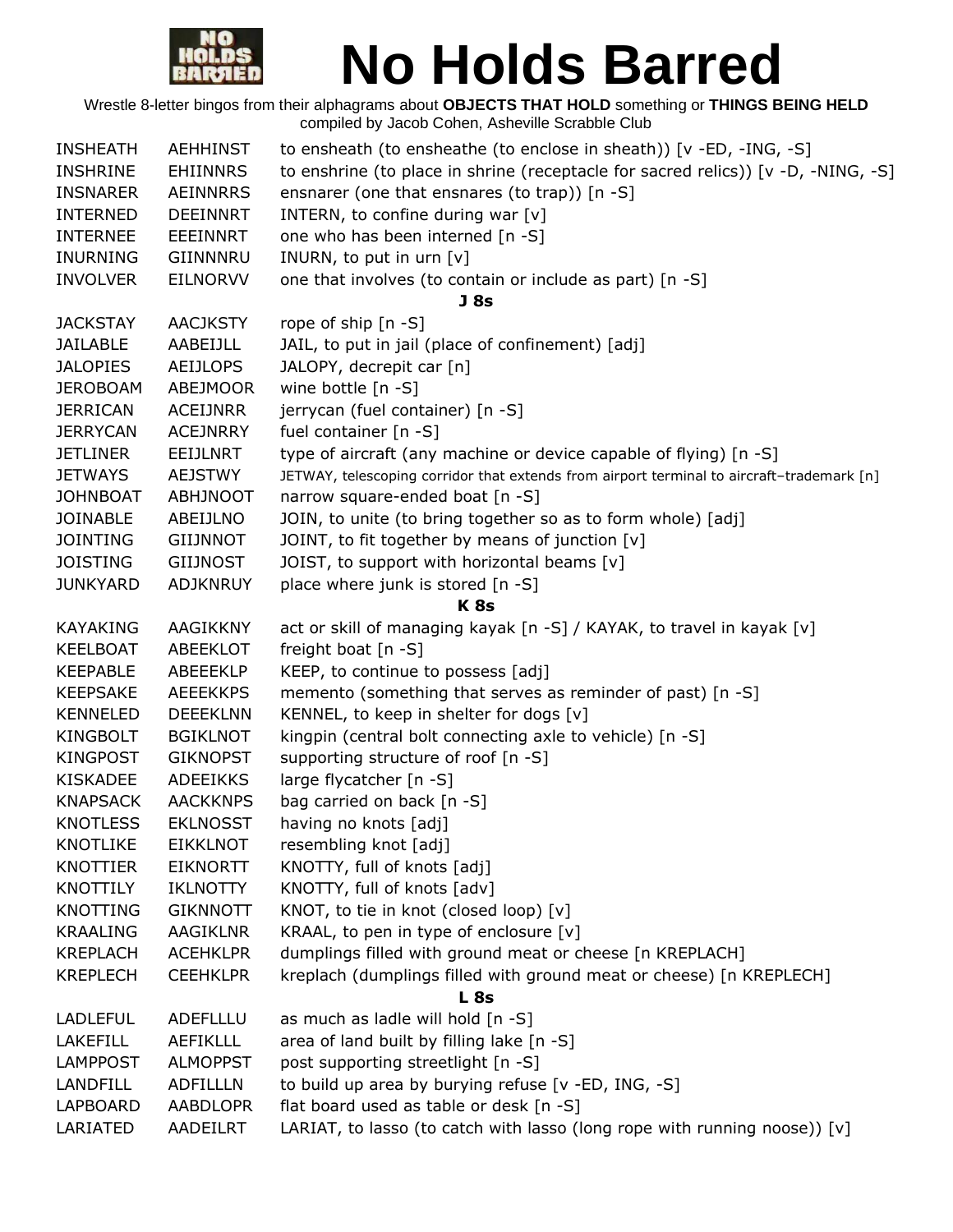

| <b>INSHEATH</b> | <b>AEHHINST</b> | to ensheath (to ensheathe (to enclose in sheath)) [v -ED, -ING, -S]                       |
|-----------------|-----------------|-------------------------------------------------------------------------------------------|
| <b>INSHRINE</b> | <b>EHIINNRS</b> | to enshrine (to place in shrine (receptacle for sacred relics)) [v -D, -NING, -S]         |
| <b>INSNARER</b> | <b>AEINNRRS</b> | ensnarer (one that ensnares (to trap)) [n -S]                                             |
| <b>INTERNED</b> | <b>DEEINNRT</b> | INTERN, to confine during war [v]                                                         |
| <b>INTERNEE</b> | <b>EEEINNRT</b> | one who has been interned [n -S]                                                          |
| <b>INURNING</b> | GIINNNRU        | INURN, to put in urn [v]                                                                  |
| <b>INVOLVER</b> | <b>EILNORVV</b> | one that involves (to contain or include as part) [n -S]                                  |
|                 |                 | J <sub>8s</sub>                                                                           |
| <b>JACKSTAY</b> | <b>AACJKSTY</b> | rope of ship [n -S]                                                                       |
| <b>JAILABLE</b> | AABEIJLL        | JAIL, to put in jail (place of confinement) [adj]                                         |
| <b>JALOPIES</b> | <b>AEIJLOPS</b> | JALOPY, decrepit car [n]                                                                  |
| <b>JEROBOAM</b> | <b>ABEJMOOR</b> | wine bottle [n -S]                                                                        |
| <b>JERRICAN</b> | <b>ACEIJNRR</b> | jerrycan (fuel container) [n -S]                                                          |
| <b>JERRYCAN</b> | <b>ACEJNRRY</b> | fuel container [n -S]                                                                     |
| <b>JETLINER</b> | EEIJLNRT        | type of aircraft (any machine or device capable of flying) [n -S]                         |
| <b>JETWAYS</b>  | <b>AEJSTWY</b>  | JETWAY, telescoping corridor that extends from airport terminal to aircraft-trademark [n] |
| <b>JOHNBOAT</b> | <b>ABHJNOOT</b> | narrow square-ended boat [n -S]                                                           |
| <b>JOINABLE</b> | ABEIJLNO        | JOIN, to unite (to bring together so as to form whole) [adj]                              |
| <b>JOINTING</b> | <b>GIIJNNOT</b> | JOINT, to fit together by means of junction [v]                                           |
| <b>JOISTING</b> | <b>GIIJNOST</b> | JOIST, to support with horizontal beams [v]                                               |
| <b>JUNKYARD</b> | <b>ADJKNRUY</b> | place where junk is stored [n -S]                                                         |
|                 |                 | <b>K8s</b>                                                                                |
| <b>KAYAKING</b> | AAGIKKNY        | act or skill of managing kayak [n -S] / KAYAK, to travel in kayak [v]                     |
| <b>KEELBOAT</b> | ABEEKLOT        | freight boat [n -S]                                                                       |
| <b>KEEPABLE</b> | ABEEEKLP        | KEEP, to continue to possess [adj]                                                        |
| <b>KEEPSAKE</b> | <b>AEEEKKPS</b> | memento (something that serves as reminder of past) [n -S]                                |
| KENNELED        | <b>DEEEKLNN</b> | KENNEL, to keep in shelter for dogs [v]                                                   |
| <b>KINGBOLT</b> | <b>BGIKLNOT</b> | kingpin (central bolt connecting axle to vehicle) [n -S]                                  |
| <b>KINGPOST</b> | <b>GIKNOPST</b> | supporting structure of roof [n -S]                                                       |
| <b>KISKADEE</b> | ADEEIKKS        | large flycatcher [n -S]                                                                   |
| <b>KNAPSACK</b> | <b>AACKKNPS</b> | bag carried on back [n -S]                                                                |
| <b>KNOTLESS</b> | <b>EKLNOSST</b> | having no knots [adj]                                                                     |
| <b>KNOTLIKE</b> | <b>EIKKLNOT</b> | resembling knot [adj]                                                                     |
| <b>KNOTTIER</b> | <b>EIKNORTT</b> | KNOTTY, full of knots [adj]                                                               |
| KNOTTILY        | <b>IKLNOTTY</b> | KNOTTY, full of knots [adv]                                                               |
| KNOTTING        | <b>GIKNNOTT</b> | KNOT, to tie in knot (closed loop) [v]                                                    |
| <b>KRAALING</b> | <b>AAGIKLNR</b> | KRAAL, to pen in type of enclosure [v]                                                    |
| <b>KREPLACH</b> | <b>ACEHKLPR</b> | dumplings filled with ground meat or cheese [n KREPLACH]                                  |
| <b>KREPLECH</b> | <b>CEEHKLPR</b> | kreplach (dumplings filled with ground meat or cheese) [n KREPLECH]                       |
|                 |                 | <b>L</b> 8s                                                                               |
| <b>LADLEFUL</b> | ADEFLLLU        | as much as ladle will hold [n -S]                                                         |
| LAKEFILL        | AEFIKLLL        | area of land built by filling lake [n -S]                                                 |
| <b>LAMPPOST</b> | <b>ALMOPPST</b> | post supporting streetlight [n -S]                                                        |
| LANDFILL        | <b>ADFILLLN</b> | to build up area by burying refuse [v -ED, ING, -S]                                       |
| <b>LAPBOARD</b> | <b>AABDLOPR</b> | flat board used as table or desk [n -S]                                                   |
| LARIATED        | AADEILRT        | LARIAT, to lasso (to catch with lasso (long rope with running noose)) [v]                 |
|                 |                 |                                                                                           |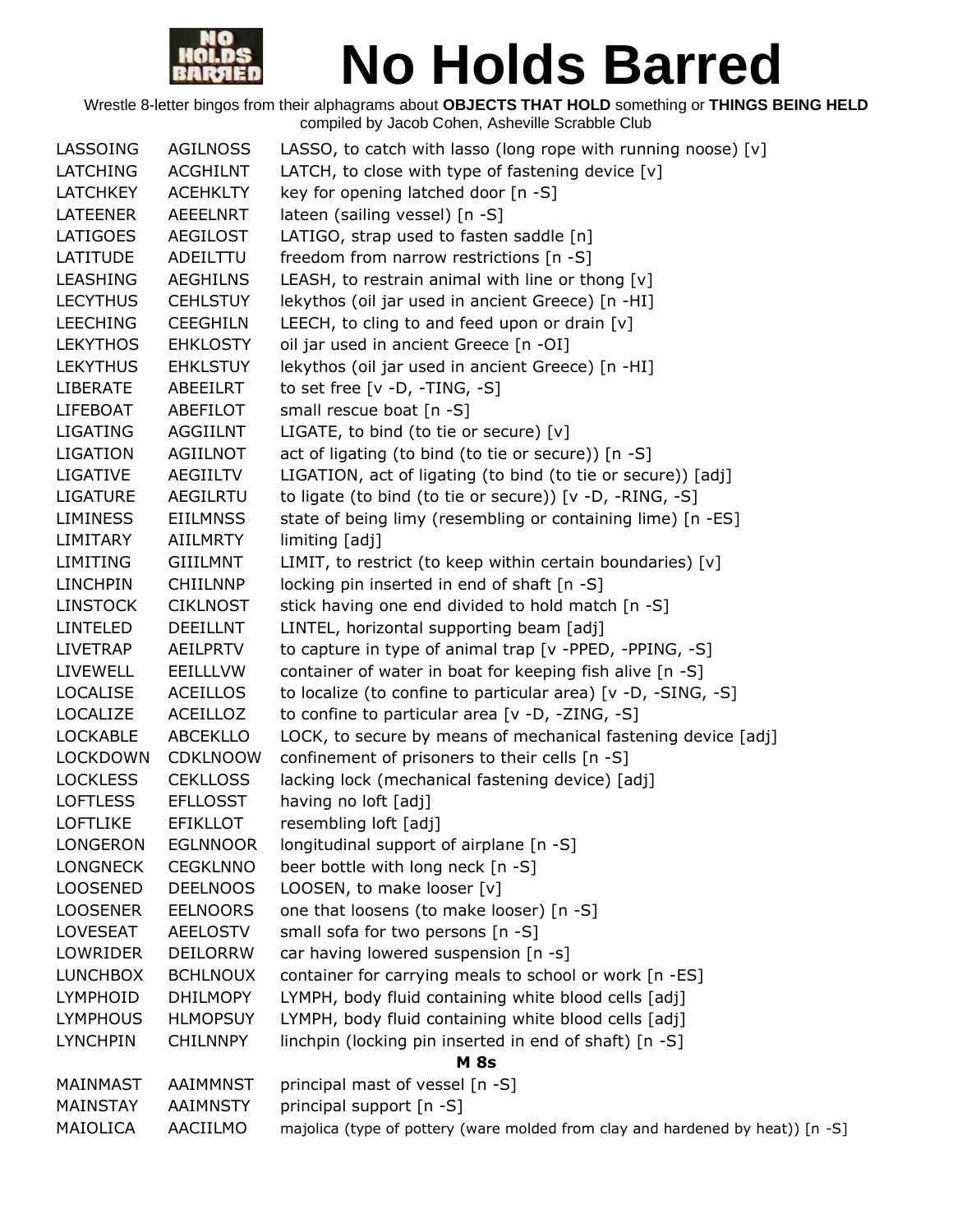

| LASSOING        | <b>AGILNOSS</b> | LASSO, to catch with lasso (long rope with running noose) [v]                  |
|-----------------|-----------------|--------------------------------------------------------------------------------|
| <b>LATCHING</b> | <b>ACGHILNT</b> | LATCH, to close with type of fastening device $[v]$                            |
| <b>LATCHKEY</b> | <b>ACEHKLTY</b> | key for opening latched door [n -S]                                            |
| <b>LATEENER</b> | AEEELNRT        | lateen (sailing vessel) [n -S]                                                 |
| <b>LATIGOES</b> | AEGILOST        | LATIGO, strap used to fasten saddle [n]                                        |
| LATITUDE        | ADEILTTU        | freedom from narrow restrictions [n -S]                                        |
| <b>LEASHING</b> | <b>AEGHILNS</b> | LEASH, to restrain animal with line or thong $[v]$                             |
| <b>LECYTHUS</b> | <b>CEHLSTUY</b> | lekythos (oil jar used in ancient Greece) [n -HI]                              |
| <b>LEECHING</b> | <b>CEEGHILN</b> | LEECH, to cling to and feed upon or drain $[v]$                                |
| <b>LEKYTHOS</b> | <b>EHKLOSTY</b> | oil jar used in ancient Greece [n -OI]                                         |
| <b>LEKYTHUS</b> | <b>EHKLSTUY</b> | lekythos (oil jar used in ancient Greece) [n -HI]                              |
| <b>LIBERATE</b> | ABEEILRT        | to set free $[v -D, -TING, -S]$                                                |
| <b>LIFEBOAT</b> | ABEFILOT        | small rescue boat [n -S]                                                       |
| LIGATING        | AGGIILNT        | LIGATE, to bind (to tie or secure) $[v]$                                       |
| <b>LIGATION</b> | <b>AGIILNOT</b> | act of ligating (to bind (to tie or secure)) [n -S]                            |
| <b>LIGATIVE</b> | AEGIILTV        | LIGATION, act of ligating (to bind (to tie or secure)) [adj]                   |
| <b>LIGATURE</b> | <b>AEGILRTU</b> | to ligate (to bind (to tie or secure)) [v -D, -RING, -S]                       |
| <b>LIMINESS</b> | <b>EIILMNSS</b> | state of being limy (resembling or containing lime) [n -ES]                    |
| LIMITARY        | <b>AIILMRTY</b> | limiting [adj]                                                                 |
| <b>LIMITING</b> | <b>GIIILMNT</b> | LIMIT, to restrict (to keep within certain boundaries) [v]                     |
| <b>LINCHPIN</b> | <b>CHIILNNP</b> | locking pin inserted in end of shaft [n -S]                                    |
| <b>LINSTOCK</b> | <b>CIKLNOST</b> | stick having one end divided to hold match [n -S]                              |
| <b>LINTELED</b> | <b>DEEILLNT</b> | LINTEL, horizontal supporting beam [adj]                                       |
| <b>LIVETRAP</b> | <b>AEILPRTV</b> | to capture in type of animal trap [v -PPED, -PPING, -S]                        |
| <b>LIVEWELL</b> | <b>EEILLLVW</b> | container of water in boat for keeping fish alive [n -S]                       |
| <b>LOCALISE</b> | <b>ACEILLOS</b> | to localize (to confine to particular area) [v -D, -SING, -S]                  |
| LOCALIZE        | ACEILLOZ        | to confine to particular area [v -D, -ZING, -S]                                |
| <b>LOCKABLE</b> | <b>ABCEKLLO</b> | LOCK, to secure by means of mechanical fastening device [adj]                  |
| <b>LOCKDOWN</b> | <b>CDKLNOOW</b> | confinement of prisoners to their cells [n -S]                                 |
| <b>LOCKLESS</b> | <b>CEKLLOSS</b> | lacking lock (mechanical fastening device) [adj]                               |
| <b>LOFTLESS</b> | <b>EFLLOSST</b> | having no loft [adj]                                                           |
| <b>LOFTLIKE</b> | <b>EFIKLLOT</b> | resembling loft [adj]                                                          |
| <b>LONGERON</b> | <b>EGLNNOOR</b> | longitudinal support of airplane [n -S]                                        |
| <b>LONGNECK</b> | <b>CEGKLNNO</b> | beer bottle with long neck [n -S]                                              |
| <b>LOOSENED</b> | <b>DEELNOOS</b> | LOOSEN, to make looser [v]                                                     |
| <b>LOOSENER</b> | <b>EELNOORS</b> | one that loosens (to make looser) [n -S]                                       |
| <b>LOVESEAT</b> | <b>AEELOSTV</b> | small sofa for two persons [n -S]                                              |
| LOWRIDER        | <b>DEILORRW</b> | car having lowered suspension [n -s]                                           |
| <b>LUNCHBOX</b> | <b>BCHLNOUX</b> | container for carrying meals to school or work [n -ES]                         |
| <b>LYMPHOID</b> | <b>DHILMOPY</b> | LYMPH, body fluid containing white blood cells [adj]                           |
| <b>LYMPHOUS</b> | <b>HLMOPSUY</b> | LYMPH, body fluid containing white blood cells [adj]                           |
| <b>LYNCHPIN</b> | <b>CHILNNPY</b> | linchpin (locking pin inserted in end of shaft) [n -S]                         |
|                 |                 | <b>M</b> 8s                                                                    |
| MAINMAST        | AAIMMNST        | principal mast of vessel [n -S]                                                |
| <b>MAINSTAY</b> | AAIMNSTY        | principal support [n -S]                                                       |
| MAIOLICA        | AACIILMO        | majolica (type of pottery (ware molded from clay and hardened by heat)) [n -S] |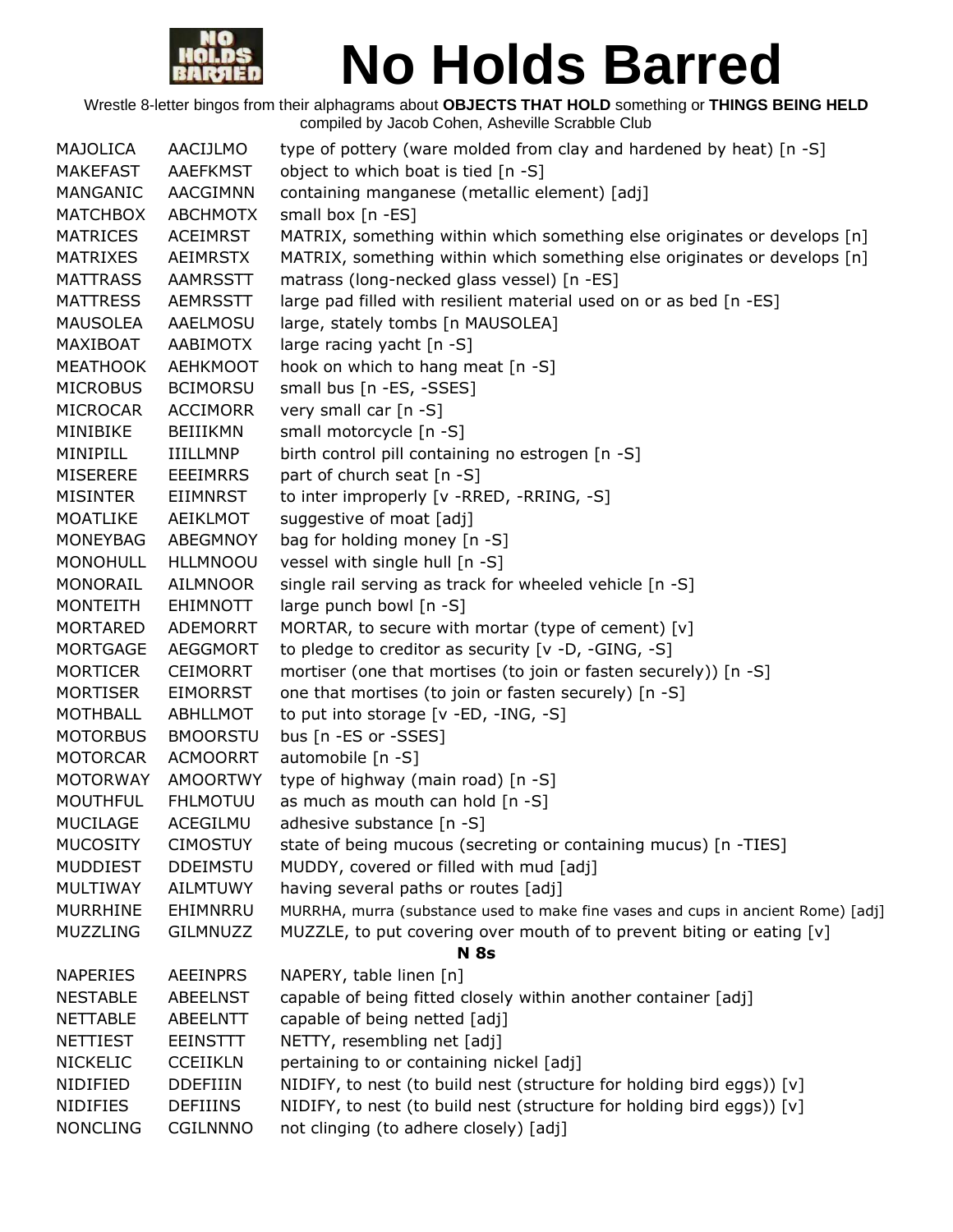

| MAJOLICA        | AACIJLMO        | type of pottery (ware molded from clay and hardened by heat) [n -S]              |
|-----------------|-----------------|----------------------------------------------------------------------------------|
| <b>MAKEFAST</b> | <b>AAEFKMST</b> | object to which boat is tied [n -S]                                              |
| MANGANIC        | AACGIMNN        | containing manganese (metallic element) [adj]                                    |
| <b>MATCHBOX</b> | <b>ABCHMOTX</b> | small box [n -ES]                                                                |
| <b>MATRICES</b> | <b>ACEIMRST</b> | MATRIX, something within which something else originates or develops [n]         |
| <b>MATRIXES</b> | AEIMRSTX        | MATRIX, something within which something else originates or develops [n]         |
| <b>MATTRASS</b> | AAMRSSTT        | matrass (long-necked glass vessel) [n -ES]                                       |
| <b>MATTRESS</b> | <b>AEMRSSTT</b> | large pad filled with resilient material used on or as bed [n -ES]               |
| <b>MAUSOLEA</b> | AAELMOSU        | large, stately tombs [n MAUSOLEA]                                                |
| MAXIBOAT        | <b>AABIMOTX</b> | large racing yacht [n -S]                                                        |
| <b>MEATHOOK</b> | <b>AEHKMOOT</b> | hook on which to hang meat [n -S]                                                |
| <b>MICROBUS</b> | <b>BCIMORSU</b> | small bus [n -ES, -SSES]                                                         |
| MICROCAR        | <b>ACCIMORR</b> | very small car [n -S]                                                            |
| MINIBIKE        | <b>BEIIIKMN</b> | small motorcycle [n -S]                                                          |
| MINIPILL        | IIILLMNP        | birth control pill containing no estrogen [n -S]                                 |
| <b>MISERERE</b> | <b>EEEIMRRS</b> | part of church seat [n -S]                                                       |
| <b>MISINTER</b> | <b>EIIMNRST</b> | to inter improperly [v -RRED, -RRING, -S]                                        |
| <b>MOATLIKE</b> | <b>AEIKLMOT</b> | suggestive of moat [adj]                                                         |
| MONEYBAG        | ABEGMNOY        | bag for holding money [n -S]                                                     |
| <b>MONOHULL</b> | <b>HLLMNOOU</b> | vessel with single hull [n -S]                                                   |
| MONORAIL        | AILMNOOR        | single rail serving as track for wheeled vehicle [n -S]                          |
| <b>MONTEITH</b> | EHIMNOTT        | large punch bowl [n -S]                                                          |
| MORTARED        | <b>ADEMORRT</b> | MORTAR, to secure with mortar (type of cement) [v]                               |
| <b>MORTGAGE</b> | AEGGMORT        | to pledge to creditor as security $[v -D, -GING, -S]$                            |
| <b>MORTICER</b> | <b>CEIMORRT</b> | mortiser (one that mortises (to join or fasten securely)) [n -S]                 |
| <b>MORTISER</b> | <b>EIMORRST</b> | one that mortises (to join or fasten securely) [n -S]                            |
| <b>MOTHBALL</b> | ABHLLMOT        | to put into storage [v -ED, -ING, -S]                                            |
| <b>MOTORBUS</b> | <b>BMOORSTU</b> | bus [n -ES or -SSES]                                                             |
| <b>MOTORCAR</b> | <b>ACMOORRT</b> | automobile [n -S]                                                                |
| <b>MOTORWAY</b> | <b>AMOORTWY</b> | type of highway (main road) [n -S]                                               |
| <b>MOUTHFUL</b> | <b>FHLMOTUU</b> | as much as mouth can hold [n -S]                                                 |
| <b>MUCILAGE</b> | ACEGILMU        | adhesive substance [n -S]                                                        |
| <b>MUCOSITY</b> | <b>CIMOSTUY</b> | state of being mucous (secreting or containing mucus) [n -TIES]                  |
| <b>MUDDIEST</b> | <b>DDEIMSTU</b> | MUDDY, covered or filled with mud [adj]                                          |
| MULTIWAY        | <b>AILMTUWY</b> | having several paths or routes [adj]                                             |
| <b>MURRHINE</b> | EHIMNRRU        | MURRHA, murra (substance used to make fine vases and cups in ancient Rome) [adj] |
| <b>MUZZLING</b> | <b>GILMNUZZ</b> | MUZZLE, to put covering over mouth of to prevent biting or eating [v]            |
|                 |                 | <b>N</b> 8s                                                                      |
| <b>NAPERIES</b> | <b>AEEINPRS</b> | NAPERY, table linen [n]                                                          |
| <b>NESTABLE</b> | <b>ABEELNST</b> | capable of being fitted closely within another container [adj]                   |
| <b>NETTABLE</b> | <b>ABEELNTT</b> | capable of being netted [adj]                                                    |
| <b>NETTIEST</b> | <b>EEINSTTT</b> | NETTY, resembling net [adj]                                                      |
| <b>NICKELIC</b> | <b>CCEIIKLN</b> | pertaining to or containing nickel [adj]                                         |
| NIDIFIED        | <b>DDEFIIIN</b> | NIDIFY, to nest (to build nest (structure for holding bird eggs)) [v]            |
| <b>NIDIFIES</b> | <b>DEFIIINS</b> | NIDIFY, to nest (to build nest (structure for holding bird eggs)) [v]            |
| <b>NONCLING</b> | <b>CGILNNNO</b> | not clinging (to adhere closely) [adj]                                           |
|                 |                 |                                                                                  |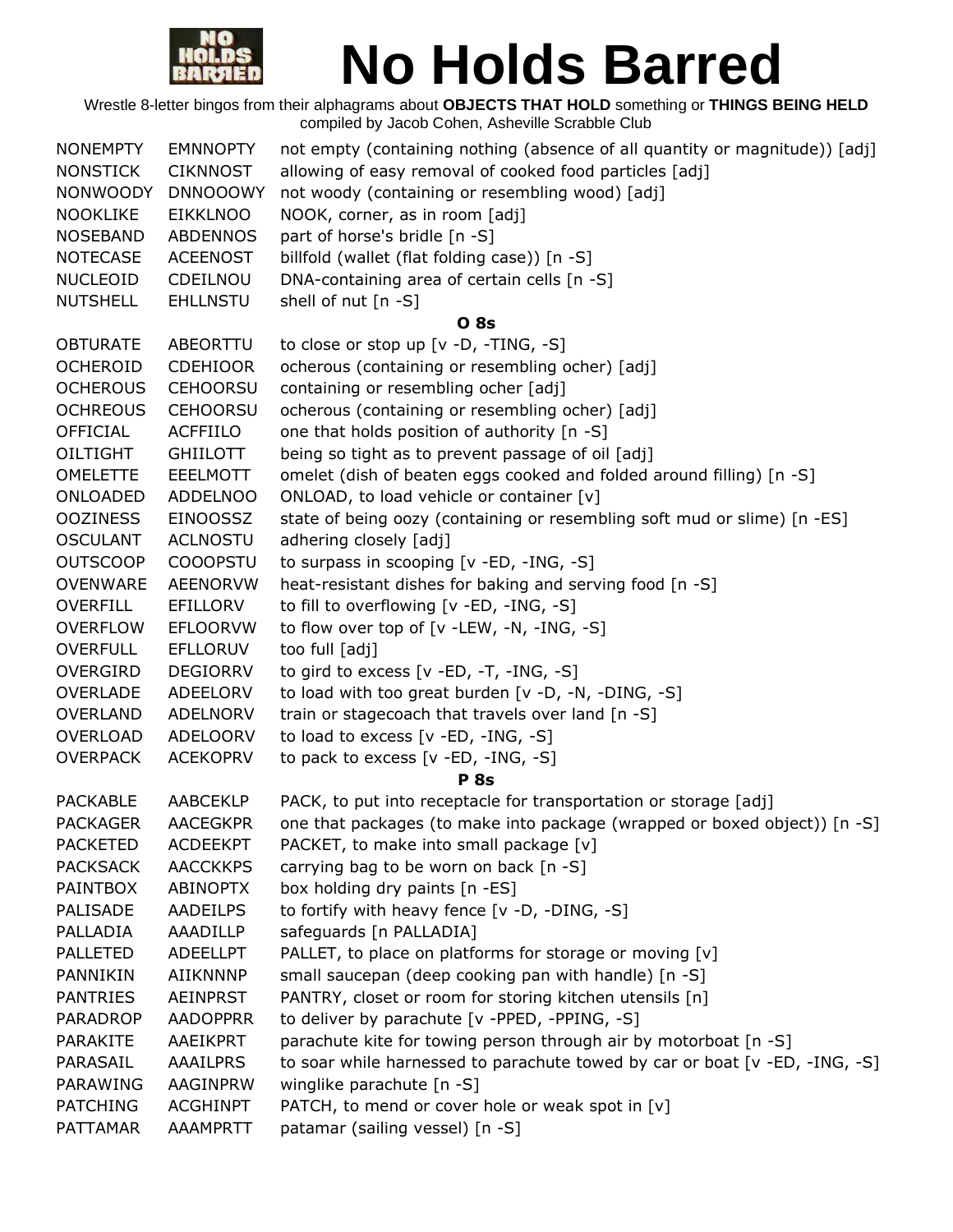

| <b>NONEMPTY</b> | <b>EMNNOPTY</b> | not empty (containing nothing (absence of all quantity or magnitude)) [adj] |
|-----------------|-----------------|-----------------------------------------------------------------------------|
| <b>NONSTICK</b> | <b>CIKNNOST</b> | allowing of easy removal of cooked food particles [adj]                     |
| <b>NONWOODY</b> | <b>DNNOOOWY</b> | not woody (containing or resembling wood) [adj]                             |
| <b>NOOKLIKE</b> | <b>EIKKLNOO</b> | NOOK, corner, as in room [adj]                                              |
| <b>NOSEBAND</b> | <b>ABDENNOS</b> | part of horse's bridle [n -S]                                               |
| <b>NOTECASE</b> | <b>ACEENOST</b> | billfold (wallet (flat folding case)) [n -S]                                |
| <b>NUCLEOID</b> | CDEILNOU        | DNA-containing area of certain cells [n -S]                                 |
| <b>NUTSHELL</b> | <b>EHLLNSTU</b> | shell of nut [n -S]                                                         |
|                 |                 | <b>O</b> 8s                                                                 |
| <b>OBTURATE</b> | ABEORTTU        | to close or stop up $[v -D, -TING, -S]$                                     |
| <b>OCHEROID</b> | <b>CDEHIOOR</b> | ocherous (containing or resembling ocher) [adj]                             |
| <b>OCHEROUS</b> | <b>CEHOORSU</b> | containing or resembling ocher [adj]                                        |
| <b>OCHREOUS</b> | <b>CEHOORSU</b> | ocherous (containing or resembling ocher) [adj]                             |
| <b>OFFICIAL</b> | <b>ACFFIILO</b> | one that holds position of authority [n -S]                                 |
| <b>OILTIGHT</b> | <b>GHIILOTT</b> | being so tight as to prevent passage of oil [adj]                           |
| <b>OMELETTE</b> | EEELMOTT        | omelet (dish of beaten eggs cooked and folded around filling) [n -S]        |
| ONLOADED        | <b>ADDELNOO</b> | ONLOAD, to load vehicle or container [v]                                    |
| <b>OOZINESS</b> | <b>EINOOSSZ</b> | state of being oozy (containing or resembling soft mud or slime) [n -ES]    |
| <b>OSCULANT</b> | <b>ACLNOSTU</b> | adhering closely [adj]                                                      |
| <b>OUTSCOOP</b> |                 |                                                                             |
|                 | <b>COOOPSTU</b> | to surpass in scooping [v -ED, -ING, -S]                                    |
| <b>OVENWARE</b> | <b>AEENORVW</b> | heat-resistant dishes for baking and serving food [n -S]                    |
| <b>OVERFILL</b> | EFILLORV        | to fill to overflowing [v -ED, -ING, -S]                                    |
| <b>OVERFLOW</b> | <b>EFLOORVW</b> | to flow over top of [v -LEW, -N, -ING, -S]                                  |
| <b>OVERFULL</b> | <b>EFLLORUV</b> | too full [adj]                                                              |
| OVERGIRD        | <b>DEGIORRV</b> | to gird to excess $[v - ED, -T, -ING, -S]$                                  |
| <b>OVERLADE</b> | ADEELORV        | to load with too great burden [v -D, -N, -DING, -S]                         |
| <b>OVERLAND</b> | ADELNORV        | train or stagecoach that travels over land [n -S]                           |
| <b>OVERLOAD</b> | <b>ADELOORV</b> | to load to excess $[v - ED, -ING, -S]$                                      |
| <b>OVERPACK</b> | <b>ACEKOPRV</b> | to pack to excess [v -ED, -ING, -S]                                         |
|                 |                 | <b>P</b> 8s                                                                 |
| <b>PACKABLE</b> | <b>AABCEKLP</b> | PACK, to put into receptacle for transportation or storage [adj]            |
| <b>PACKAGER</b> | <b>AACEGKPR</b> | one that packages (to make into package (wrapped or boxed object)) [n -S]   |
| <b>PACKETED</b> | <b>ACDEEKPT</b> | PACKET, to make into small package [v]                                      |
| <b>PACKSACK</b> | <b>AACCKKPS</b> | carrying bag to be worn on back [n -S]                                      |
| <b>PAINTBOX</b> | <b>ABINOPTX</b> | box holding dry paints [n -ES]                                              |
| PALISADE        | <b>AADEILPS</b> | to fortify with heavy fence [v -D, -DING, -S]                               |
| PALLADIA        | AAADILLP        | safeguards [n PALLADIA]                                                     |
| <b>PALLETED</b> | <b>ADEELLPT</b> | PALLET, to place on platforms for storage or moving [v]                     |
| PANNIKIN        | <b>AIIKNNNP</b> | small saucepan (deep cooking pan with handle) [n -S]                        |
| <b>PANTRIES</b> | <b>AEINPRST</b> | PANTRY, closet or room for storing kitchen utensils [n]                     |
| <b>PARADROP</b> | <b>AADOPPRR</b> | to deliver by parachute [v -PPED, -PPING, -S]                               |
| PARAKITE        | AAEIKPRT        | parachute kite for towing person through air by motorboat [n -S]            |
| PARASAIL        | AAAILPRS        | to soar while harnessed to parachute towed by car or boat [v -ED, -ING, -S] |
| PARAWING        | AAGINPRW        | winglike parachute [n -S]                                                   |
| <b>PATCHING</b> | <b>ACGHINPT</b> | PATCH, to mend or cover hole or weak spot in [v]                            |
| <b>PATTAMAR</b> | AAAMPRTT        | patamar (sailing vessel) [n -S]                                             |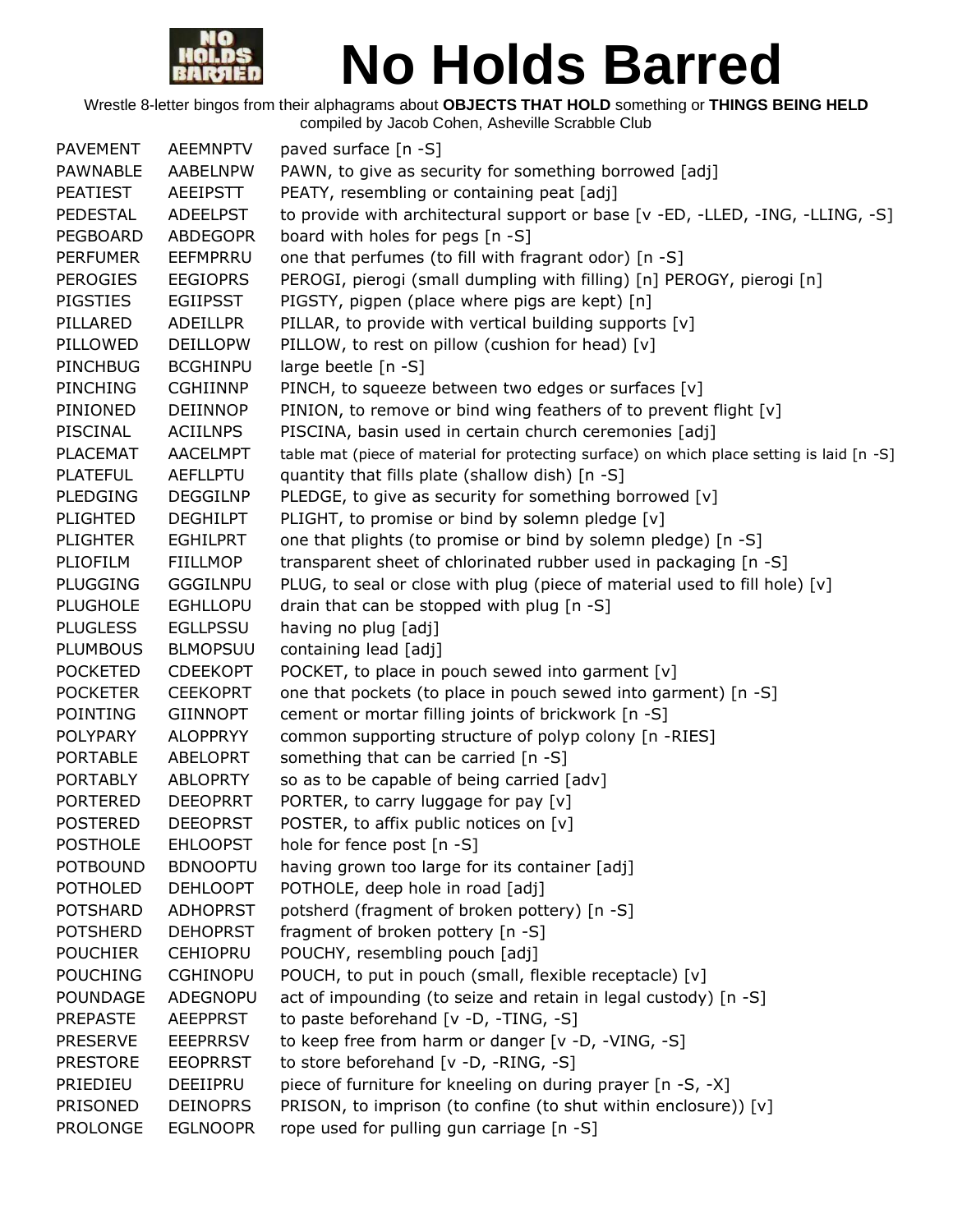

| <b>PAVEMENT</b> | <b>AEEMNPTV</b> | paved surface [n -S]                                                                       |
|-----------------|-----------------|--------------------------------------------------------------------------------------------|
| PAWNABLE        | AABELNPW        | PAWN, to give as security for something borrowed [adj]                                     |
| <b>PEATIEST</b> | <b>AEEIPSTT</b> | PEATY, resembling or containing peat [adj]                                                 |
| <b>PEDESTAL</b> | <b>ADEELPST</b> | to provide with architectural support or base [v -ED, -LLED, -ING, -LLING, -S]             |
| <b>PEGBOARD</b> | <b>ABDEGOPR</b> | board with holes for pegs [n -S]                                                           |
| <b>PERFUMER</b> | <b>EEFMPRRU</b> | one that perfumes (to fill with fragrant odor) [n -S]                                      |
| <b>PEROGIES</b> | <b>EEGIOPRS</b> | PEROGI, pierogi (small dumpling with filling) [n] PEROGY, pierogi [n]                      |
| <b>PIGSTIES</b> | <b>EGIIPSST</b> | PIGSTY, pigpen (place where pigs are kept) [n]                                             |
| PILLARED        | <b>ADEILLPR</b> | PILLAR, to provide with vertical building supports [v]                                     |
| PILLOWED        | <b>DEILLOPW</b> | PILLOW, to rest on pillow (cushion for head) [v]                                           |
| <b>PINCHBUG</b> | <b>BCGHINPU</b> | large beetle [n -S]                                                                        |
| <b>PINCHING</b> | <b>CGHIINNP</b> | PINCH, to squeeze between two edges or surfaces [v]                                        |
| PINIONED        | <b>DEIINNOP</b> | PINION, to remove or bind wing feathers of to prevent flight [v]                           |
| PISCINAL        | <b>ACIILNPS</b> | PISCINA, basin used in certain church ceremonies [adj]                                     |
| <b>PLACEMAT</b> | <b>AACELMPT</b> | table mat (piece of material for protecting surface) on which place setting is laid [n -S] |
| <b>PLATEFUL</b> | <b>AEFLLPTU</b> | quantity that fills plate (shallow dish) [n -S]                                            |
| <b>PLEDGING</b> | <b>DEGGILNP</b> | PLEDGE, to give as security for something borrowed [v]                                     |
| <b>PLIGHTED</b> | <b>DEGHILPT</b> | PLIGHT, to promise or bind by solemn pledge [v]                                            |
| <b>PLIGHTER</b> | <b>EGHILPRT</b> | one that plights (to promise or bind by solemn pledge) [n -S]                              |
| PLIOFILM        | FIILLMOP        | transparent sheet of chlorinated rubber used in packaging [n -S]                           |
| <b>PLUGGING</b> | <b>GGGILNPU</b> | PLUG, to seal or close with plug (piece of material used to fill hole) [v]                 |
| <b>PLUGHOLE</b> | <b>EGHLLOPU</b> | drain that can be stopped with plug [n -S]                                                 |
| <b>PLUGLESS</b> | <b>EGLLPSSU</b> | having no plug [adj]                                                                       |
| <b>PLUMBOUS</b> | <b>BLMOPSUU</b> | containing lead [adj]                                                                      |
| <b>POCKETED</b> | <b>CDEEKOPT</b> | POCKET, to place in pouch sewed into garment [v]                                           |
| <b>POCKETER</b> | <b>CEEKOPRT</b> | one that pockets (to place in pouch sewed into garment) [n -S]                             |
| POINTING        | <b>GIINNOPT</b> | cement or mortar filling joints of brickwork [n -S]                                        |
| <b>POLYPARY</b> | <b>ALOPPRYY</b> | common supporting structure of polyp colony [n -RIES]                                      |
| <b>PORTABLE</b> | ABELOPRT        | something that can be carried [n -S]                                                       |
| <b>PORTABLY</b> | <b>ABLOPRTY</b> | so as to be capable of being carried [adv]                                                 |
| <b>PORTERED</b> | <b>DEEOPRRT</b> | PORTER, to carry luggage for pay $[v]$                                                     |
| <b>POSTERED</b> | <b>DEEOPRST</b> | POSTER, to affix public notices on [v]                                                     |
| <b>POSTHOLE</b> | <b>EHLOOPST</b> | hole for fence post [n -S]                                                                 |
| <b>POTBOUND</b> | <b>BDNOOPTU</b> | having grown too large for its container [adj]                                             |
| <b>POTHOLED</b> | <b>DEHLOOPT</b> | POTHOLE, deep hole in road [adj]                                                           |
| <b>POTSHARD</b> | <b>ADHOPRST</b> | potsherd (fragment of broken pottery) [n -S]                                               |
| <b>POTSHERD</b> | <b>DEHOPRST</b> | fragment of broken pottery [n -S]                                                          |
| <b>POUCHIER</b> | <b>CEHIOPRU</b> | POUCHY, resembling pouch [adj]                                                             |
| <b>POUCHING</b> | <b>CGHINOPU</b> | POUCH, to put in pouch (small, flexible receptacle) [v]                                    |
| POUNDAGE        | <b>ADEGNOPU</b> | act of impounding (to seize and retain in legal custody) [n -S]                            |
| <b>PREPASTE</b> | <b>AEEPPRST</b> | to paste beforehand [v -D, -TING, -S]                                                      |
| <b>PRESERVE</b> | <b>EEEPRRSV</b> | to keep free from harm or danger [v -D, -VING, -S]                                         |
| <b>PRESTORE</b> | <b>EEOPRRST</b> | to store beforehand [v -D, -RING, -S]                                                      |
| PRIEDIEU        | DEEIIPRU        | piece of furniture for kneeling on during prayer [n -S, -X]                                |
| PRISONED        | <b>DEINOPRS</b> | PRISON, to imprison (to confine (to shut within enclosure)) [v]                            |
| <b>PROLONGE</b> | <b>EGLNOOPR</b> | rope used for pulling gun carriage [n -S]                                                  |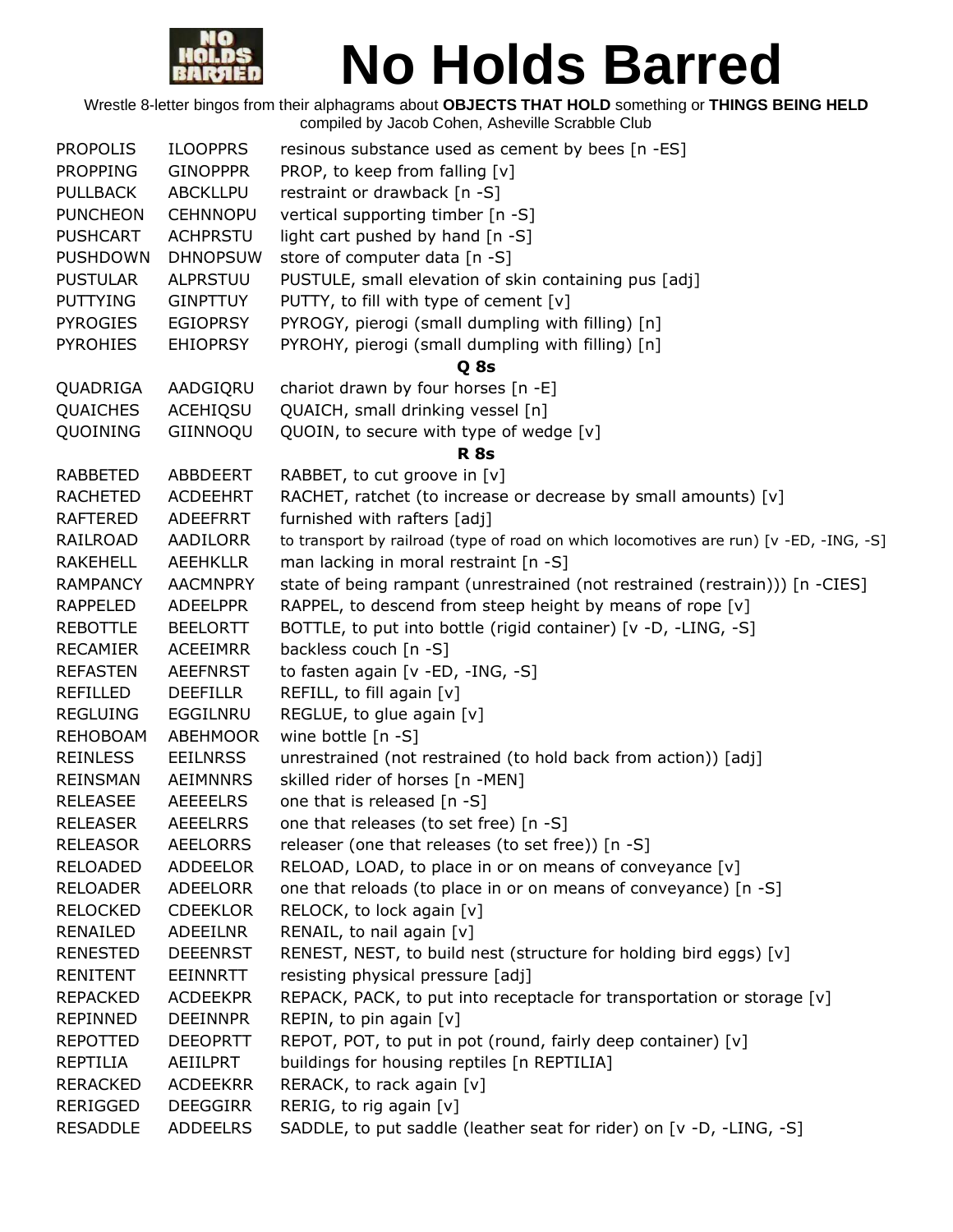

| <b>PROPOLIS</b> | <b>ILOOPPRS</b> | resinous substance used as cement by bees [n -ES]                                      |
|-----------------|-----------------|----------------------------------------------------------------------------------------|
| <b>PROPPING</b> | <b>GINOPPPR</b> | PROP, to keep from falling [v]                                                         |
| <b>PULLBACK</b> | <b>ABCKLLPU</b> | restraint or drawback [n -S]                                                           |
| <b>PUNCHEON</b> | <b>CEHNNOPU</b> | vertical supporting timber [n -S]                                                      |
| <b>PUSHCART</b> | <b>ACHPRSTU</b> | light cart pushed by hand [n -S]                                                       |
| <b>PUSHDOWN</b> | <b>DHNOPSUW</b> | store of computer data [n -S]                                                          |
| <b>PUSTULAR</b> | <b>ALPRSTUU</b> | PUSTULE, small elevation of skin containing pus [adj]                                  |
| <b>PUTTYING</b> | <b>GINPTTUY</b> | PUTTY, to fill with type of cement [v]                                                 |
| <b>PYROGIES</b> | <b>EGIOPRSY</b> | PYROGY, pierogi (small dumpling with filling) [n]                                      |
| <b>PYROHIES</b> | <b>EHIOPRSY</b> | PYROHY, pierogi (small dumpling with filling) [n]                                      |
|                 |                 | Q 8s                                                                                   |
| QUADRIGA        | AADGIQRU        | chariot drawn by four horses [n -E]                                                    |
| <b>QUAICHES</b> | <b>ACEHIQSU</b> | QUAICH, small drinking vessel [n]                                                      |
| QUOINING        | GIINNOQU        | QUOIN, to secure with type of wedge [v]                                                |
|                 |                 | <b>R</b> 8s                                                                            |
| <b>RABBETED</b> | ABBDEERT        | RABBET, to cut groove in [v]                                                           |
| <b>RACHETED</b> | <b>ACDEEHRT</b> | RACHET, ratchet (to increase or decrease by small amounts) [v]                         |
| <b>RAFTERED</b> | ADEEFRRT        | furnished with rafters [adj]                                                           |
| RAILROAD        | AADILORR        | to transport by railroad (type of road on which locomotives are run) [v -ED, -ING, -S] |
| <b>RAKEHELL</b> | <b>AEEHKLLR</b> | man lacking in moral restraint [n -S]                                                  |
| <b>RAMPANCY</b> | <b>AACMNPRY</b> | state of being rampant (unrestrained (not restrained (restrain))) [n -CIES]            |
| <b>RAPPELED</b> | <b>ADEELPPR</b> | RAPPEL, to descend from steep height by means of rope [v]                              |
| <b>REBOTTLE</b> | <b>BEELORTT</b> | BOTTLE, to put into bottle (rigid container) [v -D, -LING, -S]                         |
| <b>RECAMIER</b> | <b>ACEEIMRR</b> | backless couch [n -S]                                                                  |
| <b>REFASTEN</b> | <b>AEEFNRST</b> | to fasten again [v -ED, -ING, -S]                                                      |
|                 |                 |                                                                                        |
| <b>REFILLED</b> | <b>DEEFILLR</b> | REFILL, to fill again [v]                                                              |
| <b>REGLUING</b> | EGGILNRU        | REGLUE, to glue again [v]                                                              |
| <b>REHOBOAM</b> | <b>ABEHMOOR</b> | wine bottle $[n -S]$                                                                   |
| <b>REINLESS</b> | <b>EEILNRSS</b> | unrestrained (not restrained (to hold back from action)) [adj]                         |
| <b>REINSMAN</b> | <b>AEIMNNRS</b> | skilled rider of horses [n -MEN]                                                       |
| <b>RELEASEE</b> | <b>AEEEELRS</b> | one that is released [n -S]                                                            |
| <b>RELEASER</b> | <b>AEEELRRS</b> | one that releases (to set free) [n -S]                                                 |
| <b>RELEASOR</b> | <b>AEELORRS</b> | releaser (one that releases (to set free)) [n -S]                                      |
| <b>RELOADED</b> | ADDEELOR        | RELOAD, LOAD, to place in or on means of conveyance [v]                                |
| <b>RELOADER</b> | ADEELORR        | one that reloads (to place in or on means of conveyance) [n -S]                        |
| <b>RELOCKED</b> | <b>CDEEKLOR</b> | RELOCK, to lock again [v]                                                              |
| RENAILED        | ADEEILNR        | RENAIL, to nail again [v]                                                              |
| <b>RENESTED</b> | <b>DEEENRST</b> | RENEST, NEST, to build nest (structure for holding bird eggs) [v]                      |
| RENITENT        | EEINNRTT        | resisting physical pressure [adj]                                                      |
| <b>REPACKED</b> | <b>ACDEEKPR</b> | REPACK, PACK, to put into receptacle for transportation or storage [v]                 |
| REPINNED        | <b>DEEINNPR</b> | REPIN, to pin again [v]                                                                |
| <b>REPOTTED</b> | <b>DEEOPRTT</b> | REPOT, POT, to put in pot (round, fairly deep container) [v]                           |
| <b>REPTILIA</b> | AEIILPRT        | buildings for housing reptiles [n REPTILIA]                                            |
| <b>RERACKED</b> | <b>ACDEEKRR</b> | RERACK, to rack again [v]                                                              |
| RERIGGED        | <b>DEEGGIRR</b> | RERIG, to rig again [v]                                                                |
| <b>RESADDLE</b> | <b>ADDEELRS</b> | SADDLE, to put saddle (leather seat for rider) on [v -D, -LING, -S]                    |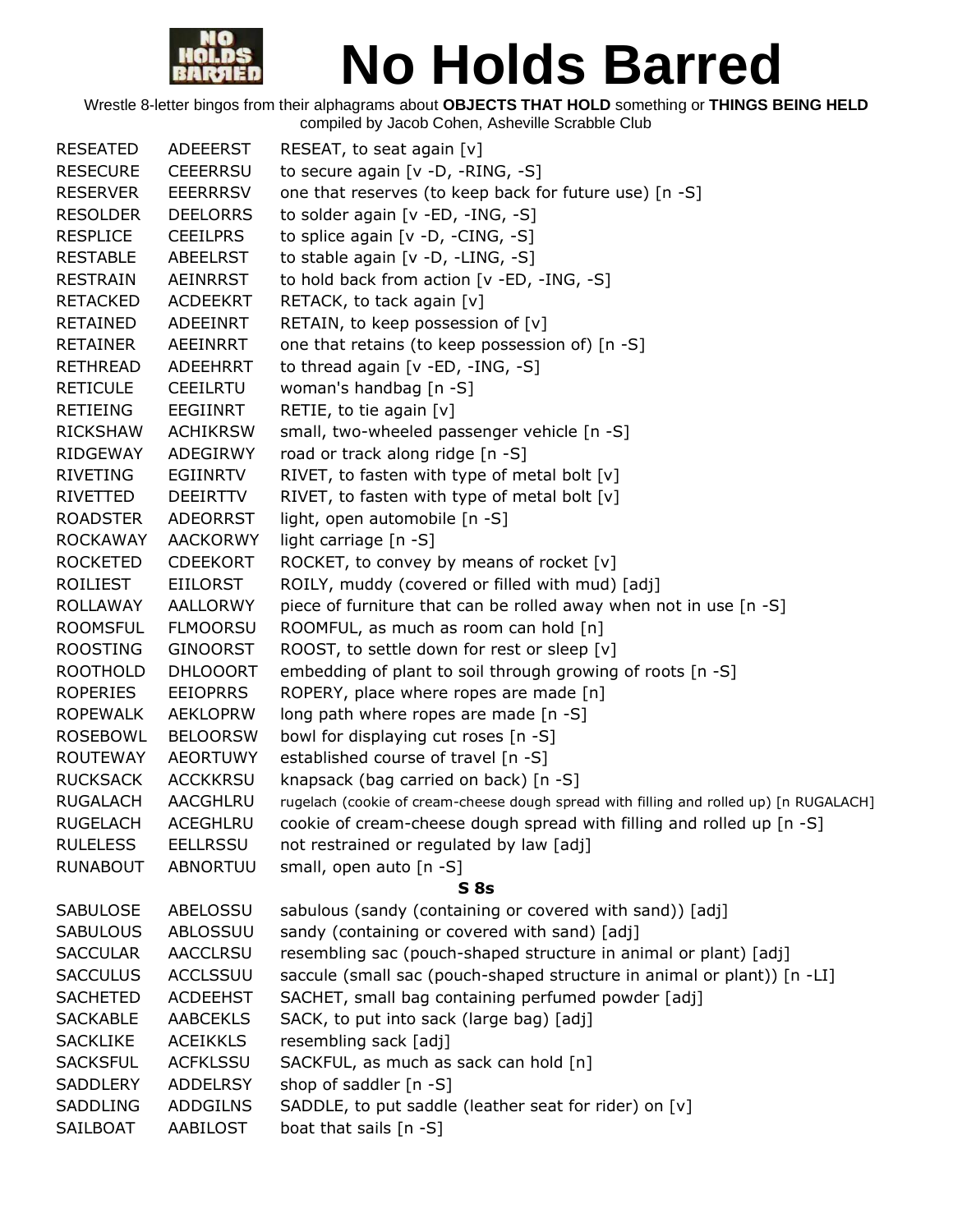

| RESEATED        | <b>ADEEERST</b> | RESEAT, to seat again $[v]$                                                            |
|-----------------|-----------------|----------------------------------------------------------------------------------------|
| <b>RESECURE</b> | <b>CEEERRSU</b> | to secure again [v -D, -RING, -S]                                                      |
| <b>RESERVER</b> | <b>EEERRRSV</b> | one that reserves (to keep back for future use) [n -S]                                 |
| <b>RESOLDER</b> | <b>DEELORRS</b> | to solder again [v -ED, -ING, -S]                                                      |
| <b>RESPLICE</b> | <b>CEEILPRS</b> | to splice again $[v -D, -CING, -S]$                                                    |
| <b>RESTABLE</b> | <b>ABEELRST</b> | to stable again [v -D, -LING, -S]                                                      |
| <b>RESTRAIN</b> | <b>AEINRRST</b> | to hold back from action [v -ED, -ING, -S]                                             |
| <b>RETACKED</b> | <b>ACDEEKRT</b> | RETACK, to tack again [v]                                                              |
| RETAINED        | ADEEINRT        | RETAIN, to keep possession of [v]                                                      |
| <b>RETAINER</b> | AEEINRRT        | one that retains (to keep possession of) [n -S]                                        |
| <b>RETHREAD</b> | <b>ADEEHRRT</b> | to thread again $[v - ED, -ING, -S]$                                                   |
| <b>RETICULE</b> | <b>CEEILRTU</b> | woman's handbag [n -S]                                                                 |
| <b>RETIEING</b> | <b>EEGIINRT</b> | RETIE, to tie again [v]                                                                |
| <b>RICKSHAW</b> | <b>ACHIKRSW</b> | small, two-wheeled passenger vehicle [n -S]                                            |
| RIDGEWAY        | ADEGIRWY        | road or track along ridge [n -S]                                                       |
| <b>RIVETING</b> | EGIINRTV        | RIVET, to fasten with type of metal bolt $[v]$                                         |
| RIVETTED        | <b>DEEIRTTV</b> | RIVET, to fasten with type of metal bolt [v]                                           |
| <b>ROADSTER</b> | <b>ADEORRST</b> | light, open automobile [n -S]                                                          |
| <b>ROCKAWAY</b> | <b>AACKORWY</b> | light carriage [n -S]                                                                  |
| <b>ROCKETED</b> | <b>CDEEKORT</b> | ROCKET, to convey by means of rocket [v]                                               |
| ROILIEST        | <b>EIILORST</b> | ROILY, muddy (covered or filled with mud) [adj]                                        |
| ROLLAWAY        | AALLORWY        | piece of furniture that can be rolled away when not in use [n -S]                      |
| <b>ROOMSFUL</b> | <b>FLMOORSU</b> | ROOMFUL, as much as room can hold [n]                                                  |
| <b>ROOSTING</b> | <b>GINOORST</b> | ROOST, to settle down for rest or sleep [v]                                            |
| <b>ROOTHOLD</b> | <b>DHLOOORT</b> | embedding of plant to soil through growing of roots [n -S]                             |
| <b>ROPERIES</b> | <b>EEIOPRRS</b> | ROPERY, place where ropes are made [n]                                                 |
| <b>ROPEWALK</b> | AEKLOPRW        | long path where ropes are made [n -S]                                                  |
| ROSEBOWL        | <b>BELOORSW</b> | bowl for displaying cut roses [n -S]                                                   |
| <b>ROUTEWAY</b> | <b>AEORTUWY</b> | established course of travel [n -S]                                                    |
| <b>RUCKSACK</b> | <b>ACCKKRSU</b> | knapsack (bag carried on back) [n -S]                                                  |
| <b>RUGALACH</b> | AACGHLRU        | rugelach (cookie of cream-cheese dough spread with filling and rolled up) [n RUGALACH] |
| <b>RUGELACH</b> | <b>ACEGHLRU</b> | cookie of cream-cheese dough spread with filling and rolled up [n -S]                  |
| <b>RULELESS</b> | <b>EELLRSSU</b> | not restrained or regulated by law [adj]                                               |
| <b>RUNABOUT</b> | <b>ABNORTUU</b> | small, open auto [n -S]                                                                |
|                 |                 | S <sub>8s</sub>                                                                        |
| <b>SABULOSE</b> | ABELOSSU        | sabulous (sandy (containing or covered with sand)) [adj]                               |
| <b>SABULOUS</b> | ABLOSSUU        | sandy (containing or covered with sand) [adj]                                          |
| <b>SACCULAR</b> | <b>AACCLRSU</b> | resembling sac (pouch-shaped structure in animal or plant) [adj]                       |
| <b>SACCULUS</b> | <b>ACCLSSUU</b> | saccule (small sac (pouch-shaped structure in animal or plant)) [n -LI]                |
| <b>SACHETED</b> | <b>ACDEEHST</b> | SACHET, small bag containing perfumed powder [adj]                                     |
| <b>SACKABLE</b> | <b>AABCEKLS</b> | SACK, to put into sack (large bag) [adj]                                               |
| <b>SACKLIKE</b> | <b>ACEIKKLS</b> | resembling sack [adj]                                                                  |
| <b>SACKSFUL</b> | <b>ACFKLSSU</b> | SACKFUL, as much as sack can hold [n]                                                  |
| <b>SADDLERY</b> | <b>ADDELRSY</b> | shop of saddler $[n - S]$                                                              |
| SADDLING        | <b>ADDGILNS</b> | SADDLE, to put saddle (leather seat for rider) on [v]                                  |
| SAILBOAT        | AABILOST        | boat that sails [n -S]                                                                 |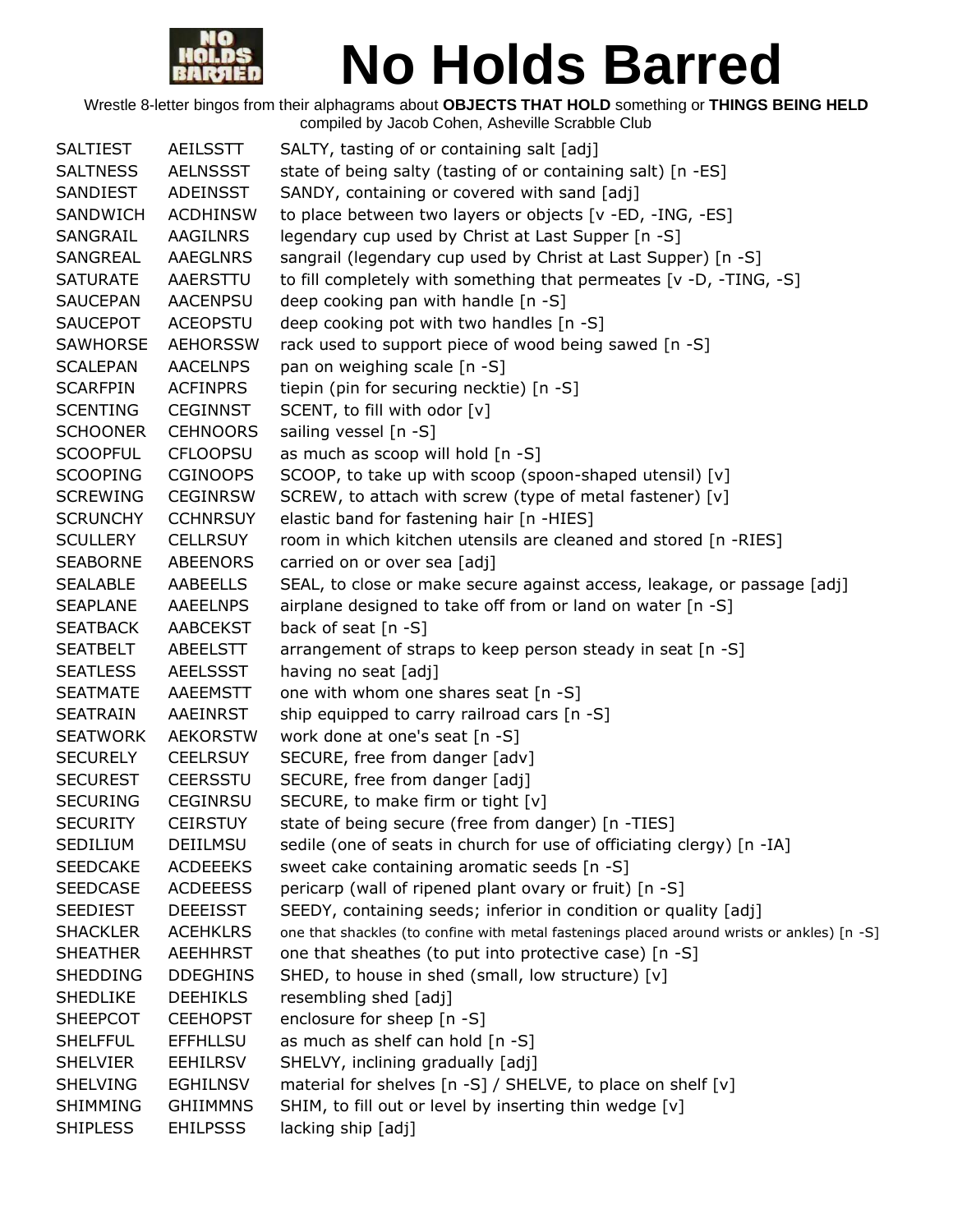

| <b>SALTIEST</b> | AEILSSTT        | SALTY, tasting of or containing salt [adj]                                                 |
|-----------------|-----------------|--------------------------------------------------------------------------------------------|
| <b>SALTNESS</b> | <b>AELNSSST</b> | state of being salty (tasting of or containing salt) [n -ES]                               |
| SANDIEST        | <b>ADEINSST</b> | SANDY, containing or covered with sand [adj]                                               |
| SANDWICH        | <b>ACDHINSW</b> | to place between two layers or objects [v -ED, -ING, -ES]                                  |
| SANGRAIL        | AAGILNRS        | legendary cup used by Christ at Last Supper [n -S]                                         |
| SANGREAL        | AAEGLNRS        | sangrail (legendary cup used by Christ at Last Supper) [n -S]                              |
| <b>SATURATE</b> | AAERSTTU        | to fill completely with something that permeates [v -D, -TING, -S]                         |
| <b>SAUCEPAN</b> | <b>AACENPSU</b> | deep cooking pan with handle [n -S]                                                        |
| <b>SAUCEPOT</b> | <b>ACEOPSTU</b> | deep cooking pot with two handles $[n - S]$                                                |
| <b>SAWHORSE</b> | <b>AEHORSSW</b> | rack used to support piece of wood being sawed [n -S]                                      |
| <b>SCALEPAN</b> | <b>AACELNPS</b> | pan on weighing scale [n -S]                                                               |
| <b>SCARFPIN</b> | <b>ACFINPRS</b> | tiepin (pin for securing necktie) [n -S]                                                   |
| <b>SCENTING</b> | <b>CEGINNST</b> | SCENT, to fill with odor [v]                                                               |
| <b>SCHOONER</b> | <b>CEHNOORS</b> | sailing vessel [n -S]                                                                      |
| <b>SCOOPFUL</b> | <b>CFLOOPSU</b> | as much as scoop will hold [n -S]                                                          |
| <b>SCOOPING</b> | <b>CGINOOPS</b> | SCOOP, to take up with scoop (spoon-shaped utensil) [v]                                    |
| <b>SCREWING</b> | <b>CEGINRSW</b> | SCREW, to attach with screw (type of metal fastener) [v]                                   |
| <b>SCRUNCHY</b> | <b>CCHNRSUY</b> | elastic band for fastening hair [n -HIES]                                                  |
| <b>SCULLERY</b> | <b>CELLRSUY</b> | room in which kitchen utensils are cleaned and stored [n -RIES]                            |
| <b>SEABORNE</b> | <b>ABEENORS</b> | carried on or over sea [adj]                                                               |
| <b>SEALABLE</b> | <b>AABEELLS</b> | SEAL, to close or make secure against access, leakage, or passage [adj]                    |
| <b>SEAPLANE</b> | AAEELNPS        | airplane designed to take off from or land on water [n -S]                                 |
| <b>SEATBACK</b> | <b>AABCEKST</b> | back of seat $[n - S]$                                                                     |
| <b>SEATBELT</b> | ABEELSTT        | arrangement of straps to keep person steady in seat [n -S]                                 |
| <b>SEATLESS</b> | <b>AEELSSST</b> | having no seat [adj]                                                                       |
| <b>SEATMATE</b> | AAEEMSTT        | one with whom one shares seat [n -S]                                                       |
| <b>SEATRAIN</b> | AAEINRST        | ship equipped to carry railroad cars [n -S]                                                |
| <b>SEATWORK</b> | <b>AEKORSTW</b> | work done at one's seat [n -S]                                                             |
| <b>SECURELY</b> | <b>CEELRSUY</b> | SECURE, free from danger [adv]                                                             |
| <b>SECUREST</b> | <b>CEERSSTU</b> | SECURE, free from danger [adj]                                                             |
| <b>SECURING</b> | <b>CEGINRSU</b> | SECURE, to make firm or tight [v]                                                          |
| <b>SECURITY</b> | <b>CEIRSTUY</b> | state of being secure (free from danger) [n -TIES]                                         |
| SEDILIUM        | DEIILMSU        | sedile (one of seats in church for use of officiating clergy) [n -IA]                      |
| <b>SEEDCAKE</b> | <b>ACDEEEKS</b> | sweet cake containing aromatic seeds [n -S]                                                |
| <b>SEEDCASE</b> | <b>ACDEEESS</b> | pericarp (wall of ripened plant ovary or fruit) [n -S]                                     |
| <b>SEEDIEST</b> | <b>DEEEISST</b> | SEEDY, containing seeds; inferior in condition or quality [adj]                            |
| <b>SHACKLER</b> | <b>ACEHKLRS</b> | one that shackles (to confine with metal fastenings placed around wrists or ankles) [n -S] |
| <b>SHEATHER</b> | <b>AEEHHRST</b> | one that sheathes (to put into protective case) [n -S]                                     |
| <b>SHEDDING</b> | <b>DDEGHINS</b> | SHED, to house in shed (small, low structure) [v]                                          |
| <b>SHEDLIKE</b> | <b>DEEHIKLS</b> | resembling shed [adj]                                                                      |
| <b>SHEEPCOT</b> | <b>CEEHOPST</b> | enclosure for sheep [n -S]                                                                 |
| <b>SHELFFUL</b> | <b>EFFHLLSU</b> | as much as shelf can hold [n -S]                                                           |
| <b>SHELVIER</b> | <b>EEHILRSV</b> | SHELVY, inclining gradually [adj]                                                          |
| <b>SHELVING</b> | <b>EGHILNSV</b> | material for shelves [n -S] / SHELVE, to place on shelf [v]                                |
| <b>SHIMMING</b> | <b>GHIIMMNS</b> | SHIM, to fill out or level by inserting thin wedge [v]                                     |
| <b>SHIPLESS</b> | <b>EHILPSSS</b> | lacking ship [adj]                                                                         |
|                 |                 |                                                                                            |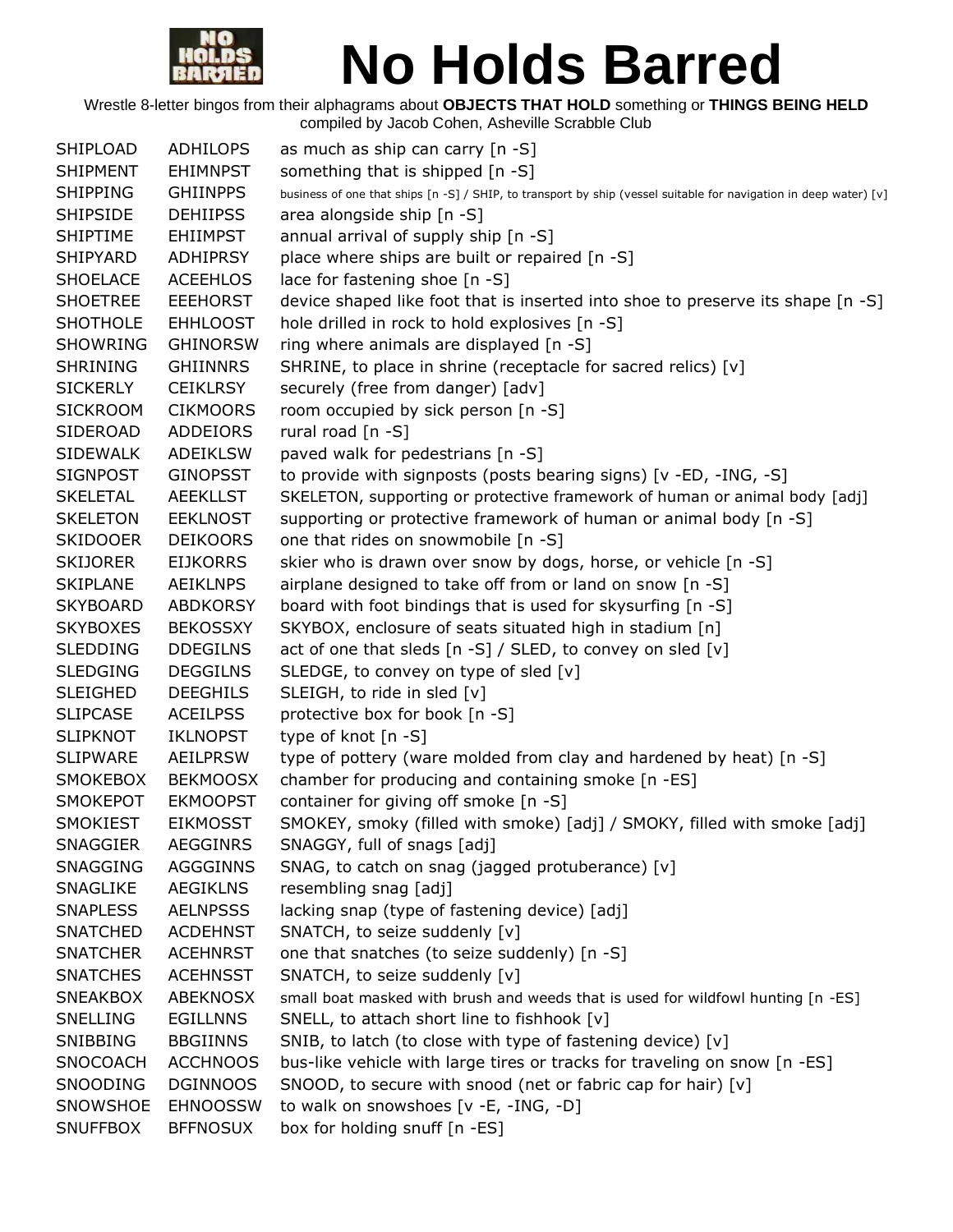

Wrestle 8-letter bingos from their alphagrams about **OBJECTS THAT HOLD** something or **THINGS BEING HELD**

compiled by Jacob Cohen, Asheville Scrabble Club

| SHIPLOAD        | <b>ADHILOPS</b> | as much as ship can carry $[n -S]$                                                                                |
|-----------------|-----------------|-------------------------------------------------------------------------------------------------------------------|
| <b>SHIPMENT</b> | <b>EHIMNPST</b> | something that is shipped [n -S]                                                                                  |
| <b>SHIPPING</b> | <b>GHIINPPS</b> | business of one that ships [n -S] / SHIP, to transport by ship (vessel suitable for navigation in deep water) [v] |
| <b>SHIPSIDE</b> | <b>DEHIIPSS</b> | area alongside ship [n -S]                                                                                        |
| <b>SHIPTIME</b> | <b>EHIIMPST</b> | annual arrival of supply ship [n -S]                                                                              |
| SHIPYARD        | <b>ADHIPRSY</b> | place where ships are built or repaired [n -S]                                                                    |
| <b>SHOELACE</b> | <b>ACEEHLOS</b> | lace for fastening shoe [n -S]                                                                                    |
| <b>SHOETREE</b> | <b>EEEHORST</b> | device shaped like foot that is inserted into shoe to preserve its shape [n -S]                                   |
| <b>SHOTHOLE</b> | <b>EHHLOOST</b> | hole drilled in rock to hold explosives [n -S]                                                                    |
| <b>SHOWRING</b> | <b>GHINORSW</b> | ring where animals are displayed [n -S]                                                                           |
| <b>SHRINING</b> | <b>GHIINNRS</b> | SHRINE, to place in shrine (receptacle for sacred relics) [v]                                                     |
| <b>SICKERLY</b> | <b>CEIKLRSY</b> | securely (free from danger) [adv]                                                                                 |
| <b>SICKROOM</b> | <b>CIKMOORS</b> | room occupied by sick person [n -S]                                                                               |
| SIDEROAD        | ADDEIORS        | rural road [n -S]                                                                                                 |
| <b>SIDEWALK</b> | <b>ADEIKLSW</b> | paved walk for pedestrians [n -S]                                                                                 |
| <b>SIGNPOST</b> | <b>GINOPSST</b> | to provide with signposts (posts bearing signs) [v -ED, -ING, -S]                                                 |
| <b>SKELETAL</b> | <b>AEEKLLST</b> | SKELETON, supporting or protective framework of human or animal body [adj]                                        |
| <b>SKELETON</b> | <b>EEKLNOST</b> | supporting or protective framework of human or animal body [n -S]                                                 |
| <b>SKIDOOER</b> | <b>DEIKOORS</b> | one that rides on snowmobile [n -S]                                                                               |
| <b>SKIJORER</b> | <b>EIJKORRS</b> | skier who is drawn over snow by dogs, horse, or vehicle [n -S]                                                    |
| <b>SKIPLANE</b> | <b>AEIKLNPS</b> | airplane designed to take off from or land on snow [n -S]                                                         |
| <b>SKYBOARD</b> | <b>ABDKORSY</b> | board with foot bindings that is used for skysurfing [n -S]                                                       |
| <b>SKYBOXES</b> | <b>BEKOSSXY</b> | SKYBOX, enclosure of seats situated high in stadium [n]                                                           |
| <b>SLEDDING</b> | <b>DDEGILNS</b> | act of one that sleds $[n - S]$ / SLED, to convey on sled $[v]$                                                   |
| <b>SLEDGING</b> | <b>DEGGILNS</b> | SLEDGE, to convey on type of sled [v]                                                                             |
| <b>SLEIGHED</b> | <b>DEEGHILS</b> | SLEIGH, to ride in sled [v]                                                                                       |
| <b>SLIPCASE</b> | <b>ACEILPSS</b> | protective box for book [n -S]                                                                                    |
| <b>SLIPKNOT</b> | <b>IKLNOPST</b> | type of knot [n -S]                                                                                               |
| <b>SLIPWARE</b> | <b>AEILPRSW</b> | type of pottery (ware molded from clay and hardened by heat) [n -S]                                               |
| <b>SMOKEBOX</b> | <b>BEKMOOSX</b> | chamber for producing and containing smoke [n -ES]                                                                |
| <b>SMOKEPOT</b> | <b>EKMOOPST</b> | container for giving off smoke [n -S]                                                                             |
| <b>SMOKIEST</b> | <b>EIKMOSST</b> | SMOKEY, smoky (filled with smoke) [adj] / SMOKY, filled with smoke [adj]                                          |
| <b>SNAGGIER</b> | <b>AEGGINRS</b> | SNAGGY, full of snags [adj]                                                                                       |
| <b>SNAGGING</b> | <b>AGGGINNS</b> | SNAG, to catch on snag (jagged protuberance) [v]                                                                  |
| <b>SNAGLIKE</b> | <b>AEGIKLNS</b> | resembling snag [adj]                                                                                             |
| <b>SNAPLESS</b> | <b>AELNPSSS</b> | lacking snap (type of fastening device) [adj]                                                                     |
| <b>SNATCHED</b> | <b>ACDEHNST</b> | SNATCH, to seize suddenly [v]                                                                                     |
| <b>SNATCHER</b> | <b>ACEHNRST</b> | one that snatches (to seize suddenly) [n -S]                                                                      |
| <b>SNATCHES</b> | <b>ACEHNSST</b> | SNATCH, to seize suddenly [v]                                                                                     |
| <b>SNEAKBOX</b> | ABEKNOSX        | small boat masked with brush and weeds that is used for wildfowl hunting [n -ES]                                  |
| <b>SNELLING</b> | <b>EGILLNNS</b> | SNELL, to attach short line to fishhook [v]                                                                       |
| <b>SNIBBING</b> | <b>BBGIINNS</b> | SNIB, to latch (to close with type of fastening device) [v]                                                       |
| <b>SNOCOACH</b> | <b>ACCHNOOS</b> | bus-like vehicle with large tires or tracks for traveling on snow [n -ES]                                         |
| SNOODING        | <b>DGINNOOS</b> | SNOOD, to secure with snood (net or fabric cap for hair) [v]                                                      |
| SNOWSHOE        | <b>EHNOOSSW</b> | to walk on snowshoes [v -E, -ING, -D]                                                                             |
| <b>SNUFFBOX</b> | <b>BFFNOSUX</b> | box for holding snuff [n -ES]                                                                                     |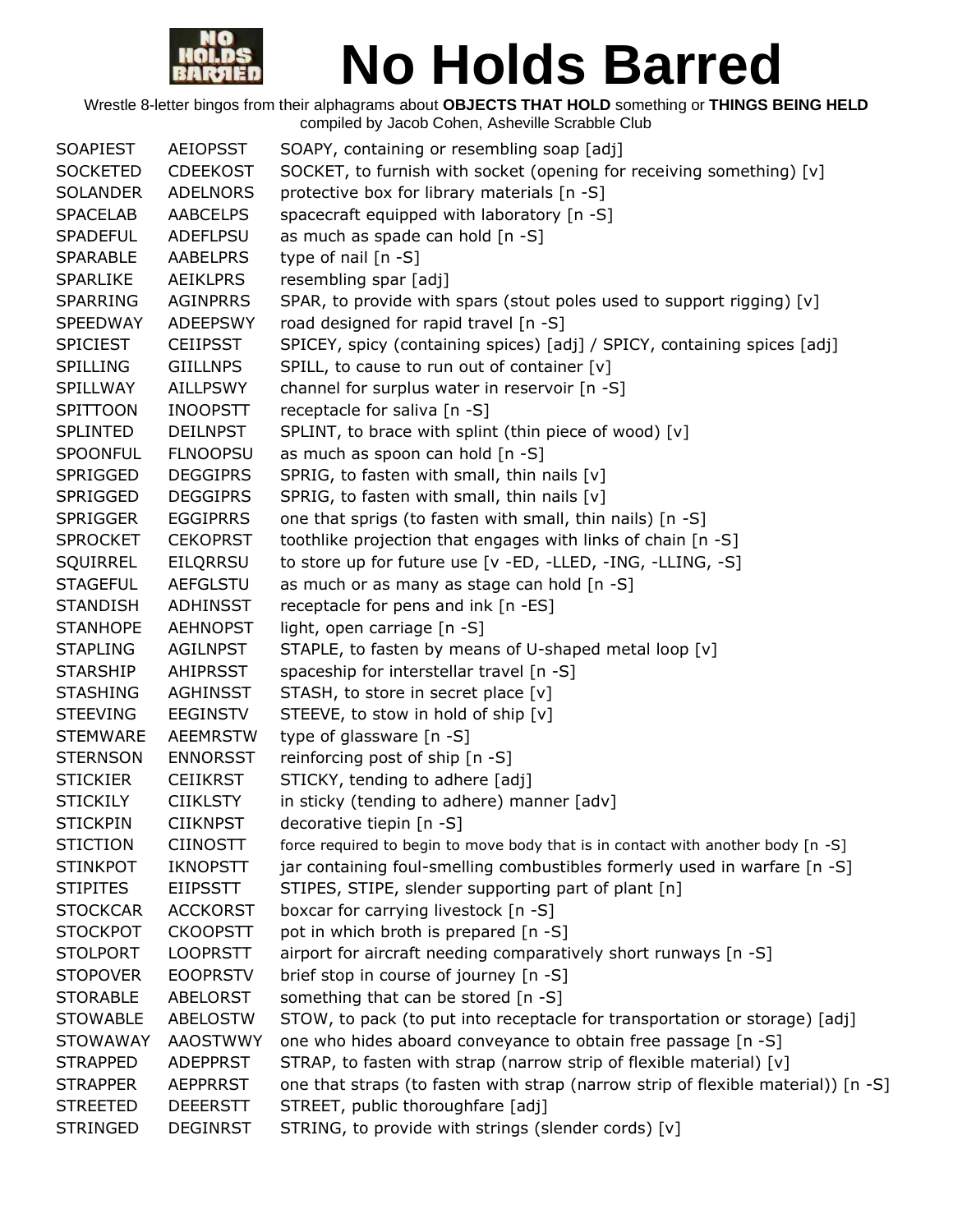

| <b>SOAPIEST</b> | <b>AEIOPSST</b> | SOAPY, containing or resembling soap [adj]                                         |
|-----------------|-----------------|------------------------------------------------------------------------------------|
| <b>SOCKETED</b> | <b>CDEEKOST</b> | SOCKET, to furnish with socket (opening for receiving something) [v]               |
| <b>SOLANDER</b> | <b>ADELNORS</b> | protective box for library materials [n -S]                                        |
| <b>SPACELAB</b> | <b>AABCELPS</b> | spacecraft equipped with laboratory [n -S]                                         |
| <b>SPADEFUL</b> | <b>ADEFLPSU</b> | as much as spade can hold [n -S]                                                   |
| <b>SPARABLE</b> | <b>AABELPRS</b> | type of nail $[n - S]$                                                             |
| <b>SPARLIKE</b> | <b>AEIKLPRS</b> | resembling spar [adj]                                                              |
| <b>SPARRING</b> | <b>AGINPRRS</b> | SPAR, to provide with spars (stout poles used to support rigging) [v]              |
| <b>SPEEDWAY</b> | <b>ADEEPSWY</b> | road designed for rapid travel [n -S]                                              |
| <b>SPICIEST</b> | <b>CEIIPSST</b> | SPICEY, spicy (containing spices) [adj] / SPICY, containing spices [adj]           |
| <b>SPILLING</b> | <b>GIILLNPS</b> | SPILL, to cause to run out of container [v]                                        |
| SPILLWAY        | <b>AILLPSWY</b> | channel for surplus water in reservoir [n -S]                                      |
| SPITTOON        | <b>INOOPSTT</b> | receptacle for saliva [n -S]                                                       |
| <b>SPLINTED</b> | <b>DEILNPST</b> | SPLINT, to brace with splint (thin piece of wood) [v]                              |
| <b>SPOONFUL</b> | <b>FLNOOPSU</b> | as much as spoon can hold [n -S]                                                   |
| <b>SPRIGGED</b> | <b>DEGGIPRS</b> | SPRIG, to fasten with small, thin nails [v]                                        |
| SPRIGGED        | <b>DEGGIPRS</b> | SPRIG, to fasten with small, thin nails [v]                                        |
| <b>SPRIGGER</b> | <b>EGGIPRRS</b> | one that sprigs (to fasten with small, thin nails) [n -S]                          |
| <b>SPROCKET</b> | <b>CEKOPRST</b> | toothlike projection that engages with links of chain [n -S]                       |
| <b>SQUIRREL</b> | <b>EILQRRSU</b> | to store up for future use [v -ED, -LLED, -ING, -LLING, -S]                        |
| <b>STAGEFUL</b> | <b>AEFGLSTU</b> | as much or as many as stage can hold [n -S]                                        |
| <b>STANDISH</b> | <b>ADHINSST</b> | receptacle for pens and ink [n -ES]                                                |
| <b>STANHOPE</b> | <b>AEHNOPST</b> | light, open carriage [n -S]                                                        |
| <b>STAPLING</b> | <b>AGILNPST</b> | STAPLE, to fasten by means of U-shaped metal loop [v]                              |
| <b>STARSHIP</b> | <b>AHIPRSST</b> | spaceship for interstellar travel [n -S]                                           |
| <b>STASHING</b> | <b>AGHINSST</b> | STASH, to store in secret place [v]                                                |
| <b>STEEVING</b> | <b>EEGINSTV</b> | STEEVE, to stow in hold of ship [v]                                                |
| <b>STEMWARE</b> | <b>AEEMRSTW</b> | type of glassware [n -S]                                                           |
| <b>STERNSON</b> | <b>ENNORSST</b> | reinforcing post of ship [n -S]                                                    |
| <b>STICKIER</b> | <b>CEIIKRST</b> | STICKY, tending to adhere [adj]                                                    |
| <b>STICKILY</b> | <b>CIIKLSTY</b> | in sticky (tending to adhere) manner [adv]                                         |
| <b>STICKPIN</b> | <b>CIIKNPST</b> | decorative tiepin [n -S]                                                           |
| <b>STICTION</b> | <b>CIINOSTT</b> | force required to begin to move body that is in contact with another body $[n -S]$ |
| <b>STINKPOT</b> | <b>IKNOPSTT</b> | jar containing foul-smelling combustibles formerly used in warfare [n -S]          |
| <b>STIPITES</b> | <b>EIIPSSTT</b> | STIPES, STIPE, slender supporting part of plant [n]                                |
| <b>STOCKCAR</b> | <b>ACCKORST</b> | boxcar for carrying livestock [n -S]                                               |
| <b>STOCKPOT</b> | <b>CKOOPSTT</b> | pot in which broth is prepared [n -S]                                              |
| <b>STOLPORT</b> | <b>LOOPRSTT</b> | airport for aircraft needing comparatively short runways [n -S]                    |
| <b>STOPOVER</b> | <b>EOOPRSTV</b> | brief stop in course of journey [n -S]                                             |
| <b>STORABLE</b> | <b>ABELORST</b> | something that can be stored [n -S]                                                |
| <b>STOWABLE</b> | <b>ABELOSTW</b> | STOW, to pack (to put into receptacle for transportation or storage) [adj]         |
| <b>STOWAWAY</b> | <b>AAOSTWWY</b> | one who hides aboard conveyance to obtain free passage [n -S]                      |
| <b>STRAPPED</b> | <b>ADEPPRST</b> | STRAP, to fasten with strap (narrow strip of flexible material) [v]                |
| <b>STRAPPER</b> | <b>AEPPRRST</b> | one that straps (to fasten with strap (narrow strip of flexible material)) [n -S]  |
| <b>STREETED</b> | <b>DEEERSTT</b> | STREET, public thoroughfare [adj]                                                  |
| <b>STRINGED</b> | <b>DEGINRST</b> | STRING, to provide with strings (slender cords) [v]                                |
|                 |                 |                                                                                    |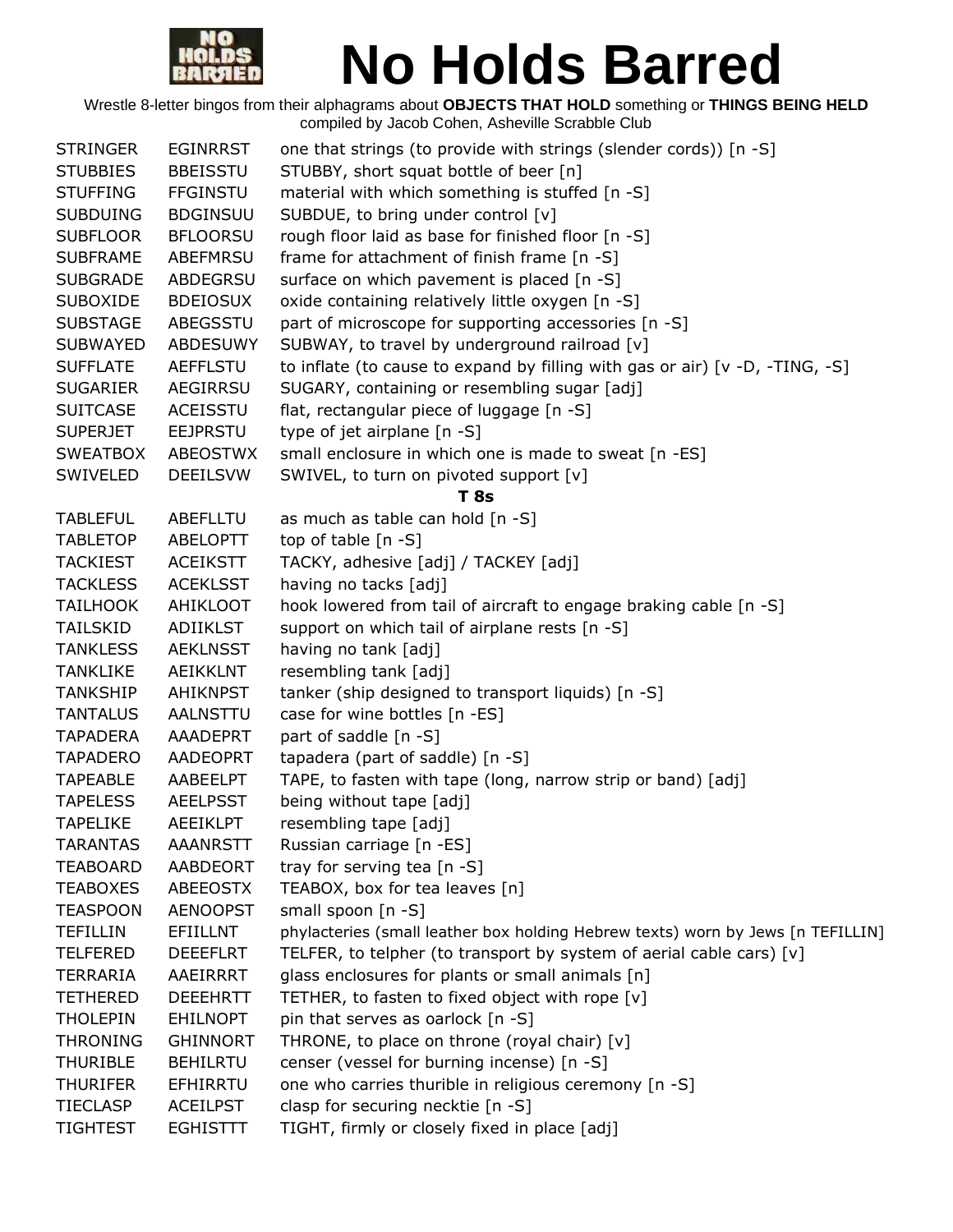

| <b>STRINGER</b> | <b>EGINRRST</b> | one that strings (to provide with strings (slender cords)) [n -S]               |
|-----------------|-----------------|---------------------------------------------------------------------------------|
| <b>STUBBIES</b> | <b>BBEISSTU</b> | STUBBY, short squat bottle of beer [n]                                          |
| <b>STUFFING</b> | <b>FFGINSTU</b> | material with which something is stuffed [n -S]                                 |
| <b>SUBDUING</b> | <b>BDGINSUU</b> | SUBDUE, to bring under control [v]                                              |
| <b>SUBFLOOR</b> | <b>BFLOORSU</b> | rough floor laid as base for finished floor [n -S]                              |
| <b>SUBFRAME</b> | ABEFMRSU        | frame for attachment of finish frame [n -S]                                     |
| <b>SUBGRADE</b> | <b>ABDEGRSU</b> | surface on which pavement is placed [n -S]                                      |
| <b>SUBOXIDE</b> | <b>BDEIOSUX</b> | oxide containing relatively little oxygen [n -S]                                |
| <b>SUBSTAGE</b> | ABEGSSTU        | part of microscope for supporting accessories [n -S]                            |
| <b>SUBWAYED</b> | <b>ABDESUWY</b> | SUBWAY, to travel by underground railroad [v]                                   |
| <b>SUFFLATE</b> | <b>AEFFLSTU</b> | to inflate (to cause to expand by filling with gas or air) [v -D, -TING, -S]    |
| <b>SUGARIER</b> | AEGIRRSU        | SUGARY, containing or resembling sugar [adj]                                    |
| <b>SUITCASE</b> | <b>ACEISSTU</b> | flat, rectangular piece of luggage [n -S]                                       |
| <b>SUPERJET</b> | <b>EEJPRSTU</b> | type of jet airplane [n -S]                                                     |
| <b>SWEATBOX</b> | ABEOSTWX        | small enclosure in which one is made to sweat [n -ES]                           |
| SWIVELED        | <b>DEEILSVW</b> | SWIVEL, to turn on pivoted support [v]                                          |
|                 |                 | T <sub>8s</sub>                                                                 |
| <b>TABLEFUL</b> | ABEFLLTU        | as much as table can hold [n -S]                                                |
| <b>TABLETOP</b> | <b>ABELOPTT</b> | top of table $[n -S]$                                                           |
| <b>TACKIEST</b> | <b>ACEIKSTT</b> | TACKY, adhesive [adj] / TACKEY [adj]                                            |
| <b>TACKLESS</b> | <b>ACEKLSST</b> | having no tacks [adj]                                                           |
| <b>TAILHOOK</b> | <b>AHIKLOOT</b> | hook lowered from tail of aircraft to engage braking cable [n -S]               |
| <b>TAILSKID</b> | <b>ADIIKLST</b> | support on which tail of airplane rests [n -S]                                  |
| <b>TANKLESS</b> | <b>AEKLNSST</b> | having no tank [adj]                                                            |
| <b>TANKLIKE</b> | AEIKKLNT        | resembling tank [adj]                                                           |
| <b>TANKSHIP</b> | <b>AHIKNPST</b> | tanker (ship designed to transport liquids) [n -S]                              |
| <b>TANTALUS</b> | AALNSTTU        | case for wine bottles [n -ES]                                                   |
| <b>TAPADERA</b> | <b>AAADEPRT</b> | part of saddle [n -S]                                                           |
| <b>TAPADERO</b> | <b>AADEOPRT</b> | tapadera (part of saddle) [n -S]                                                |
| <b>TAPEABLE</b> | AABEELPT        | TAPE, to fasten with tape (long, narrow strip or band) [adj]                    |
| <b>TAPELESS</b> | <b>AEELPSST</b> | being without tape [adj]                                                        |
| <b>TAPELIKE</b> | <b>AEEIKLPT</b> | resembling tape [adj]                                                           |
| <b>TARANTAS</b> | <b>AAANRSTT</b> | Russian carriage [n -ES]                                                        |
| <b>TEABOARD</b> | AABDEORT        | tray for serving tea [n -S]                                                     |
| <b>TEABOXES</b> | ABEEOSTX        | TEABOX, box for tea leaves [n]                                                  |
| <b>TEASPOON</b> | <b>AENOOPST</b> | small spoon [n -S]                                                              |
| <b>TEFILLIN</b> | <b>EFIILLNT</b> | phylacteries (small leather box holding Hebrew texts) worn by Jews [n TEFILLIN] |
| <b>TELFERED</b> | <b>DEEEFLRT</b> | TELFER, to telpher (to transport by system of aerial cable cars) [v]            |
| TERRARIA        | AAEIRRRT        | glass enclosures for plants or small animals [n]                                |
| <b>TETHERED</b> | <b>DEEEHRTT</b> | TETHER, to fasten to fixed object with rope [v]                                 |
| <b>THOLEPIN</b> | <b>EHILNOPT</b> | pin that serves as oarlock [n -S]                                               |
| <b>THRONING</b> | <b>GHINNORT</b> | THRONE, to place on throne (royal chair) [v]                                    |
| THURIBLE        | <b>BEHILRTU</b> | censer (vessel for burning incense) [n -S]                                      |
| <b>THURIFER</b> | EFHIRRTU        | one who carries thurible in religious ceremony [n -S]                           |
| <b>TIECLASP</b> | <b>ACEILPST</b> | clasp for securing necktie [n -S]                                               |
| <b>TIGHTEST</b> | <b>EGHISTTT</b> | TIGHT, firmly or closely fixed in place [adj]                                   |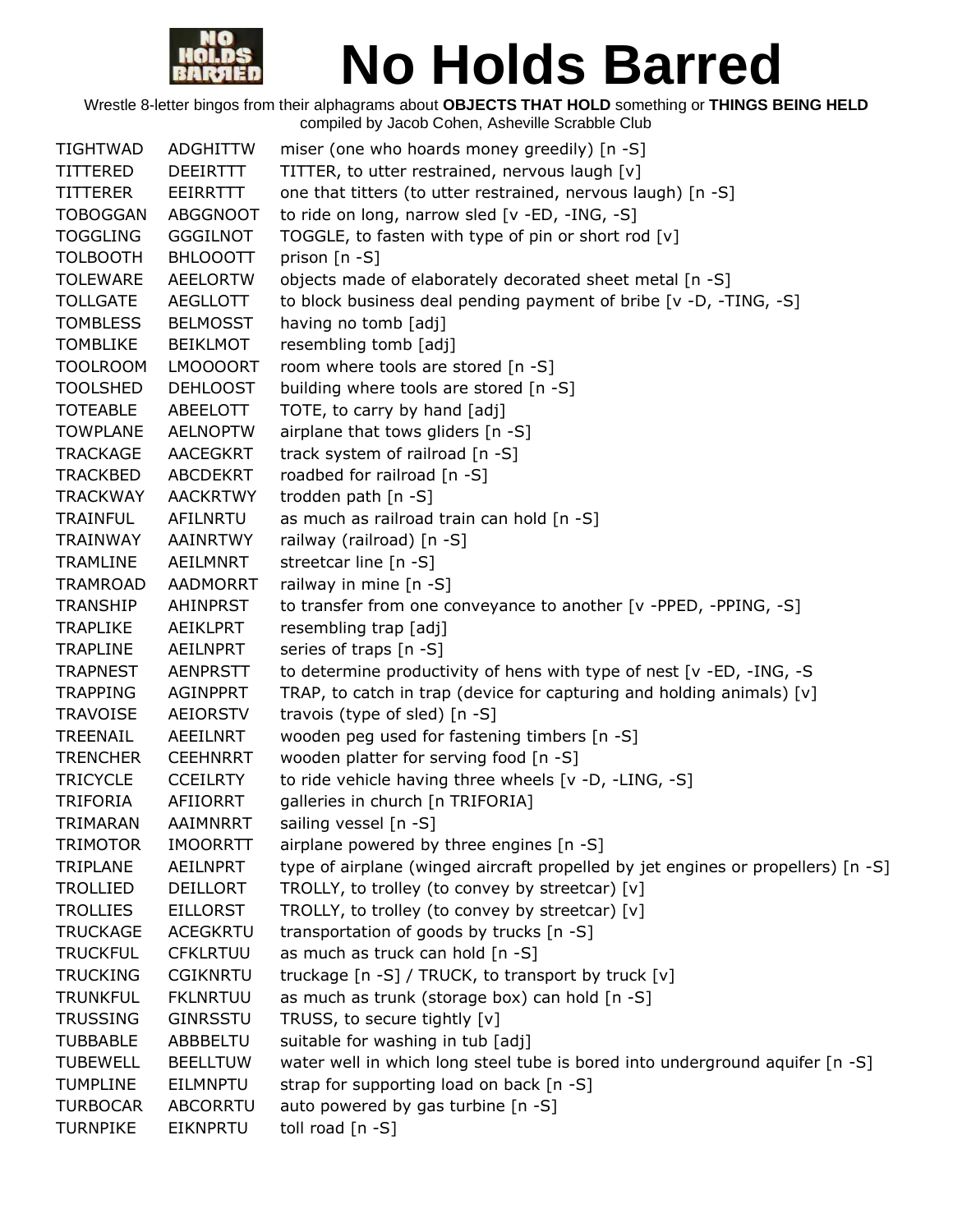

| <b>TIGHTWAD</b> | <b>ADGHITTW</b> | miser (one who hoards money greedily) [n -S]                                     |
|-----------------|-----------------|----------------------------------------------------------------------------------|
| <b>TITTERED</b> | <b>DEEIRTTT</b> | TITTER, to utter restrained, nervous laugh [v]                                   |
| <b>TITTERER</b> | <b>EEIRRTTT</b> | one that titters (to utter restrained, nervous laugh) [n -S]                     |
| <b>TOBOGGAN</b> | <b>ABGGNOOT</b> | to ride on long, narrow sled [v -ED, -ING, -S]                                   |
| <b>TOGGLING</b> | <b>GGGILNOT</b> | TOGGLE, to fasten with type of pin or short rod [v]                              |
| <b>TOLBOOTH</b> | <b>BHLOOOTT</b> | prison [n -S]                                                                    |
| <b>TOLEWARE</b> | <b>AEELORTW</b> | objects made of elaborately decorated sheet metal [n -S]                         |
| <b>TOLLGATE</b> | AEGLLOTT        | to block business deal pending payment of bribe [v -D, -TING, -S]                |
| <b>TOMBLESS</b> | <b>BELMOSST</b> | having no tomb [adj]                                                             |
| <b>TOMBLIKE</b> | <b>BEIKLMOT</b> | resembling tomb [adj]                                                            |
| <b>TOOLROOM</b> | LMOOOORT        | room where tools are stored [n -S]                                               |
| <b>TOOLSHED</b> | <b>DEHLOOST</b> | building where tools are stored [n -S]                                           |
| <b>TOTEABLE</b> | ABEELOTT        | TOTE, to carry by hand [adj]                                                     |
| <b>TOWPLANE</b> | <b>AELNOPTW</b> | airplane that tows gliders [n -S]                                                |
| <b>TRACKAGE</b> | <b>AACEGKRT</b> | track system of railroad [n -S]                                                  |
| <b>TRACKBED</b> | ABCDEKRT        | roadbed for railroad [n -S]                                                      |
| <b>TRACKWAY</b> | <b>AACKRTWY</b> | trodden path [n -S]                                                              |
| <b>TRAINFUL</b> | AFILNRTU        | as much as railroad train can hold [n -S]                                        |
| <b>TRAINWAY</b> | AAINRTWY        | railway (railroad) [n -S]                                                        |
| TRAMLINE        | AEILMNRT        | streetcar line [n -S]                                                            |
| <b>TRAMROAD</b> | <b>AADMORRT</b> | railway in mine $[n -S]$                                                         |
| <b>TRANSHIP</b> | AHINPRST        | to transfer from one conveyance to another [v -PPED, -PPING, -S]                 |
| <b>TRAPLIKE</b> | <b>AEIKLPRT</b> | resembling trap [adj]                                                            |
| <b>TRAPLINE</b> | <b>AEILNPRT</b> | series of traps [n -S]                                                           |
| <b>TRAPNEST</b> | <b>AENPRSTT</b> | to determine productivity of hens with type of nest [v -ED, -ING, -S             |
| <b>TRAPPING</b> | <b>AGINPPRT</b> | TRAP, to catch in trap (device for capturing and holding animals) [v]            |
| <b>TRAVOISE</b> | <b>AEIORSTV</b> | travois (type of sled) $[n - S]$                                                 |
| TREENAIL        | AEEILNRT        | wooden peg used for fastening timbers [n -S]                                     |
| <b>TRENCHER</b> | <b>CEEHNRRT</b> | wooden platter for serving food [n -S]                                           |
| <b>TRICYCLE</b> | <b>CCEILRTY</b> | to ride vehicle having three wheels [v -D, -LING, -S]                            |
| <b>TRIFORIA</b> | AFIIORRT        | galleries in church [n TRIFORIA]                                                 |
| TRIMARAN        | AAIMNRRT        | sailing vessel [n -S]                                                            |
| <b>TRIMOTOR</b> | <b>IMOORRTT</b> | airplane powered by three engines [n -S]                                         |
| TRIPLANE        | <b>AEILNPRT</b> | type of airplane (winged aircraft propelled by jet engines or propellers) [n -S] |
| <b>TROLLIED</b> | DEILLORT        | TROLLY, to trolley (to convey by streetcar) [v]                                  |
| <b>TROLLIES</b> | <b>EILLORST</b> | TROLLY, to trolley (to convey by streetcar) [v]                                  |
| <b>TRUCKAGE</b> | <b>ACEGKRTU</b> | transportation of goods by trucks [n -S]                                         |
| <b>TRUCKFUL</b> | <b>CFKLRTUU</b> | as much as truck can hold [n -S]                                                 |
| <b>TRUCKING</b> | <b>CGIKNRTU</b> | truckage [n -S] / TRUCK, to transport by truck [v]                               |
| <b>TRUNKFUL</b> | <b>FKLNRTUU</b> | as much as trunk (storage box) can hold [n -S]                                   |
| <b>TRUSSING</b> | <b>GINRSSTU</b> | TRUSS, to secure tightly [v]                                                     |
| <b>TUBBABLE</b> | ABBBELTU        | suitable for washing in tub [adj]                                                |
| <b>TUBEWELL</b> | <b>BEELLTUW</b> | water well in which long steel tube is bored into underground aquifer [n -S]     |
| <b>TUMPLINE</b> | <b>EILMNPTU</b> | strap for supporting load on back [n -S]                                         |
| <b>TURBOCAR</b> | <b>ABCORRTU</b> | auto powered by gas turbine [n -S]                                               |
| <b>TURNPIKE</b> | <b>EIKNPRTU</b> | toll road [n -S]                                                                 |
|                 |                 |                                                                                  |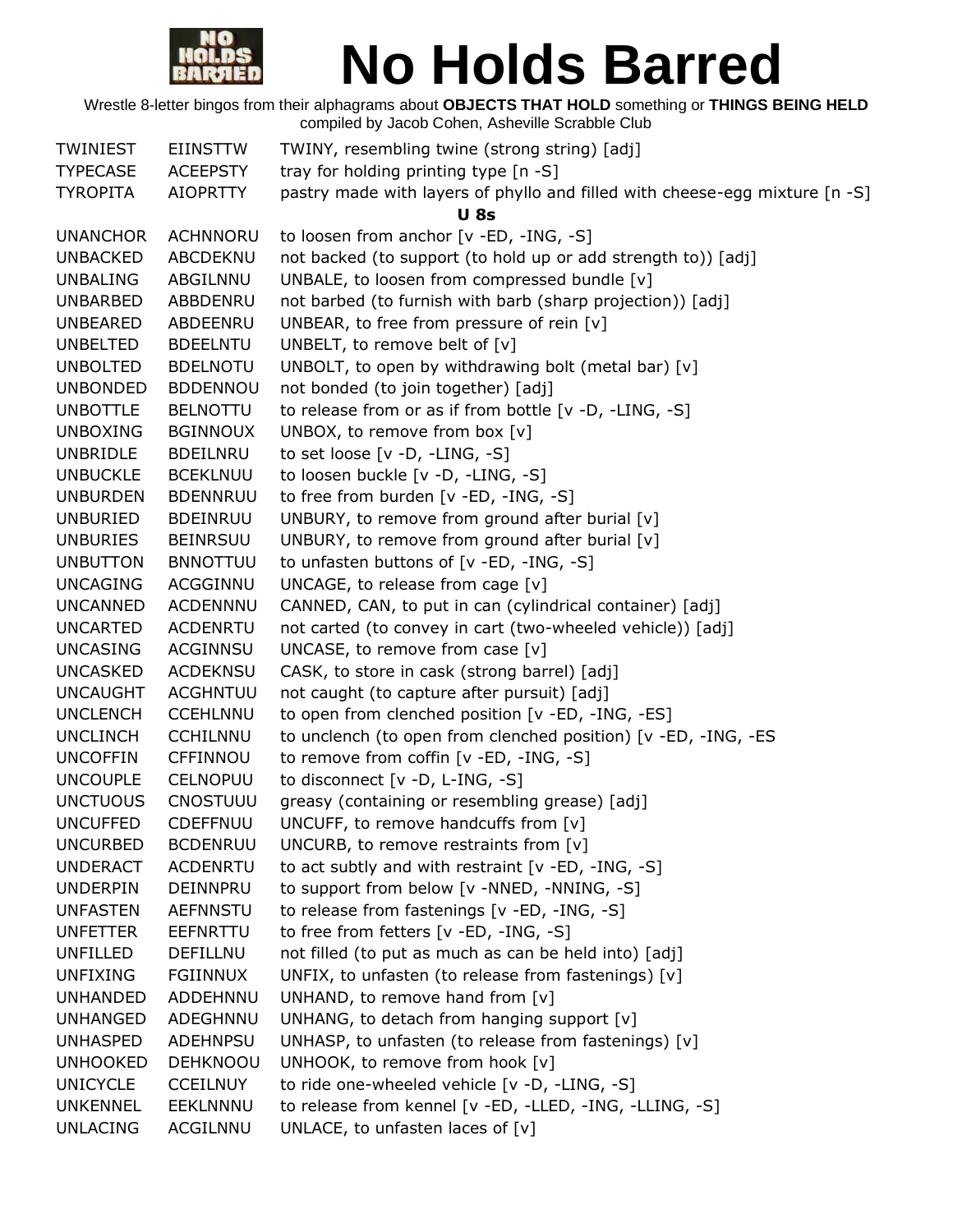

| TWINIEST        | <b>EIINSTTW</b> | TWINY, resembling twine (strong string) [adj]                               |
|-----------------|-----------------|-----------------------------------------------------------------------------|
| <b>TYPECASE</b> | <b>ACEEPSTY</b> | tray for holding printing type [n -S]                                       |
| <b>TYROPITA</b> | <b>AIOPRTTY</b> | pastry made with layers of phyllo and filled with cheese-egg mixture [n -S] |
|                 |                 | <b>U</b> 8s                                                                 |
| <b>UNANCHOR</b> | <b>ACHNNORU</b> | to loosen from anchor [v -ED, -ING, -S]                                     |
| <b>UNBACKED</b> | ABCDEKNU        | not backed (to support (to hold up or add strength to)) [adj]               |
| <b>UNBALING</b> | ABGILNNU        | UNBALE, to loosen from compressed bundle [v]                                |
| <b>UNBARBED</b> | ABBDENRU        | not barbed (to furnish with barb (sharp projection)) [adj]                  |
| <b>UNBEARED</b> | ABDEENRU        | UNBEAR, to free from pressure of rein [v]                                   |
| <b>UNBELTED</b> | <b>BDEELNTU</b> | UNBELT, to remove belt of [v]                                               |
| <b>UNBOLTED</b> | <b>BDELNOTU</b> | UNBOLT, to open by withdrawing bolt (metal bar) $[v]$                       |
| <b>UNBONDED</b> | <b>BDDENNOU</b> | not bonded (to join together) [adj]                                         |
| <b>UNBOTTLE</b> | <b>BELNOTTU</b> | to release from or as if from bottle [v -D, -LING, -S]                      |
| <b>UNBOXING</b> | <b>BGINNOUX</b> | UNBOX, to remove from box [v]                                               |
| <b>UNBRIDLE</b> | <b>BDEILNRU</b> | to set loose $[v -D, -LING, -S]$                                            |
| <b>UNBUCKLE</b> | <b>BCEKLNUU</b> | to loosen buckle [v -D, -LING, -S]                                          |
| <b>UNBURDEN</b> | <b>BDENNRUU</b> | to free from burden [v -ED, -ING, -S]                                       |
| UNBURIED        | <b>BDEINRUU</b> | UNBURY, to remove from ground after burial [v]                              |
| <b>UNBURIES</b> | <b>BEINRSUU</b> | UNBURY, to remove from ground after burial [v]                              |
| <b>UNBUTTON</b> | <b>BNNOTTUU</b> | to unfasten buttons of [v -ED, -ING, -S]                                    |
| <b>UNCAGING</b> | ACGGINNU        | UNCAGE, to release from cage [v]                                            |
| <b>UNCANNED</b> | <b>ACDENNNU</b> | CANNED, CAN, to put in can (cylindrical container) [adj]                    |
| <b>UNCARTED</b> | <b>ACDENRTU</b> | not carted (to convey in cart (two-wheeled vehicle)) [adj]                  |
| <b>UNCASING</b> | ACGINNSU        | UNCASE, to remove from case [v]                                             |
| <b>UNCASKED</b> | <b>ACDEKNSU</b> | CASK, to store in cask (strong barrel) [adj]                                |
| <b>UNCAUGHT</b> | <b>ACGHNTUU</b> | not caught (to capture after pursuit) [adj]                                 |
| <b>UNCLENCH</b> | <b>CCEHLNNU</b> | to open from clenched position [v -ED, -ING, -ES]                           |
| <b>UNCLINCH</b> | <b>CCHILNNU</b> | to unclench (to open from clenched position) [v -ED, -ING, -ES              |
| <b>UNCOFFIN</b> | CFFINNOU        | to remove from coffin [v -ED, -ING, -S]                                     |
| <b>UNCOUPLE</b> | <b>CELNOPUU</b> | to disconnect [v -D, L-ING, -S]                                             |
| <b>UNCTUOUS</b> | <b>CNOSTUUU</b> | greasy (containing or resembling grease) [adj]                              |
| <b>UNCUFFED</b> | CDEFFNUU        | UNCUFF, to remove handcuffs from [v]                                        |
| <b>UNCURBED</b> | <b>BCDENRUU</b> | UNCURB, to remove restraints from $[v]$                                     |
| <b>UNDERACT</b> | <b>ACDENRTU</b> | to act subtly and with restraint [v -ED, -ING, -S]                          |
| <b>UNDERPIN</b> | DEINNPRU        | to support from below [v -NNED, -NNING, -S]                                 |
| <b>UNFASTEN</b> | <b>AEFNNSTU</b> | to release from fastenings [v -ED, -ING, -S]                                |
| <b>UNFETTER</b> | EEFNRTTU        | to free from fetters [v -ED, -ING, -S]                                      |
| <b>UNFILLED</b> | DEFILLNU        | not filled (to put as much as can be held into) [adj]                       |
| <b>UNFIXING</b> | <b>FGIINNUX</b> | UNFIX, to unfasten (to release from fastenings) [v]                         |
| <b>UNHANDED</b> | ADDEHNNU        | UNHAND, to remove hand from [v]                                             |
| <b>UNHANGED</b> | ADEGHNNU        | UNHANG, to detach from hanging support [v]                                  |
| <b>UNHASPED</b> | <b>ADEHNPSU</b> | UNHASP, to unfasten (to release from fastenings) [v]                        |
| <b>UNHOOKED</b> | <b>DEHKNOOU</b> | UNHOOK, to remove from hook [v]                                             |
| <b>UNICYCLE</b> | <b>CCEILNUY</b> | to ride one-wheeled vehicle [v -D, -LING, -S]                               |
| <b>UNKENNEL</b> | <b>EEKLNNNU</b> | to release from kennel [v -ED, -LLED, -ING, -LLING, -S]                     |
| <b>UNLACING</b> | ACGILNNU        | UNLACE, to unfasten laces of $[v]$                                          |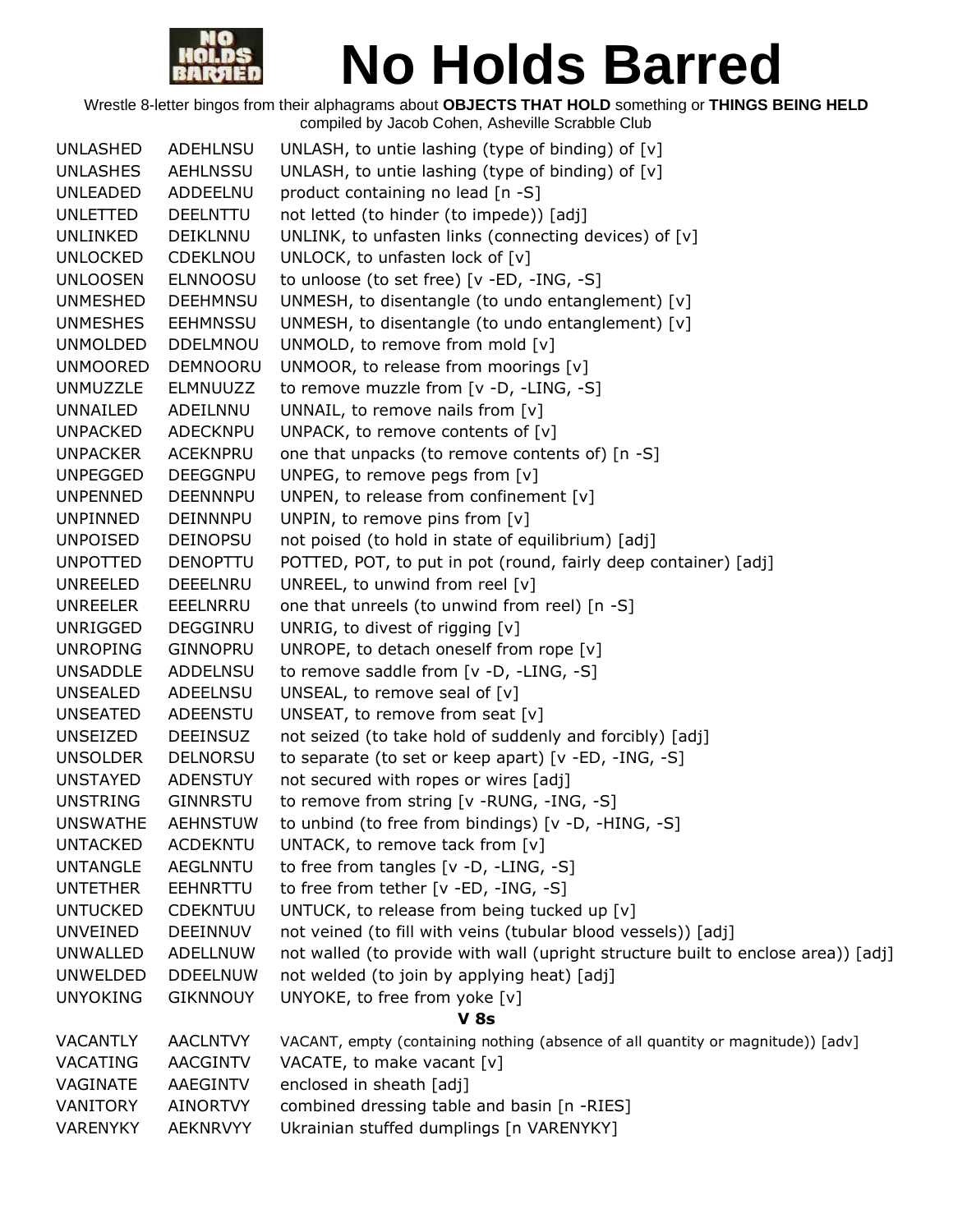

| <b>UNLASHED</b> | <b>ADEHLNSU</b> | UNLASH, to untie lashing (type of binding) of $[v]$                               |
|-----------------|-----------------|-----------------------------------------------------------------------------------|
| <b>UNLASHES</b> | <b>AEHLNSSU</b> | UNLASH, to untie lashing (type of binding) of $[v]$                               |
| <b>UNLEADED</b> | ADDEELNU        | product containing no lead [n -S]                                                 |
| <b>UNLETTED</b> | <b>DEELNTTU</b> | not letted (to hinder (to impede)) [adj]                                          |
| UNLINKED        | DEIKLNNU        | UNLINK, to unfasten links (connecting devices) of [v]                             |
| <b>UNLOCKED</b> | <b>CDEKLNOU</b> | UNLOCK, to unfasten lock of [v]                                                   |
| <b>UNLOOSEN</b> | <b>ELNNOOSU</b> | to unloose (to set free) [v -ED, -ING, -S]                                        |
| <b>UNMESHED</b> | <b>DEEHMNSU</b> | UNMESH, to disentangle (to undo entanglement) [v]                                 |
| <b>UNMESHES</b> | <b>EEHMNSSU</b> | UNMESH, to disentangle (to undo entanglement) [v]                                 |
| <b>UNMOLDED</b> | <b>DDELMNOU</b> | UNMOLD, to remove from mold [v]                                                   |
| <b>UNMOORED</b> | <b>DEMNOORU</b> | UNMOOR, to release from moorings [v]                                              |
| <b>UNMUZZLE</b> | ELMNUUZZ        | to remove muzzle from [v -D, -LING, -S]                                           |
| UNNAILED        | ADEILNNU        | UNNAIL, to remove nails from [v]                                                  |
| <b>UNPACKED</b> | ADECKNPU        | UNPACK, to remove contents of [v]                                                 |
| <b>UNPACKER</b> | <b>ACEKNPRU</b> | one that unpacks (to remove contents of) [n -S]                                   |
| <b>UNPEGGED</b> | <b>DEEGGNPU</b> | UNPEG, to remove pegs from [v]                                                    |
| <b>UNPENNED</b> | <b>DEENNNPU</b> | UNPEN, to release from confinement [v]                                            |
| UNPINNED        | <b>DEINNNPU</b> | UNPIN, to remove pins from [v]                                                    |
| <b>UNPOISED</b> | <b>DEINOPSU</b> | not poised (to hold in state of equilibrium) [adj]                                |
| <b>UNPOTTED</b> | <b>DENOPTTU</b> | POTTED, POT, to put in pot (round, fairly deep container) [adj]                   |
| <b>UNREELED</b> | <b>DEEELNRU</b> | UNREEL, to unwind from reel $[v]$                                                 |
| <b>UNREELER</b> | EEELNRRU        | one that unreels (to unwind from reel) [n -S]                                     |
| UNRIGGED        | DEGGINRU        | UNRIG, to divest of rigging [v]                                                   |
| <b>UNROPING</b> | <b>GINNOPRU</b> | UNROPE, to detach oneself from rope [v]                                           |
| <b>UNSADDLE</b> | <b>ADDELNSU</b> | to remove saddle from [v -D, -LING, -S]                                           |
| <b>UNSEALED</b> | ADEELNSU        | UNSEAL, to remove seal of $[v]$                                                   |
| <b>UNSEATED</b> | ADEENSTU        | UNSEAT, to remove from seat [v]                                                   |
| <b>UNSEIZED</b> | <b>DEEINSUZ</b> | not seized (to take hold of suddenly and forcibly) [adj]                          |
| <b>UNSOLDER</b> | <b>DELNORSU</b> | to separate (to set or keep apart) [v -ED, -ING, -S]                              |
| <b>UNSTAYED</b> | <b>ADENSTUY</b> | not secured with ropes or wires [adj]                                             |
| <b>UNSTRING</b> | <b>GINNRSTU</b> | to remove from string [v -RUNG, -ING, -S]                                         |
| <b>UNSWATHE</b> | <b>AEHNSTUW</b> | to unbind (to free from bindings) [v -D, -HING, -S]                               |
| <b>UNTACKED</b> | <b>ACDEKNTU</b> | UNTACK, to remove tack from [v]                                                   |
| <b>UNTANGLE</b> | <b>AEGLNNTU</b> | to free from tangles $[v -D, -LING, -S]$                                          |
| <b>UNTETHER</b> | <b>EEHNRTTU</b> | to free from tether [v -ED, -ING, -S]                                             |
| <b>UNTUCKED</b> | <b>CDEKNTUU</b> | UNTUCK, to release from being tucked up [v]                                       |
| <b>UNVEINED</b> | DEEINNUV        | not veined (to fill with veins (tubular blood vessels)) [adj]                     |
| <b>UNWALLED</b> | ADELLNUW        | not walled (to provide with wall (upright structure built to enclose area)) [adj] |
| <b>UNWELDED</b> | <b>DDEELNUW</b> | not welded (to join by applying heat) [adj]                                       |
| <b>UNYOKING</b> | <b>GIKNNOUY</b> | UNYOKE, to free from yoke [v]                                                     |
|                 |                 | <b>V 8s</b>                                                                       |
| <b>VACANTLY</b> | <b>AACLNTVY</b> | VACANT, empty (containing nothing (absence of all quantity or magnitude)) [adv]   |
| VACATING        | <b>AACGINTV</b> | VACATE, to make vacant [v]                                                        |
| VAGINATE        | <b>AAEGINTV</b> | enclosed in sheath [adj]                                                          |
| VANITORY        | <b>AINORTVY</b> | combined dressing table and basin [n -RIES]                                       |
| <b>VARENYKY</b> | <b>AEKNRVYY</b> | Ukrainian stuffed dumplings [n VARENYKY]                                          |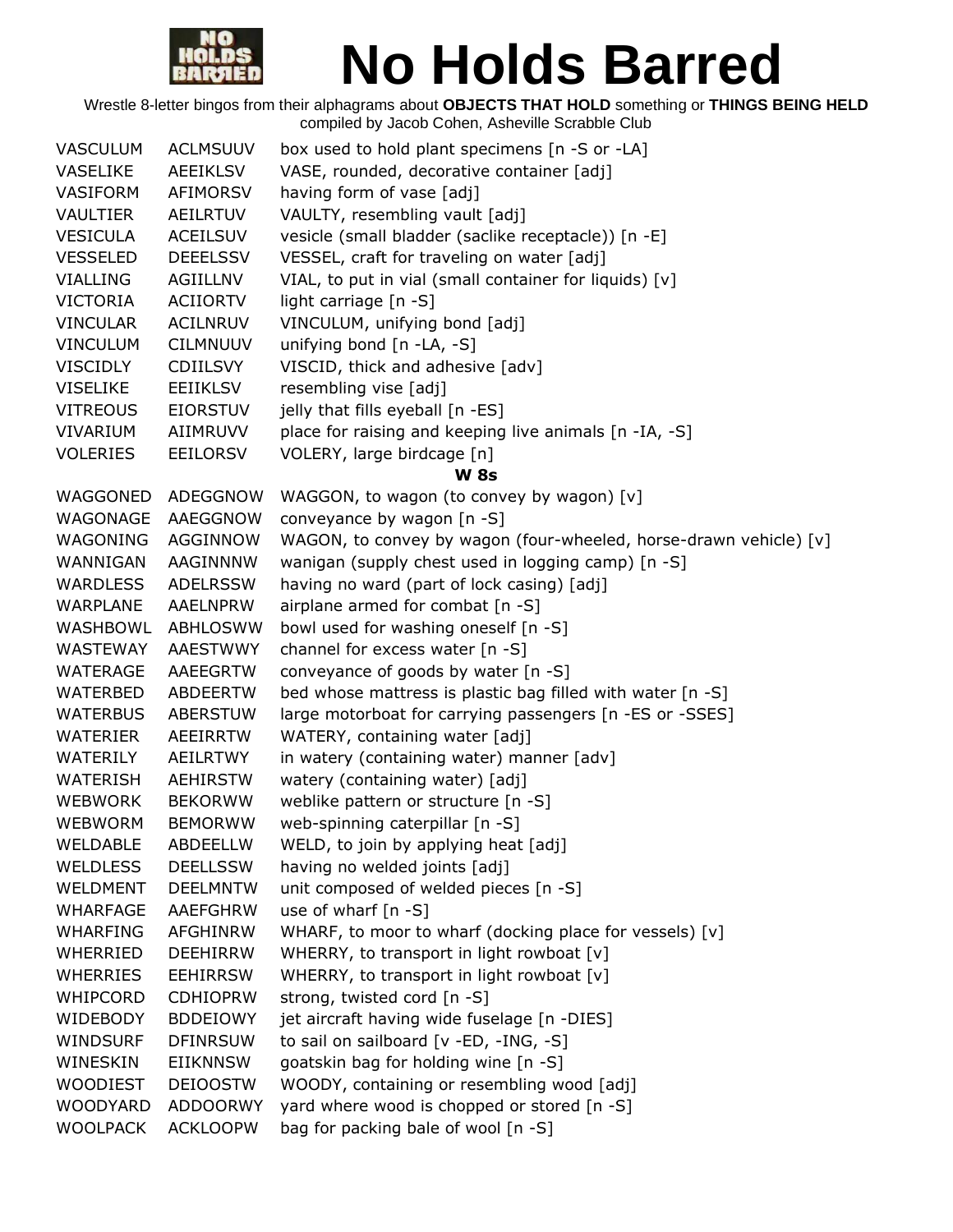

| <b>VASCULUM</b> | <b>ACLMSUUV</b> | box used to hold plant specimens [n -S or -LA]                    |
|-----------------|-----------------|-------------------------------------------------------------------|
| <b>VASELIKE</b> | <b>AEEIKLSV</b> | VASE, rounded, decorative container [adj]                         |
| VASIFORM        | <b>AFIMORSV</b> | having form of vase [adj]                                         |
| VAULTIER        | AEILRTUV        | VAULTY, resembling vault [adj]                                    |
| <b>VESICULA</b> | <b>ACEILSUV</b> | vesicle (small bladder (saclike receptacle)) [n -E]               |
| <b>VESSELED</b> | <b>DEEELSSV</b> | VESSEL, craft for traveling on water [adj]                        |
| <b>VIALLING</b> | AGIILLNV        | VIAL, to put in vial (small container for liquids) [v]            |
| VICTORIA        | <b>ACIIORTV</b> | light carriage [n -S]                                             |
| <b>VINCULAR</b> | <b>ACILNRUV</b> | VINCULUM, unifying bond [adj]                                     |
| <b>VINCULUM</b> | <b>CILMNUUV</b> | unifying bond [n -LA, -S]                                         |
| <b>VISCIDLY</b> | <b>CDIILSVY</b> | VISCID, thick and adhesive [adv]                                  |
| <b>VISELIKE</b> | EEIIKLSV        | resembling vise [adj]                                             |
| <b>VITREOUS</b> | <b>EIORSTUV</b> | jelly that fills eyeball [n -ES]                                  |
| VIVARIUM        | AIIMRUVV        | place for raising and keeping live animals [n -IA, -S]            |
| <b>VOLERIES</b> | <b>EEILORSV</b> | VOLERY, large birdcage [n]                                        |
|                 |                 | <b>W</b> 8s                                                       |
| WAGGONED        | ADEGGNOW        | WAGGON, to wagon (to convey by wagon) [v]                         |
| WAGONAGE        | AAEGGNOW        | conveyance by wagon [n -S]                                        |
| WAGONING        | AGGINNOW        | WAGON, to convey by wagon (four-wheeled, horse-drawn vehicle) [v] |
| WANNIGAN        | AAGINNNW        | wanigan (supply chest used in logging camp) [n -S]                |
| <b>WARDLESS</b> | <b>ADELRSSW</b> | having no ward (part of lock casing) [adj]                        |
| WARPLANE        | AAELNPRW        | airplane armed for combat [n -S]                                  |
| WASHBOWL        | <b>ABHLOSWW</b> | bowl used for washing oneself [n -S]                              |
| WASTEWAY        | <b>AAESTWWY</b> | channel for excess water [n -S]                                   |
| WATERAGE        | AAEEGRTW        | conveyance of goods by water [n -S]                               |
| WATERBED        | ABDEERTW        | bed whose mattress is plastic bag filled with water [n -S]        |
| <b>WATERBUS</b> | ABERSTUW        | large motorboat for carrying passengers [n -ES or -SSES]          |
| WATERIER        | <b>AEEIRRTW</b> | WATERY, containing water [adj]                                    |
| WATERILY        | AEILRTWY        | in watery (containing water) manner [adv]                         |
| WATERISH        | <b>AEHIRSTW</b> | watery (containing water) [adj]                                   |
| <b>WEBWORK</b>  | <b>BEKORWW</b>  | weblike pattern or structure [n -S]                               |
| <b>WEBWORM</b>  | <b>BEMORWW</b>  | web-spinning caterpillar [n -S]                                   |
| WELDABLE        | <b>ABDEELLW</b> |                                                                   |
|                 |                 | WELD, to join by applying heat [adj]                              |
| <b>WELDLESS</b> | <b>DEELLSSW</b> | having no welded joints [adj]                                     |
| <b>WELDMENT</b> | <b>DEELMNTW</b> | unit composed of welded pieces [n -S]                             |
| <b>WHARFAGE</b> | AAEFGHRW        | use of wharf $[n - S]$                                            |
| <b>WHARFING</b> | <b>AFGHINRW</b> | WHARF, to moor to wharf (docking place for vessels) [v]           |
| WHERRIED        | <b>DEEHIRRW</b> | WHERRY, to transport in light rowboat [v]                         |
| <b>WHERRIES</b> | <b>EEHIRRSW</b> | WHERRY, to transport in light rowboat [v]                         |
| WHIPCORD        | <b>CDHIOPRW</b> | strong, twisted cord [n -S]                                       |
| WIDEBODY        | <b>BDDEIOWY</b> | jet aircraft having wide fuselage [n -DIES]                       |
| <b>WINDSURF</b> | <b>DFINRSUW</b> | to sail on sailboard [v -ED, -ING, -S]                            |
| WINESKIN        | <b>EIIKNNSW</b> | goatskin bag for holding wine [n -S]                              |
| <b>WOODIEST</b> | <b>DEIOOSTW</b> | WOODY, containing or resembling wood [adj]                        |
| <b>WOODYARD</b> | <b>ADDOORWY</b> | yard where wood is chopped or stored [n -S]                       |
| <b>WOOLPACK</b> | <b>ACKLOOPW</b> | bag for packing bale of wool [n -S]                               |